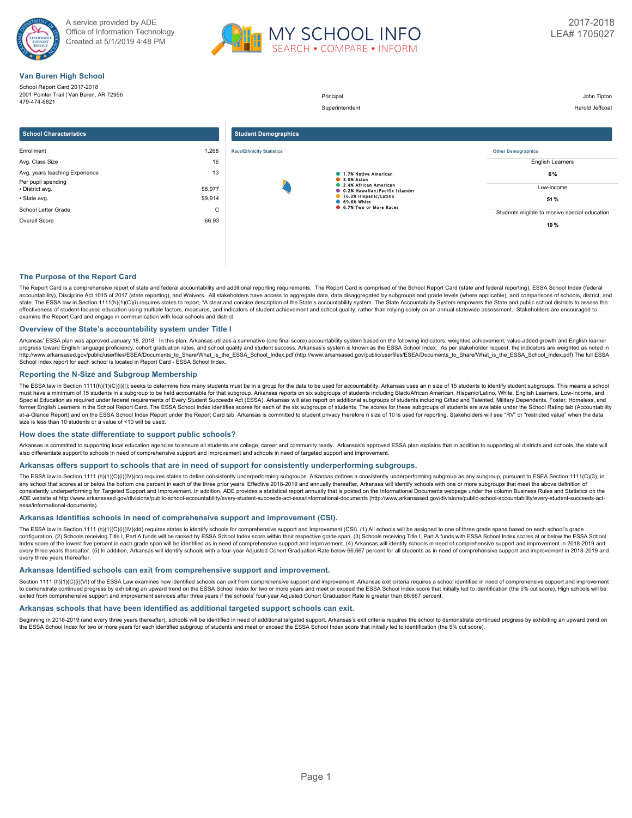

Per pu

A service provided by ADE Office of Information Technology Created at 5/1/2019 4:48 PM



#### **Van Buren High School**

School Report Card 2017-2018 2001 Pointer Trail | Van Buren, AR 72956 479-47

| 2001 Pointer Trail   van Buren, AR 72956<br>479-474-6821 |         |                                  | Principal<br>Superintendent                                    | John Tipton<br>Harold Jeffcoat                 |
|----------------------------------------------------------|---------|----------------------------------|----------------------------------------------------------------|------------------------------------------------|
| <b>School Characteristics</b>                            |         | <b>Student Demographics</b>      |                                                                |                                                |
| Enrollment                                               | 1,268   | <b>Race/Ethnicity Statistics</b> |                                                                | <b>Other Demographics</b>                      |
| Avg. Class Size                                          | 16      |                                  |                                                                | <b>English Learners</b>                        |
| Avg. years teaching Experience                           | 13      |                                  | 1.7% Native American<br><b>3.0% Aslan</b>                      | 6%                                             |
| Per pupil spending<br>· District avg.                    | \$8,977 |                                  | 2.4% African American<br><b>0.2% Hawallan/Pacific Islander</b> | Low-income                                     |
| · State avg.                                             | \$9,914 |                                  | 16.3% Hispanic/Latino<br><b>69.6% White</b>                    | 51%                                            |
| School Letter Grade                                      | С       |                                  | 6.7% Two or More Races                                         | Students eligible to receive special education |
| Overall Score                                            | 66.93   |                                  |                                                                | 10%                                            |
|                                                          |         |                                  |                                                                |                                                |

#### **The Purpose of the Report Card**

The Report Card is a comprehensive report of state and federal accountability and additional reporting requirements. The Report Card is comprised of the School Report Card (state and federal reporting). ESSA School Index ( accountability), Discipline Act 1015 of 2017 (state reporting), and Waivers. All stakeholders have access to aggregate data, data disaggregated by subgroups and grade levels (where applicable), and comparisons of schools, state. The ESSA law in Section 1111(h)(1)(C)(i) requires states to report, "A clear and concise description of the State's accountability system. The State Accountability System empowers the State and public school distric effectiveness of student-focused education using multiple factors, measures, and indicators of student achievement and school quality, rather than relying solely on an annual statewide assessment. Stakeholders are encoura

#### **Overview of the State's accountability system under Title I**

Arkansas' ESSA plan was approved January 18, 2018. In this plan, Arkansas utilizes a summative (one final score) accountability system based on the following indicators: weighted achievement, value-added growth and English progress toward English language proficiency, cohort graduation rates, and school quality and student success. Arkansas's system is known as the ESSA School Index. As per stakeholder request, the indicators are weighted as School Index report for each school is located in Report Card - ESSA School Index.

#### **Reporting the N-Size and Subgroup Membership**

The ESSA law in Section 1111(h)(1)(C)(i)(l); seeks to determine how many students must be in a group for the data to be used for accountability. Arkansas uses an n size of 15 students to identify student subgroups. This me must have a minimum of 15 students in a subgroup to be held accountable for that subgroup. Arkansas reports on six subgroups of students including Black/African American, Hispanic/Latino, White, English Learners, Low-Incom Special Education as required under federal requirements of Every Student Succeeds Act (ESSA). Arkansas will also report on additional subgroups of students including Gifted and Talented, Military Dependents, Foster, Homel former English Learners in the School Report Card. The ESSA School Index identifies scores for each of the six subgroups of students. The scores for these subgroups of students are available under the School Rating tab (Ac at-a-Glance Report) and on the ESSA School Index Report under the Report Card tab. Arkansas is committed to student privacy therefore n size of 10 is used for reporting. Stakeholders will see "RV" or "restricted value" whe size is less than 10 students or a value of <10 will be used.

#### **How does the state differentiate to support public schools?**

Arkansas is committed to supporting local education agencies to ensure all students are college, career and community ready. Arkansas's approved ESSA plan explains that in addition to supporting all districts and schools, also differentiate support to schools in need of comprehensive support and improvement and schools in need of targeted support and improvement.

#### **Arkansas offers support to schools that are in need of support for consistently underperforming subgroups.**

The ESSA law in Section 1111 (h)(1)(O)(i)(IV)(cc) requires states to define consistently underperforming subgroups. Arkansas defines a consistently underperforming subgroups as any subgroup, pursuant to ESEA Section 1111(C any school that scores at or below the bottom one percent in each of the three prior years. Effective 2018-2019 and annually thereafter. Arkansas will identify schools with one or more subgroups that meet the above definit consistently underperforming for Targeted Support and Improvement. In addition, ADE provides a statistical report annually that is posted on the Informational Documents webpage under the column Business Rules and Statistic ADE website at http://www.arkansased.gov/divisions/public-school-accountability/every-student-succeeds-act-essa/informational-documents (http://www.arkansased.gov/divisions/public-school-accountability/every-student-succee essa/informational-documents).

#### **Arkansas Identifies schools in need of comprehensive support and improvement (CSI).**

The ESSA law in Section 1111 (h)(1)(C)(i)(IV)(dd) requires states to identify schools for comprehensive support and Improvement (CSI). (1) All schools will be assigned to one of three grade spans based on each school's gra configuration. (2) Schools receiving Title I, Part A funds will be ranked by ESSA School Index score within their respective grade span. (3) Schools receiving Title I, Part A funds with ESSA School Index scores at or below every three years thereafter. (5) In addition, Arkansas will identify schools with a four-year Adjusted Cohort Graduation Rate below 66.667 percent for all students as in need of comprehensive support and improvement in 20 every three years thereafter.

#### **Arkansas Identified schools can exit from comprehensive support and improvement.**

Section 1111 (h)(1)(C)(i)(VI) of the ESSA Law examines how identified schools can exit from comprehensive support and improvement. Arkansas exit criteria requires a school identified in need of comprehensive support and im to demonstrate continued progress by exhibiting an upward trend on the ESSA School Index for two or more years and meet or exceed the ESSA School Index score that initially led to identification (the 5% cut score). High sc exited from comprehensive support and improvement services after three years if the schools' four-year Adjusted Cohort Graduation Rate is greater than 66.667 percent.

#### **Arkansas schools that have been identified as additional targeted support schools can exit.**

Beginning in 2018-2019 (and every three years thereafter), schools will be identified in need of additional targeted support. Arkansas's exit criteria requires the school to demonstrate continued progress by exhibiting an the ESSA School Index for two or more years for each identified subgroup of students and meet or exceed the ESSA School Index score that initially led to identification (the 5% cut score).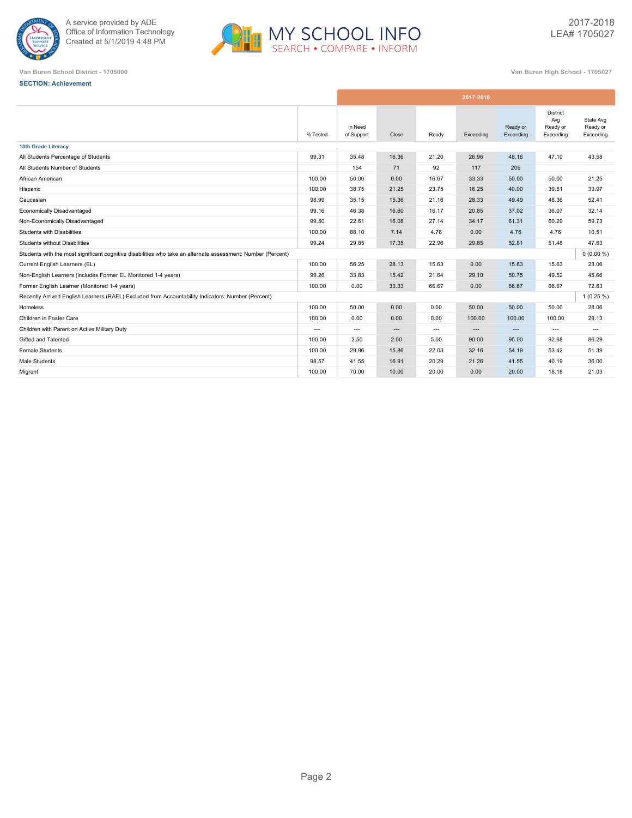



|                                                                                                              |          |                          |          |          | 2017-2018 |                       |                                                 |                                    |
|--------------------------------------------------------------------------------------------------------------|----------|--------------------------|----------|----------|-----------|-----------------------|-------------------------------------------------|------------------------------------|
|                                                                                                              | % Tested | In Need<br>of Support    | Close    | Ready    | Exceeding | Ready or<br>Exceeding | <b>District</b><br>Avg<br>Ready or<br>Exceeding | State Avg<br>Ready or<br>Exceeding |
| <b>10th Grade Literacy</b>                                                                                   |          |                          |          |          |           |                       |                                                 |                                    |
| All Students Percentage of Students                                                                          | 99.31    | 35.48                    | 16.36    | 21.20    | 26.96     | 48.16                 | 47.10                                           | 43.58                              |
| All Students Number of Students                                                                              |          | 154                      | 71       | 92       | 117       | 209                   |                                                 |                                    |
| African American                                                                                             | 100.00   | 50.00                    | 0.00     | 16.67    | 33.33     | 50.00                 | 50.00                                           | 21.25                              |
| Hispanic                                                                                                     | 100.00   | 38.75                    | 21.25    | 23.75    | 16.25     | 40.00                 | 39.51                                           | 33.97                              |
| Caucasian                                                                                                    | 98.99    | 35.15                    | 15.36    | 21.16    | 28.33     | 49.49                 | 48.36                                           | 52.41                              |
| Economically Disadvantaged                                                                                   | 99.16    | 46.38                    | 16.60    | 16.17    | 20.85     | 37.02                 | 36.07                                           | 32.14                              |
| Non-Economically Disadvantaged                                                                               | 99.50    | 22.61                    | 16.08    | 27.14    | 34.17     | 61.31                 | 60.29                                           | 59.73                              |
| <b>Students with Disabilities</b>                                                                            | 100.00   | 88.10                    | 7.14     | 4.76     | 0.00      | 4.76                  | 4.76                                            | 10.51                              |
| <b>Students without Disabilities</b>                                                                         | 99.24    | 29.85                    | 17.35    | 22.96    | 29.85     | 52.81                 | 51.48                                           | 47.63                              |
| Students with the most significant cognitive disabilities who take an alternate assessment: Number (Percent) |          |                          |          |          |           |                       |                                                 | $0(0.00\%)$                        |
| Current English Learners (EL)                                                                                | 100.00   | 56.25                    | 28.13    | 15.63    | 0.00      | 15.63                 | 15.63                                           | 23.06                              |
| Non-English Learners (includes Former EL Monitored 1-4 years)                                                | 99.26    | 33.83                    | 15.42    | 21.64    | 29.10     | 50.75                 | 49.52                                           | 45.66                              |
| Former English Learner (Monitored 1-4 years)                                                                 | 100.00   | 0.00                     | 33.33    | 66.67    | 0.00      | 66.67                 | 66.67                                           | 72.63                              |
| Recently Arrived English Learners (RAEL) Excluded from Accountability Indicators: Number (Percent)           |          |                          |          |          |           |                       |                                                 | $1(0.25\%)$                        |
| Homeless                                                                                                     | 100.00   | 50.00                    | 0.00     | 0.00     | 50.00     | 50.00                 | 50.00                                           | 28.06                              |
| Children in Foster Care                                                                                      | 100.00   | 0.00                     | 0.00     | 0.00     | 100.00    | 100.00                | 100.00                                          | 29.13                              |
| Children with Parent on Active Military Duty                                                                 | $\cdots$ | $\hspace{0.05cm} \ldots$ | $\cdots$ | $\cdots$ | $\cdots$  | $\cdots$              | $\cdots$                                        | ---                                |
| Gifted and Talented                                                                                          | 100.00   | 2.50                     | 2.50     | 5.00     | 90.00     | 95.00                 | 92.68                                           | 86.29                              |
| Female Students                                                                                              | 100.00   | 29.96                    | 15.86    | 22.03    | 32.16     | 54.19                 | 53.42                                           | 51.39                              |
| Male Students                                                                                                | 98.57    | 41.55                    | 16.91    | 20.29    | 21.26     | 41.55                 | 40.19                                           | 36.00                              |
| Migrant                                                                                                      | 100.00   | 70.00                    | 10.00    | 20.00    | 0.00      | 20.00                 | 18.18                                           | 21.03                              |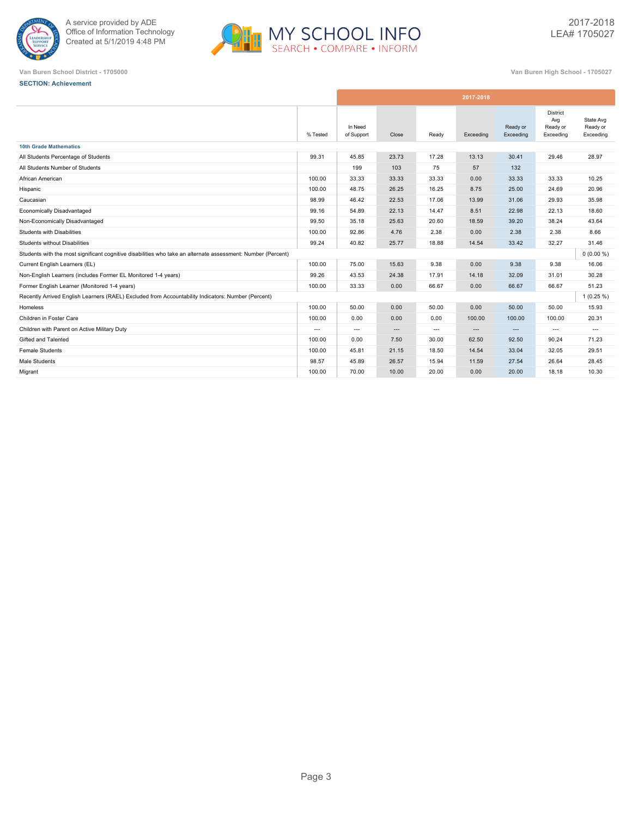



| <b>SECTION: Achievement</b> |
|-----------------------------|
|                             |

|                                                                                                              |          |                       |          |                          | 2017-2018 |                       |                                          |                                    |
|--------------------------------------------------------------------------------------------------------------|----------|-----------------------|----------|--------------------------|-----------|-----------------------|------------------------------------------|------------------------------------|
|                                                                                                              | % Tested | In Need<br>of Support | Close    | Ready                    | Exceeding | Ready or<br>Exceeding | District<br>Avg<br>Ready or<br>Exceeding | State Avg<br>Ready or<br>Exceeding |
| <b>10th Grade Mathematics</b>                                                                                |          |                       |          |                          |           |                       |                                          |                                    |
| All Students Percentage of Students                                                                          | 99.31    | 45.85                 | 23.73    | 17.28                    | 13.13     | 30.41                 | 29.46                                    | 28.97                              |
| All Students Number of Students                                                                              |          | 199                   | 103      | 75                       | 57        | 132                   |                                          |                                    |
| African American                                                                                             | 100.00   | 33.33                 | 33.33    | 33.33                    | 0.00      | 33.33                 | 33.33                                    | 10.25                              |
| Hispanic                                                                                                     | 100.00   | 48.75                 | 26.25    | 16.25                    | 8.75      | 25.00                 | 24.69                                    | 20.96                              |
| Caucasian                                                                                                    | 98.99    | 46.42                 | 22.53    | 17.06                    | 13.99     | 31.06                 | 29.93                                    | 35.98                              |
| Economically Disadvantaged                                                                                   | 99.16    | 54.89                 | 22.13    | 14.47                    | 8.51      | 22.98                 | 22.13                                    | 18.60                              |
| Non-Economically Disadvantaged                                                                               | 99.50    | 35.18                 | 25.63    | 20.60                    | 18.59     | 39.20                 | 38.24                                    | 43.64                              |
| <b>Students with Disabilities</b>                                                                            | 100.00   | 92.86                 | 4.76     | 2.38                     | 0.00      | 2.38                  | 2.38                                     | 8.66                               |
| <b>Students without Disabilities</b>                                                                         | 99.24    | 40.82                 | 25.77    | 18.88                    | 14.54     | 33.42                 | 32.27                                    | 31.46                              |
| Students with the most significant cognitive disabilities who take an alternate assessment: Number (Percent) |          |                       |          |                          |           |                       |                                          | $0(0.00\%)$                        |
| Current English Learners (EL)                                                                                | 100.00   | 75.00                 | 15.63    | 9.38                     | 0.00      | 9.38                  | 9.38                                     | 16.06                              |
| Non-English Learners (includes Former EL Monitored 1-4 years)                                                | 99.26    | 43.53                 | 24.38    | 17.91                    | 14.18     | 32.09                 | 31.01                                    | 30.28                              |
| Former English Learner (Monitored 1-4 years)                                                                 | 100.00   | 33.33                 | 0.00     | 66.67                    | 0.00      | 66.67                 | 66.67                                    | 51.23                              |
| Recently Arrived English Learners (RAEL) Excluded from Accountability Indicators: Number (Percent)           |          |                       |          |                          |           |                       |                                          | $1(0.25\%)$                        |
| Homeless                                                                                                     | 100.00   | 50.00                 | 0.00     | 50.00                    | 0.00      | 50.00                 | 50.00                                    | 15.93                              |
| Children in Foster Care                                                                                      | 100.00   | 0.00                  | 0.00     | 0.00                     | 100.00    | 100.00                | 100.00                                   | 20.31                              |
| Children with Parent on Active Military Duty                                                                 | $\ldots$ | ---                   | $\cdots$ | $\hspace{0.05cm} \ldots$ | $\cdots$  | $\cdots$              | $\cdots$                                 | $---$                              |
| Gifted and Talented                                                                                          | 100.00   | 0.00                  | 7.50     | 30.00                    | 62.50     | 92.50                 | 90.24                                    | 71.23                              |
| Female Students                                                                                              | 100.00   | 45.81                 | 21.15    | 18.50                    | 14.54     | 33.04                 | 32.05                                    | 29.51                              |
| Male Students                                                                                                | 98.57    | 45.89                 | 26.57    | 15.94                    | 11.59     | 27.54                 | 26.64                                    | 28.45                              |
| Migrant                                                                                                      | 100.00   | 70.00                 | 10.00    | 20.00                    | 0.00      | 20.00                 | 18.18                                    | 10.30                              |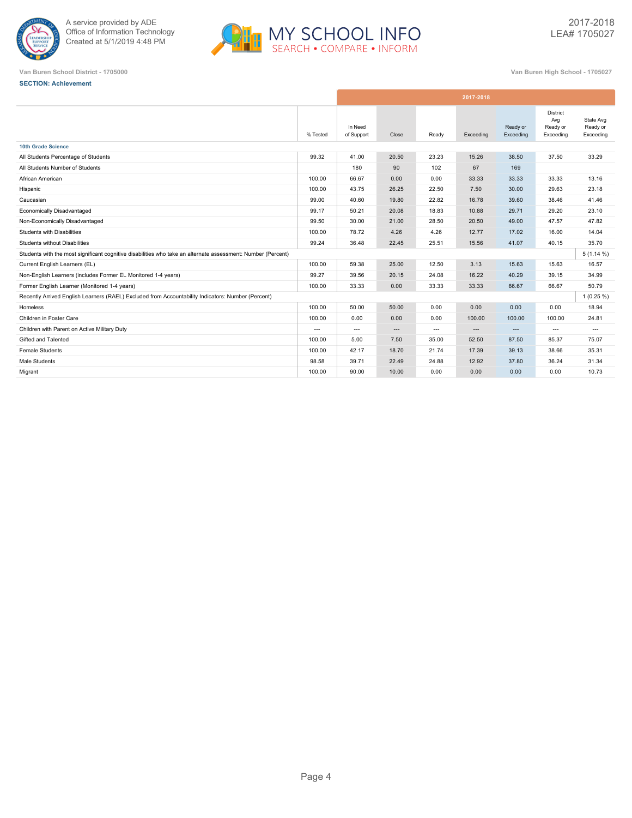



## **SECTION: Achievement**

|                                                                                                              |                          | 2017-2018                |          |          |           |                       |                                          |                                    |
|--------------------------------------------------------------------------------------------------------------|--------------------------|--------------------------|----------|----------|-----------|-----------------------|------------------------------------------|------------------------------------|
|                                                                                                              | % Tested                 | In Need<br>of Support    | Close    | Ready    | Exceeding | Ready or<br>Exceeding | District<br>Avg<br>Ready or<br>Exceeding | State Avg<br>Ready or<br>Exceeding |
| <b>10th Grade Science</b>                                                                                    |                          |                          |          |          |           |                       |                                          |                                    |
| All Students Percentage of Students                                                                          | 99.32                    | 41.00                    | 20.50    | 23.23    | 15.26     | 38.50                 | 37.50                                    | 33.29                              |
| All Students Number of Students                                                                              |                          | 180                      | 90       | 102      | 67        | 169                   |                                          |                                    |
| African American                                                                                             | 100.00                   | 66.67                    | 0.00     | 0.00     | 33.33     | 33.33                 | 33.33                                    | 13.16                              |
| Hispanic                                                                                                     | 100.00                   | 43.75                    | 26.25    | 22.50    | 7.50      | 30.00                 | 29.63                                    | 23.18                              |
| Caucasian                                                                                                    | 99.00                    | 40.60                    | 19.80    | 22.82    | 16.78     | 39.60                 | 38.46                                    | 41.46                              |
| Economically Disadvantaged                                                                                   | 99.17                    | 50.21                    | 20.08    | 18.83    | 10.88     | 29.71                 | 29.20                                    | 23.10                              |
| Non-Economically Disadvantaged                                                                               | 99.50                    | 30.00                    | 21.00    | 28.50    | 20.50     | 49.00                 | 47.57                                    | 47.82                              |
| Students with Disabilities                                                                                   | 100.00                   | 78.72                    | 4.26     | 4.26     | 12.77     | 17.02                 | 16.00                                    | 14.04                              |
| Students without Disabilities                                                                                | 99.24                    | 36.48                    | 22.45    | 25.51    | 15.56     | 41.07                 | 40.15                                    | 35.70                              |
| Students with the most significant cognitive disabilities who take an alternate assessment: Number (Percent) |                          |                          |          |          |           |                       |                                          | $5(1.14\%)$                        |
| Current English Learners (EL)                                                                                | 100.00                   | 59.38                    | 25.00    | 12.50    | 3.13      | 15.63                 | 15.63                                    | 16.57                              |
| Non-English Learners (includes Former EL Monitored 1-4 years)                                                | 99.27                    | 39.56                    | 20.15    | 24.08    | 16.22     | 40.29                 | 39.15                                    | 34.99                              |
| Former English Learner (Monitored 1-4 years)                                                                 | 100.00                   | 33.33                    | 0.00     | 33.33    | 33.33     | 66.67                 | 66.67                                    | 50.79                              |
| Recently Arrived English Learners (RAEL) Excluded from Accountability Indicators: Number (Percent)           |                          |                          |          |          |           |                       |                                          | $1(0.25\%)$                        |
| Homeless                                                                                                     | 100.00                   | 50.00                    | 50.00    | 0.00     | 0.00      | 0.00                  | 0.00                                     | 18.94                              |
| Children in Foster Care                                                                                      | 100.00                   | 0.00                     | 0.00     | 0.00     | 100.00    | 100.00                | 100.00                                   | 24.81                              |
| Children with Parent on Active Military Duty                                                                 | $\hspace{0.05cm} \ldots$ | $\hspace{0.05cm} \ldots$ | $\cdots$ | $\cdots$ | $\cdots$  | $\cdots$              | $\cdots$                                 | $---$                              |
| Gifted and Talented                                                                                          | 100.00                   | 5.00                     | 7.50     | 35.00    | 52.50     | 87.50                 | 85.37                                    | 75.07                              |
| <b>Female Students</b>                                                                                       | 100.00                   | 42.17                    | 18.70    | 21.74    | 17.39     | 39.13                 | 38.66                                    | 35.31                              |
| Male Students                                                                                                | 98.58                    | 39.71                    | 22.49    | 24.88    | 12.92     | 37.80                 | 36.24                                    | 31.34                              |
| Migrant                                                                                                      | 100.00                   | 90.00                    | 10.00    | 0.00     | 0.00      | 0.00                  | 0.00                                     | 10.73                              |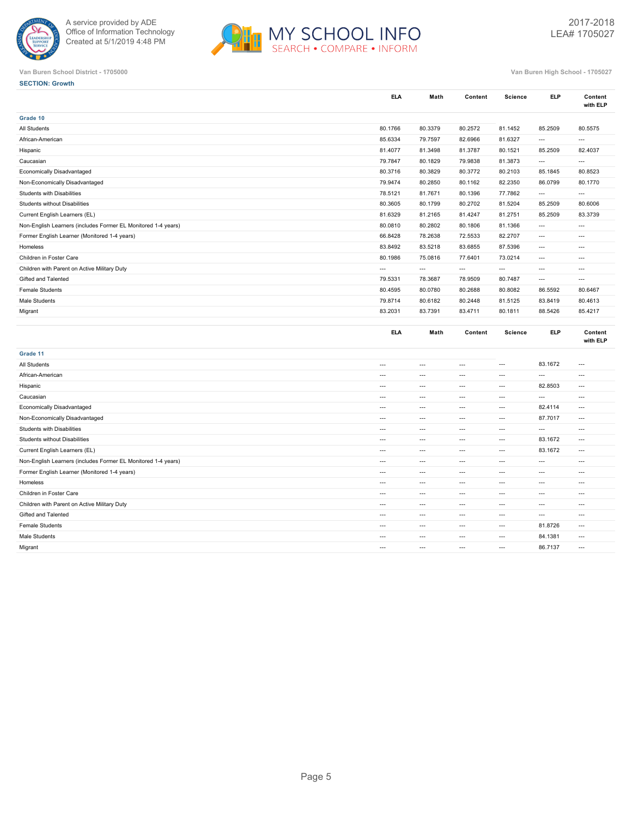

**SECTION: Growth**



|                                                               | <b>ELA</b> | Math    | Content | <b>Science</b> | <b>ELP</b>        | Content<br>with ELP |
|---------------------------------------------------------------|------------|---------|---------|----------------|-------------------|---------------------|
| Grade 10                                                      |            |         |         |                |                   |                     |
| All Students                                                  | 80.1766    | 80.3379 | 80.2572 | 81.1452        | 85.2509           | 80.5575             |
| African-American                                              | 85.6334    | 79.7597 | 82.6966 | 81.6327        | $\qquad \qquad -$ | $\cdots$            |
| Hispanic                                                      | 81.4077    | 81.3498 | 81.3787 | 80.1521        | 85.2509           | 82.4037             |
| Caucasian                                                     | 79.7847    | 80.1829 | 79.9838 | 81.3873        | $\cdots$          | $\cdots$            |
| Economically Disadvantaged                                    | 80.3716    | 80.3829 | 80.3772 | 80.2103        | 85.1845           | 80.8523             |
| Non-Economically Disadvantaged                                | 79.9474    | 80.2850 | 80.1162 | 82.2350        | 86.0799           | 80.1770             |
| Students with Disabilities                                    | 78.5121    | 81.7671 | 80.1396 | 77.7862        | $\cdots$          | ---                 |
| Students without Disabilities                                 | 80.3605    | 80.1799 | 80.2702 | 81.5204        | 85.2509           | 80.6006             |
| Current English Learners (EL)                                 | 81.6329    | 81.2165 | 81.4247 | 81.2751        | 85.2509           | 83.3739             |
| Non-English Learners (includes Former EL Monitored 1-4 years) | 80.0810    | 80.2802 | 80.1806 | 81.1366        | $---$             | $---$               |
| Former English Learner (Monitored 1-4 years)                  | 66.8428    | 78.2638 | 72.5533 | 82.2707        | $\cdots$          | $---$               |
| Homeless                                                      | 83.8492    | 83.5218 | 83.6855 | 87.5396        | $---$             | $\cdots$            |
| Children in Foster Care                                       | 80.1986    | 75.0816 | 77.6401 | 73.0214        | $---$             | $---$               |
| Children with Parent on Active Military Duty                  | $---$      | $---$   | $---$   | $---$          | $---$             | $---$               |
| Gifted and Talented                                           | 79.5331    | 78.3687 | 78.9509 | 80.7487        | $---$             | $---$               |
| <b>Female Students</b>                                        | 80.4595    | 80.0780 | 80.2688 | 80.8082        | 86.5592           | 80.6467             |
| Male Students                                                 | 79.8714    | 80.6182 | 80.2448 | 81.5125        | 83.8419           | 80.4613             |
| Migrant                                                       | 83.2031    | 83.7391 | 83.4711 | 80.1811        | 88.5426           | 85.4217             |
|                                                               |            |         |         |                |                   |                     |
|                                                               | <b>ELA</b> | Math    | Content | <b>Science</b> | <b>ELP</b>        | Content<br>with ELP |

| Grade 11                                                      |       |                          |          |                          |                   |                   |
|---------------------------------------------------------------|-------|--------------------------|----------|--------------------------|-------------------|-------------------|
| All Students                                                  | $---$ | $---$                    | $---$    | $\hspace{0.05cm} \ldots$ | 83.1672           | $\cdots$          |
| African-American                                              | $---$ | $---$                    | $---$    | $---$                    | $---$             | $---$             |
| Hispanic                                                      | $---$ | $---$                    | $---$    | $\hspace{0.05cm} \ldots$ | 82.8503           | $\qquad \qquad -$ |
| Caucasian                                                     | $---$ | $---$                    | $---$    | $---$                    | $---$             | $---$             |
| <b>Economically Disadvantaged</b>                             | $---$ | $---$                    | $---$    | $---$                    | 82.4114           | $\qquad \qquad -$ |
| Non-Economically Disadvantaged                                | $---$ | $\sim$ $\sim$            | $\sim$   | $\hspace{0.05cm} \ldots$ | 87.7017           | $\cdots$          |
| Students with Disabilities                                    | $---$ | $\hspace{0.05cm} \ldots$ | $\cdots$ | $\hspace{0.05cm} \ldots$ | $\cdots$          | $\qquad \qquad -$ |
| Students without Disabilities                                 | $---$ | $---$                    | $---$    | $---$                    | 83.1672           | $\cdots$          |
| Current English Learners (EL)                                 | $---$ | $---$                    | $---$    | $---$                    | 83.1672           | $\cdots$          |
| Non-English Learners (includes Former EL Monitored 1-4 years) | $---$ | $---$                    | $---$    | $---$                    | $\qquad \qquad -$ | $\qquad \qquad -$ |
| Former English Learner (Monitored 1-4 years)                  | $---$ | $---$                    | $---$    | $---$                    | $---$             | $---$             |
| Homeless                                                      | $---$ | $---$                    | $---$    | $---$                    | $---$             | $---$             |
| Children in Foster Care                                       | $---$ | $---$                    | $---$    | $---$                    | $---$             | $---$             |
| Children with Parent on Active Military Duty                  | $---$ | $\hspace{0.05cm} \ldots$ | $---$    | $\hspace{0.05cm} \ldots$ | $\qquad \qquad -$ | $\qquad \qquad -$ |
| Gifted and Talented                                           | $---$ | $\hspace{0.05cm} \ldots$ | $---$    | $\hspace{0.05cm} \ldots$ | $\qquad \qquad -$ | $\qquad \qquad -$ |
| Female Students                                               | $---$ | $---$                    | $---$    | $---$                    | 81.8726           | $\qquad \qquad -$ |
| Male Students                                                 | $---$ | $---$                    | $\sim$   | $\hspace{0.05cm} \ldots$ | 84.1381           | $\cdots$          |
| Migrant                                                       | $---$ | $---$                    | $---$    | $\hspace{0.05cm} \ldots$ | 86.7137           | $\cdots$          |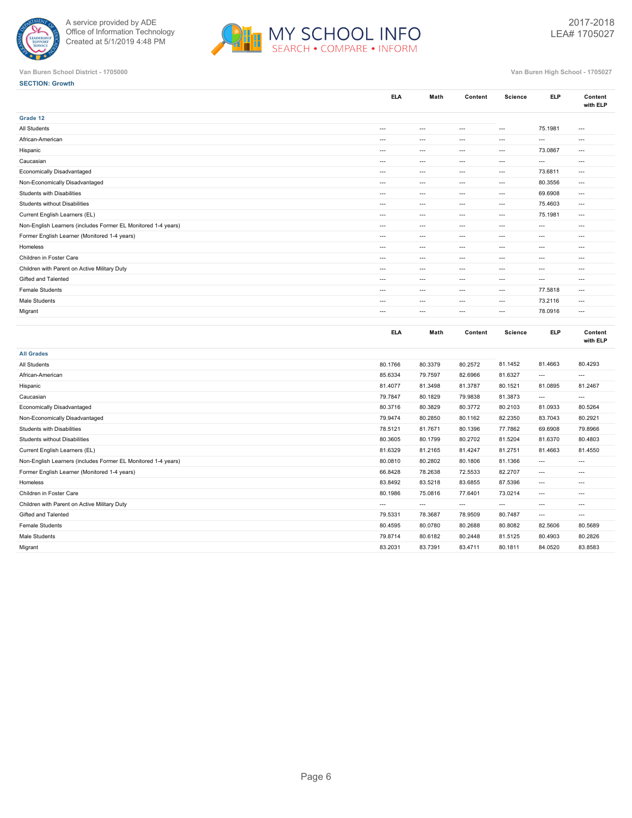

**SECTION: Growth**



|                                                               | <b>ELA</b>               | Math                     | Content                  | <b>Science</b>           | <b>ELP</b>               | Content<br>with ELP      |
|---------------------------------------------------------------|--------------------------|--------------------------|--------------------------|--------------------------|--------------------------|--------------------------|
| Grade 12                                                      |                          |                          |                          |                          |                          |                          |
| All Students                                                  | $\overline{a}$           | $\overline{\phantom{a}}$ | $\overline{a}$           | $\overline{a}$           | 75.1981                  | $---$                    |
| African-American                                              | $\overline{a}$           | $\overline{\phantom{a}}$ | ---                      | $\overline{\phantom{a}}$ | $\overline{\phantom{a}}$ | $\overline{\phantom{a}}$ |
| Hispanic                                                      | $\overline{\phantom{a}}$ | $\overline{\phantom{a}}$ | ---                      | $\overline{\phantom{a}}$ | 73.0867                  | $---$                    |
| Caucasian                                                     | $\overline{a}$           | $\overline{a}$           | $\overline{a}$           | $\overline{a}$           | $\overline{a}$           | $\overline{a}$           |
| Economically Disadvantaged                                    | $\overline{\phantom{a}}$ | $\overline{\phantom{a}}$ | $\overline{a}$           | $\overline{\phantom{a}}$ | 73.6811                  | $\overline{\phantom{a}}$ |
| Non-Economically Disadvantaged                                | $\overline{\phantom{a}}$ | $\overline{\phantom{a}}$ | ---                      | ---                      | 80.3556                  | ---                      |
| Students with Disabilities                                    | $\overline{\phantom{a}}$ | $\overline{\phantom{a}}$ | $\overline{a}$           | $\overline{\phantom{a}}$ | 69.6908                  | $\overline{\phantom{a}}$ |
| Students without Disabilities                                 | $\overline{a}$           | $\overline{\phantom{a}}$ | $\overline{a}$           | $\overline{a}$           | 75.4603                  | $\overline{a}$           |
| Current English Learners (EL)                                 | $\overline{\phantom{a}}$ | $\overline{\phantom{a}}$ | ---                      | ---                      | 75.1981                  | ---                      |
| Non-English Learners (includes Former EL Monitored 1-4 years) | $\overline{a}$           | $\overline{\phantom{a}}$ | ---                      | $\overline{a}$           | ---                      | ---                      |
| Former English Learner (Monitored 1-4 years)                  | $\overline{\phantom{a}}$ | $\overline{\phantom{a}}$ | $\overline{\phantom{a}}$ | $\overline{a}$           | ---                      | ---                      |
| Homeless                                                      | $\overline{a}$           | $\overline{\phantom{a}}$ | $\overline{a}$           | ---                      | $\overline{a}$           | ---                      |
| Children in Foster Care                                       | $\overline{\phantom{a}}$ | $\overline{\phantom{a}}$ | $\overline{a}$           | $\overline{\phantom{a}}$ | $\overline{a}$           | $\overline{\phantom{a}}$ |
| Children with Parent on Active Military Duty                  | $\overline{\phantom{a}}$ | $\overline{\phantom{a}}$ | ---                      | $\overline{a}$           | $\overline{\phantom{a}}$ | $\overline{\phantom{a}}$ |
| Gifted and Talented                                           | $\overline{\phantom{a}}$ | $\overline{\phantom{a}}$ | ---                      | $\overline{a}$           | ---                      | ---                      |
| <b>Female Students</b>                                        | $\overline{a}$           | $\overline{\phantom{a}}$ | ---                      | $\overline{a}$           | 77.5818                  | $\overline{a}$           |
| Male Students                                                 | $\overline{\phantom{a}}$ | $\overline{\phantom{a}}$ | $\hspace{0.05cm} \ldots$ | $\overline{\phantom{a}}$ | 73.2116                  | $\hspace{0.05cm} \ldots$ |
| Migrant                                                       | $\overline{a}$           | ---                      | ---                      | ---                      | 78.0916                  | ---                      |
|                                                               |                          |                          |                          |                          |                          |                          |
|                                                               | <b>ELA</b>               | Math                     | Content                  | <b>Science</b>           | <b>ELP</b>               | Content<br>with ELP      |
| <b>All Grades</b>                                             |                          |                          |                          |                          |                          |                          |
| All Students                                                  | 80.1766                  | 80.3379                  | 80.2572                  | 81.1452                  | 81.4663                  | 80.4293                  |
| African-American                                              | 85.6334                  | 79.7597                  | 82.6966                  | 81.6327                  | $\overline{a}$           | $\overline{a}$           |
| Hispanic                                                      | 81.4077                  | 81.3498                  | 81.3787                  | 80.1521                  | 81.0895                  | 81.2467                  |
| Caucasian                                                     | 79.7847                  | 80.1829                  | 79.9838                  | 81.3873                  | $\overline{\phantom{a}}$ | $\overline{a}$           |
| Economically Disadvantaged                                    | 80.3716                  | 80.3829                  | 80.3772                  | 80.2103                  | 81.0933                  | 80.5264                  |
| Non-Economically Disadvantaged                                | 79.9474                  | 80.2850                  | 80.1162                  | 82.2350                  | 83.7043                  | 80.2921                  |
| Students with Disabilities                                    | 78.5121                  | 81.7671                  | 80.1396                  | 77.7862                  | 69.6908                  | 79.8966                  |
| Students without Disabilities                                 | 80.3605                  | 80.1799                  | 80.2702                  | 81.5204                  | 81.6370                  | 80.4803                  |
| Current English Learners (EL)                                 | 81.6329                  | 81.2165                  | 81.4247                  | 81.2751                  | 81.4663                  | 81.4550                  |
| Non-English Learners (includes Former EL Monitored 1-4 years) | 80.0810                  | 80.2802                  | 80.1806                  | 81.1366                  | $\overline{\phantom{a}}$ | $\overline{a}$           |
| Former English Learner (Monitored 1-4 years)                  | 66.8428                  | 78.2638                  | 72.5533                  | 82.2707                  | $\overline{\phantom{a}}$ | $\overline{\phantom{a}}$ |
| Homeless                                                      | 83.8492                  | 83.5218                  | 83.6855                  | 87.5396                  | $\overline{\phantom{a}}$ | ---                      |
| Children in Foster Care                                       | 80.1986                  | 75.0816                  | 77.6401                  | 73.0214                  | ---                      | ---                      |
| Children with Parent on Active Military Duty                  | $\overline{a}$           | ---                      | ---                      | ---                      | $\overline{a}$           | ---                      |
| Gifted and Talented                                           | 79.5331                  | 78.3687                  | 78.9509                  | 80.7487                  | $\overline{\phantom{a}}$ | $\overline{\phantom{a}}$ |
| <b>Female Students</b>                                        | 80.4595                  | 80.0780                  | 80.2688                  | 80.8082                  | 82.5606                  | 80.5689                  |
| Male Students                                                 | 79.8714                  | 80.6182                  | 80.2448                  | 81.5125                  | 80.4903                  | 80.2826                  |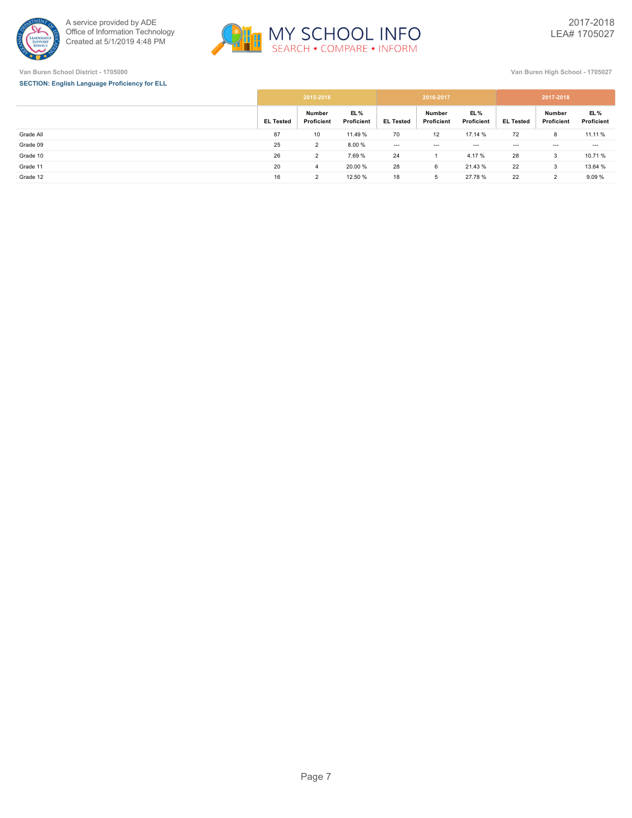



#### **SECTION: English Language Proficiency for ELL**

|           |                  | 2015-2016            |                   |                  | 2016-2017            |                    | 2017-2018        |                      |                    |  |
|-----------|------------------|----------------------|-------------------|------------------|----------------------|--------------------|------------------|----------------------|--------------------|--|
|           | <b>EL Tested</b> | Number<br>Proficient | EL%<br>Proficient | <b>EL Tested</b> | Number<br>Proficient | EL %<br>Proficient | <b>EL Tested</b> | Number<br>Proficient | EL %<br>Proficient |  |
| Grade All | 87               | 10                   | 11.49 %           | 70               | 12                   | 17.14 %            | 72               | 8                    | 11.11 %            |  |
| Grade 09  | 25               | $\overline{2}$       | 8.00 %            | $---$            | $---$                | $- - -$            | $- - -$          | $---$                | $---$              |  |
| Grade 10  | 26               | $\overline{2}$       | 7.69 %            | 24               |                      | 4.17 %             | 28               | 3                    | 10.71 %            |  |
| Grade 11  | 20               | $\overline{4}$       | 20.00 %           | 28               | 6                    | 21.43 %            | 22               | 3                    | 13.64 %            |  |
| Grade 12  | 16               | $\overline{2}$       | 12.50 %           | 18               | 5                    | 27.78 %            | 22               | 2                    | 9.09%              |  |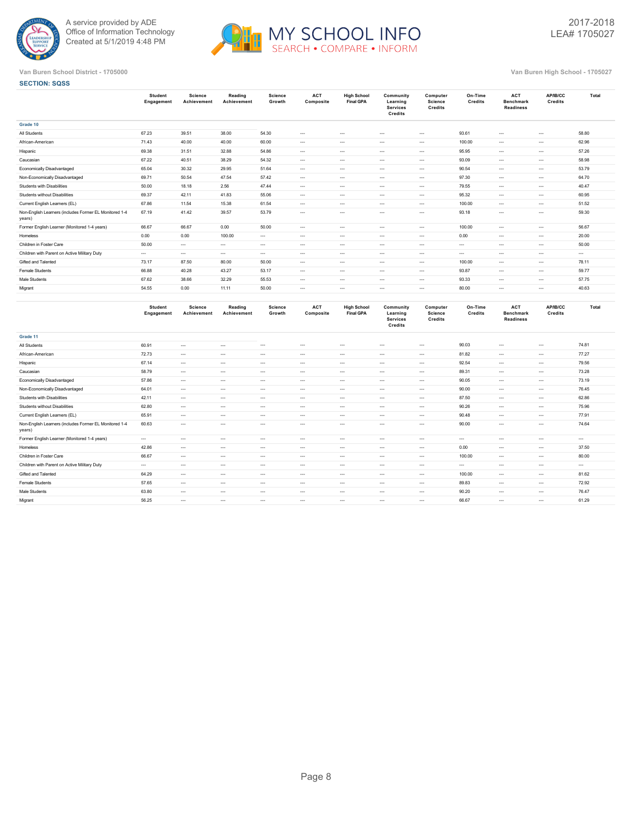![](_page_7_Picture_0.jpeg)

**SECTION: SQSS**

![](_page_7_Picture_2.jpeg)

|                                                                  | <b>Student</b><br>Engagement | Science<br>Achievement | Reading<br>Achievement | Science<br>Growth | <b>ACT</b><br>Composite | <b>High School</b><br><b>Final GPA</b> | Community<br>Learning<br><b>Services</b><br>Credits | Computer<br>Science<br>Credits | On-Time<br>Credits | <b>ACT</b><br><b>Benchmark</b><br><b>Readiness</b> | AP/IB/CC<br>Credits | Total |
|------------------------------------------------------------------|------------------------------|------------------------|------------------------|-------------------|-------------------------|----------------------------------------|-----------------------------------------------------|--------------------------------|--------------------|----------------------------------------------------|---------------------|-------|
| Grade 10                                                         |                              |                        |                        |                   |                         |                                        |                                                     |                                |                    |                                                    |                     |       |
| All Students                                                     | 67.23                        | 39.51                  | 38.00                  | 54.30             | $\sim$                  | $\cdots$                               | $\cdots$                                            | $\cdots$                       | 93.61              | $\cdots$                                           | $---$               | 58.80 |
| African-American                                                 | 71.43                        | 40.00                  | 40.00                  | 60.00             | $\sim$                  | $\cdots$                               | $\cdots$                                            | $\cdots$                       | 100.00             | $\cdots$                                           | $---$               | 62.96 |
| Hispanic                                                         | 69.38                        | 31.51                  | 32.88                  | 54.86             | $\sim$                  | $\cdots$                               | $\cdots$                                            | $\cdots$                       | 95.95              | $\cdots$                                           | $---$               | 57.26 |
| Caucasian                                                        | 67.22                        | 40.51                  | 38.29                  | 54.32             | $\sim$ $\sim$           | $\cdots$                               | $\cdots$                                            | $\cdots$                       | 93.09              | $\cdots$                                           | $\cdots$            | 58.98 |
| Economically Disadvantaged                                       | 65.04                        | 30.32                  | 29.95                  | 51.64             | $\sim$ $\sim$           | $\cdots$                               | $\cdots$                                            | $\cdots$                       | 90.54              | $\cdots$                                           | $---$               | 53.79 |
| Non-Economically Disadvantaged                                   | 69.71                        | 50.54                  | 47.54                  | 57.42             | $\sim$ $\sim$           | $\cdots$                               | $\cdots$                                            | $\cdots$                       | 97.30              | $\cdots$                                           | $---$               | 64.70 |
| Students with Disabilities                                       | 50.00                        | 18.18                  | 2.56                   | 47.44             | $\sim$ $\sim$           | $\cdots$                               | $\cdots$                                            | $\cdots$                       | 79.55              | $\cdots$                                           | $\cdots$            | 40.47 |
| Students without Disabilities                                    | 69.37                        | 42.11                  | 41.83                  | 55.06             | $\sim$ $\sim$           | $\cdots$                               | $\cdots$                                            | $\cdots$                       | 95.32              | $\cdots$                                           | $---$               | 60.95 |
| Current English Learners (EL)                                    | 67.86                        | 11.54                  | 15.38                  | 61.54             | $\sim$                  | $\cdots$                               | $\cdots$                                            | $\cdots$                       | 100.00             | $\cdots$                                           | $---$               | 51.52 |
| Non-English Learners (includes Former EL Monitored 1-4<br>years) | 67.19                        | 41.42                  | 39.57                  | 53.79             | $\sim$                  | $\cdots$                               | $\cdots$                                            | $\cdots$                       | 93.18              | $\cdots$                                           | $---$               | 59.30 |
| Former English Learner (Monitored 1-4 years)                     | 66.67                        | 66.67                  | 0.00                   | 50.00             | $\sim$ $\sim$           | $\cdots$                               | $\cdots$                                            | $\cdots$                       | 100.00             | $\cdots$                                           | $\cdots$            | 56.67 |
| Homeless                                                         | 0.00                         | 0.00                   | 100.00                 | $\sim$ $\sim$     | $\sim$ $\sim$           | $\cdots$                               | $\cdots$                                            | $\cdots$                       | 0.00               | $\cdots$                                           | $\cdots$            | 20.00 |
| Children in Foster Care                                          | 50.00                        | $\cdots$               | $\cdots$               | $\cdots$          | $\sim$                  | $\cdots$                               | $\cdots$                                            | $\cdots$                       | $\sim$             | $\cdots$                                           | $\cdots$            | 50.00 |
| Children with Parent on Active Military Duty                     | $\cdots$                     | $\cdots$               | $\cdots$               | $\sim$ $\sim$     | $\sim$                  | $\cdots$                               | $\cdots$                                            | $\cdots$                       | $\sim$             | $\cdots$                                           | $---$               | $---$ |
| Gifted and Talented                                              | 73.17                        | 87.50                  | 80.00                  | 50.00             | $-1$                    | $\cdots$                               | $\cdots$                                            | $\cdots$                       | 100.00             | $\cdots$                                           | $---$               | 78.11 |
| <b>Female Students</b>                                           | 66.88                        | 40.28                  | 43.27                  | 53.17             | $-1$                    | $\cdots$                               | $\cdots$                                            | $\sim$ $ -$                    | 93.87              | $\sim$ $\sim$                                      | $\cdots$            | 59.77 |
| Male Students                                                    | 67.62                        | 38.66                  | 32.29                  | 55.53             | $-1$                    | $\cdots$                               | $\cdots$                                            | $\cdots$                       | 93.33              | $\cdots$                                           | $\cdots$            | 57.75 |
| Migrant                                                          | 54.55                        | 0.00                   | 11.11                  | 50.00             | $\sim$                  | $- - -$                                | $\cdots$                                            | $\cdots$                       | 80.00              | $\cdots$                                           | $---$               | 40.63 |
|                                                                  |                              |                        |                        |                   |                         |                                        |                                                     |                                |                    |                                                    |                     |       |

|                                                                  | <b>Student</b><br>Engagement | Science<br>Achievement | Reading<br>Achievement | Science<br>Growth | <b>ACT</b><br>Composite | <b>High School</b><br><b>Final GPA</b> | Community<br>Learning<br><b>Services</b><br>Credits | Computer<br>Science<br>Credits | On-Time<br>Credits | <b>ACT</b><br><b>Benchmark</b><br><b>Readiness</b> | AP/IB/CC<br>Credits | Total    |
|------------------------------------------------------------------|------------------------------|------------------------|------------------------|-------------------|-------------------------|----------------------------------------|-----------------------------------------------------|--------------------------------|--------------------|----------------------------------------------------|---------------------|----------|
| Grade 11                                                         |                              |                        |                        |                   |                         |                                        |                                                     |                                |                    |                                                    |                     |          |
| All Students                                                     | 60.91                        | $\cdots$               | $\cdots$               | $\cdots$          | $\sim$                  | $\cdots$                               | $\cdots$                                            | $\cdots$                       | 90.03              |                                                    | $\cdots$            | 74.81    |
| African-American                                                 | 72.73                        | $\cdots$               | $\cdots$               | $\cdots$          | $\sim$                  | $\cdots$                               | $\cdots$                                            | $\cdots$                       | 81.82              | $---$                                              | $\cdots$            | 77.27    |
| Hispanic                                                         | 67.14                        | $\cdots$               | $\cdots$               | $\cdots$          | $\sim$                  | $\cdots$                               | $\cdots$                                            | $\cdots$                       | 92.54              | $\sim$                                             | $\cdots$            | 79.56    |
| Caucasian                                                        | 58.79                        | $\cdots$               | $\cdots$               | $\cdots$          | $\sim$                  | $\cdots$                               | $\cdots$                                            | $\cdots$                       | 89.31              | $---$                                              | $\cdots$            | 73.28    |
| <b>Economically Disadvantaged</b>                                | 57.86                        | $\cdots$               | $\cdots$               | $\cdots$          | $\sim$                  | $\cdots$                               | $\cdots$                                            | $\cdots$                       | 90.05              |                                                    | $\cdots$            | 73.19    |
| Non-Economically Disadvantaged                                   | 64.01                        | $\cdots$               | $---$                  | $\cdots$          | $\sim$                  | $\cdots$                               | $\cdots$                                            | $\cdots$                       | 90.00              | $---$                                              | $\cdots$            | 76.45    |
| Students with Disabilities                                       | 42.11                        | $\cdots$               | $\cdots$               | $\cdots$          | $\sim$                  | $\cdots$                               | $\cdots$                                            | $\cdots$                       | 87.50              | $\sim$                                             | $\cdots$            | 62.86    |
| Students without Disabilities                                    | 62.80                        | $\cdots$               | $\cdots$               | $\cdots$          | $\sim$                  | $\cdots$                               | $\cdots$                                            | $\cdots$                       | 90.26              | $---$                                              | $\cdots$            | 75.96    |
| Current English Learners (EL)                                    | 65.91                        | $---$                  | $\cdots$               | $\cdots$          | $\sim$                  | $\cdots$                               | $\cdots$                                            | $\cdots$                       | 90.48              | $---$                                              | $\cdots$            | 77.91    |
| Non-English Learners (includes Former EL Monitored 1-4<br>years) | 60.63                        | $\cdots$               | $\cdots$               | $\cdots$          | $\sim$                  | $\cdots$                               | $\cdots$                                            | $\cdots$                       | 90.00              | $---$                                              | $\cdots$            | 74.64    |
| Former English Learner (Monitored 1-4 years)                     | $- - -$                      | $\cdots$               | $---$                  | $\cdots$          | $\sim$                  | $\cdots$                               | $\cdots$                                            | $\cdots$                       | $\cdots$           |                                                    | $\cdots$            | $\cdots$ |
| Homeless                                                         | 42.86                        | $---$                  | $\cdots$               | $\cdots$          | $\sim$                  | $\cdots$                               | $\cdots$                                            | $\cdots$                       | 0.00               | $\cdots$                                           | $\cdots$            | 37.50    |
| Children in Foster Care                                          | 66.67                        | $\cdots$               | $\cdots$               | $\cdots$          | $\sim$                  | $\cdots$                               | $\cdots$                                            | $\cdots$                       | 100.00             | $---$                                              | $\cdots$            | 80.00    |
| Children with Parent on Active Military Duty                     | $- - -$                      | $---$                  | $\cdots$               | $\cdots$          | $\sim$                  | $\cdots$                               | $\cdots$                                            | $\cdots$                       | $\cdots$           | $---$                                              | $\cdots$            | $\cdots$ |
| Gifted and Talented                                              | 64.29                        | $---$                  | $\cdots$               | $\cdots$          | $\sim$                  | $\cdots$                               | $\cdots$                                            | $\cdots$                       | 100.00             | $---$                                              | $\cdots$            | 81.62    |
| Female Students                                                  | 57.65                        | $\cdots$               | $\cdots$               | $\cdots$          | $\sim$                  | $\cdots$                               | $\cdots$                                            | $\cdots$                       | 89.83              | $---$                                              | $\cdots$            | 72.92    |
| Male Students                                                    | 63.80                        | $\cdots$               | $\cdots$               | $\cdots$          | $\sim$                  | $\cdots$                               | $\cdots$                                            | $\cdots$                       | 90.20              | $---$                                              | $\cdots$            | 76.47    |
| Migrant                                                          | 56.25                        | $\cdots$               | $\cdots$               | $\cdots$          | $\sim$                  | $\cdots$                               | $\cdots$                                            | $\cdots$                       | 66.67              | $---$                                              | $\cdots$            | 61.29    |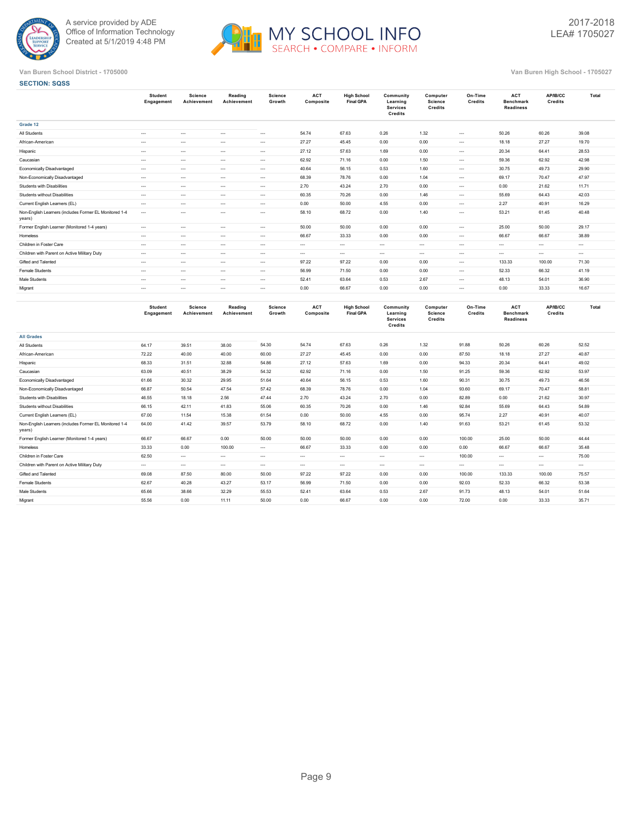![](_page_8_Picture_0.jpeg)

**SECTION: SQSS**

![](_page_8_Picture_2.jpeg)

|                                                                  | <b>Student</b><br>Engagement | Science<br>Achievement | Reading<br>Achievement | <b>Science</b><br>Growth | <b>ACT</b><br>Composite | <b>High School</b><br><b>Final GPA</b> | Community<br>Learning<br><b>Services</b><br>Credits | Computer<br>Science<br><b>Credits</b> | On-Time<br>Credits | <b>ACT</b><br><b>Benchmark</b><br><b>Readiness</b> | AP/IB/CC<br>Credits | Total    |
|------------------------------------------------------------------|------------------------------|------------------------|------------------------|--------------------------|-------------------------|----------------------------------------|-----------------------------------------------------|---------------------------------------|--------------------|----------------------------------------------------|---------------------|----------|
| Grade 12                                                         |                              |                        |                        |                          |                         |                                        |                                                     |                                       |                    |                                                    |                     |          |
| All Students                                                     | $---$                        | $---$                  | $\cdots$               | $\cdots$                 | 54.74                   | 67.63                                  | 0.26                                                | 1.32                                  | $\cdots$           | 50.26                                              | 60.26               | 39.08    |
| African-American                                                 | $---$                        | $---$                  |                        | $\cdots$                 | 27.27                   | 45.45                                  | 0.00                                                | 0.00                                  | $\cdots$           | 18.18                                              | 27.27               | 19.70    |
| Hispanic                                                         | $---$                        | $\cdots$               | $\cdots$               | $\cdots$                 | 27.12                   | 57.63                                  | 1.69                                                | 0.00                                  | $\cdots$           | 20.34                                              | 64.41               | 28.53    |
| Caucasian                                                        | $---$                        | $\cdots$               | $\cdots$               | $\cdots$                 | 62.92                   | 71.16                                  | 0.00                                                | 1.50                                  | $\cdots$           | 59.36                                              | 62.92               | 42.98    |
| Economically Disadvantaged                                       | $---$                        | $\cdots$               | $\cdots$               | $\cdots$                 | 40.64                   | 56.15                                  | 0.53                                                | 1.60                                  | $\cdots$           | 30.75                                              | 49.73               | 29.90    |
| Non-Economically Disadvantaged                                   | $---$                        | $\cdots$               | $\cdots$               | $\cdots$                 | 68.39                   | 78.76                                  | 0.00                                                | 1.04                                  | $\cdots$           | 69.17                                              | 70.47               | 47.97    |
| Students with Disabilities                                       | $---$                        | $\cdots$               | $\cdots$               | $\cdots$                 | 2.70                    | 43.24                                  | 2.70                                                | 0.00                                  | $\cdots$           | 0.00                                               | 21.62               | 11.71    |
| Students without Disabilities                                    | $---$                        | $\cdots$               | $\cdots$               | $\cdots$                 | 60.35                   | 70.26                                  | 0.00                                                | 1.46                                  | $\cdots$           | 55.69                                              | 64.43               | 42.03    |
| Current English Learners (EL)                                    | $---$                        | $\cdots$               | $\cdots$               | $\cdots$                 | 0.00                    | 50.00                                  | 4.55                                                | 0.00                                  | $\cdots$           | 2.27                                               | 40.91               | 16.29    |
| Non-English Learners (includes Former EL Monitored 1-4<br>years) | $\sim$                       | $---$                  | $\cdots$               | $\cdots$                 | 58.10                   | 68.72                                  | 0.00                                                | 1.40                                  | $\cdots$           | 53.21                                              | 61.45               | 40.48    |
| Former English Learner (Monitored 1-4 years)                     | $---$                        | $\cdots$               | $\cdots$               | $\cdots$                 | 50.00                   | 50.00                                  | 0.00                                                | 0.00                                  | $\cdots$           | 25.00                                              | 50.00               | 29.17    |
| Homeless                                                         | $\cdots$                     | $\cdots$               | $\cdots$               | $\cdots$                 | 66.67                   | 33.33                                  | 0.00                                                | 0.00                                  | $\sim$             | 66.67                                              | 66.67               | 38.89    |
| Children in Foster Care                                          |                              | $\cdots$               |                        | $\cdots$                 | $\sim$                  | $\cdots$                               | $\cdots$                                            | $\cdots$                              | $\cdots$           | $\cdots$                                           | $\ldots$            | $\cdots$ |
| Children with Parent on Active Military Duty                     | $---$                        | $\cdots$               | $\cdots$               | $\cdots$                 | $\cdots$                | $\cdots$                               | $\ldots$                                            | $\sim$ $\sim$                         | $\cdots$           | $\cdots$                                           | $\cdots$            | $\cdots$ |
| Gifted and Talented                                              | $\sim$                       | $\cdots$               | $\cdots$               | $\cdots$                 | 97.22                   | 97.22                                  | 0.00                                                | 0.00                                  | $\sim$             | 133.33                                             | 100.00              | 71.30    |
| Female Students                                                  | $---$                        | $\cdots$               | $\cdots$               | $\cdots$                 | 56.99                   | 71.50                                  | 0.00                                                | 0.00                                  | $\sim$             | 52.33                                              | 66.32               | 41.19    |
| Male Students                                                    | $---$                        | $\cdots$               | $\cdots$               | $\cdots$                 | 52.41                   | 63.64                                  | 0.53                                                | 2.67                                  | $\cdots$           | 48.13                                              | 54.01               | 36.90    |
| Migrant                                                          |                              | $\cdots$               | $\cdots$               | $\cdots$                 | 0.00                    | 66.67                                  | 0.00                                                | 0.00                                  | $\cdots$           | 0.00                                               | 33.33               | 16.67    |
|                                                                  |                              |                        |                        |                          |                         |                                        |                                                     |                                       |                    |                                                    |                     |          |

|                                                                  | <b>Student</b><br>Engagement | Science<br>Achievement | Reading<br>Achievement | Science<br>Growth | <b>ACT</b><br>Composite | <b>High School</b><br><b>Final GPA</b> | Community<br>Learning<br><b>Services</b><br>Credits | Computer<br>Science<br>Credits | On-Time<br>Credits | <b>ACT</b><br><b>Benchmark</b><br><b>Readiness</b> | AP/IB/CC<br>Credits | Total    |
|------------------------------------------------------------------|------------------------------|------------------------|------------------------|-------------------|-------------------------|----------------------------------------|-----------------------------------------------------|--------------------------------|--------------------|----------------------------------------------------|---------------------|----------|
| <b>All Grades</b>                                                |                              |                        |                        |                   |                         |                                        |                                                     |                                |                    |                                                    |                     |          |
| All Students                                                     | 64.17                        | 39.51                  | 38.00                  | 54.30             | 54.74                   | 67.63                                  | 0.26                                                | 1.32                           | 91.88              | 50.26                                              | 60.26               | 52.52    |
| African-American                                                 | 72.22                        | 40.00                  | 40.00                  | 60.00             | 27.27                   | 45.45                                  | 0.00                                                | 0.00                           | 87.50              | 18.18                                              | 27.27               | 40.87    |
| Hispanic                                                         | 68.33                        | 31.51                  | 32.88                  | 54.86             | 27.12                   | 57.63                                  | 1.69                                                | 0.00                           | 94.33              | 20.34                                              | 64.41               | 49.02    |
| Caucasian                                                        | 63.09                        | 40.51                  | 38.29                  | 54.32             | 62.92                   | 71.16                                  | 0.00                                                | 1.50                           | 91.25              | 59.36                                              | 62.92               | 53.97    |
| Economically Disadvantaged                                       | 61.66                        | 30.32                  | 29.95                  | 51.64             | 40.64                   | 56.15                                  | 0.53                                                | 1.60                           | 90.31              | 30.75                                              | 49.73               | 46.56    |
| Non-Economically Disadvantaged                                   | 66.87                        | 50.54                  | 47.54                  | 57.42             | 68.39                   | 78.76                                  | 0.00                                                | 1.04                           | 93.60              | 69.17                                              | 70.47               | 58.81    |
| Students with Disabilities                                       | 46.55                        | 18.18                  | 2.56                   | 47.44             | 2.70                    | 43.24                                  | 2.70                                                | 0.00                           | 82.89              | 0.00                                               | 21.62               | 30.97    |
| Students without Disabilities                                    | 66.15                        | 42.11                  | 41.83                  | 55.06             | 60.35                   | 70.26                                  | 0.00                                                | 1.46                           | 92.84              | 55.69                                              | 64.43               | 54.89    |
| Current English Learners (EL)                                    | 67.00                        | 11.54                  | 15.38                  | 61.54             | 0.00                    | 50.00                                  | 4.55                                                | 0.00                           | 95.74              | 2.27                                               | 40.91               | 40.07    |
| Non-English Learners (includes Former EL Monitored 1-4<br>years) | 64.00                        | 41.42                  | 39.57                  | 53.79             | 58.10                   | 68.72                                  | 0.00                                                | 1.40                           | 91.63              | 53.21                                              | 61.45               | 53.32    |
| Former English Learner (Monitored 1-4 years)                     | 66.67                        | 66.67                  | 0.00                   | 50.00             | 50.00                   | 50.00                                  | 0.00                                                | 0.00                           | 100.00             | 25.00                                              | 50.00               | 44.44    |
| Homeless                                                         | 33.33                        | 0.00                   | 100.00                 | $-1$              | 66.67                   | 33.33                                  | 0.00                                                | 0.00                           | 0.00               | 66.67                                              | 66.67               | 35.48    |
| Children in Foster Care                                          | 62.50                        | $---$                  | $---$                  | $\cdots$          | $-1$                    | $\cdots$                               | $\cdots$                                            | $\cdots$                       | 100.00             | $\cdots$                                           | $\cdots$            | 75.00    |
| Children with Parent on Active Military Duty                     | $- - -$                      | $\cdots$               | $---$                  | $- - -$           | $\sim$                  | $\cdots$                               | $\cdots$                                            | $\cdots$                       | $\cdots$           | $---$                                              | $\cdots$            | $\cdots$ |
| Gifted and Talented                                              | 69.08                        | 87.50                  | 80.00                  | 50.00             | 97.22                   | 97.22                                  | 0.00                                                | 0.00                           | 100.00             | 133.33                                             | 100.00              | 75.57    |
| Female Students                                                  | 62.67                        | 40.28                  | 43.27                  | 53.17             | 56.99                   | 71.50                                  | 0.00                                                | 0.00                           | 92.03              | 52.33                                              | 66.32               | 53.38    |
| Male Students                                                    | 65.66                        | 38.66                  | 32.29                  | 55.53             | 52.41                   | 63.64                                  | 0.53                                                | 2.67                           | 91.73              | 48.13                                              | 54.01               | 51.64    |
| Migrant                                                          | 55.56                        | 0.00                   | 11.11                  | 50.00             | 0.00                    | 66.67                                  | 0.00                                                | 0.00                           | 72.00              | 0.00                                               | 33.33               | 35.71    |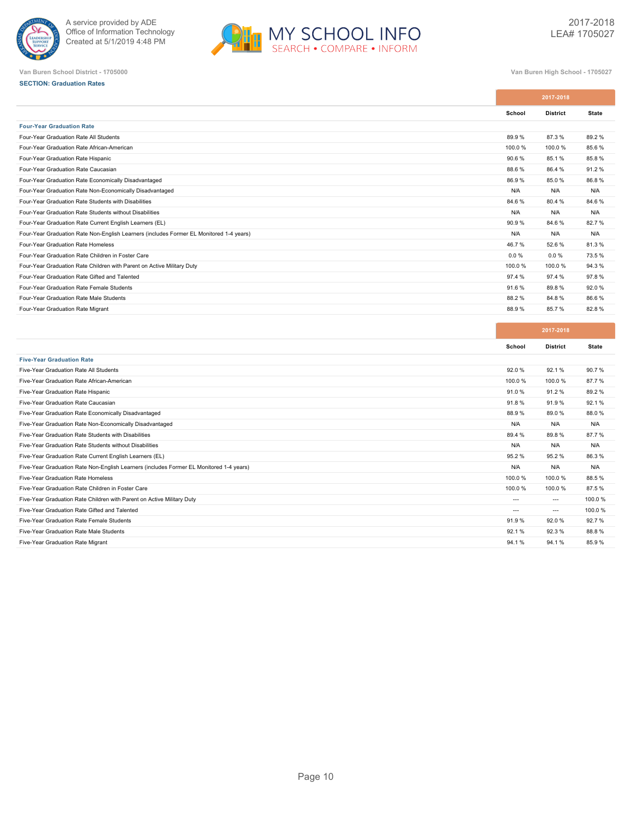![](_page_9_Picture_0.jpeg)

![](_page_9_Picture_2.jpeg)

## **SECTION: Graduation Rates**

|                                                                                         | 2017-2018 |                 |              |
|-----------------------------------------------------------------------------------------|-----------|-----------------|--------------|
|                                                                                         | School    | <b>District</b> | <b>State</b> |
| <b>Four-Year Graduation Rate</b>                                                        |           |                 |              |
| Four-Year Graduation Rate All Students                                                  | 89.9%     | 87.3%           | 89.2%        |
| Four-Year Graduation Rate African-American                                              | 100.0%    | 100.0%          | 85.6%        |
| Four-Year Graduation Rate Hispanic                                                      | 90.6%     | 85.1%           | 85.8%        |
| Four-Year Graduation Rate Caucasian                                                     | 88.6%     | 86.4%           | 91.2%        |
| Four-Year Graduation Rate Economically Disadvantaged                                    | 86.9%     | 85.0%           | 86.8%        |
| Four-Year Graduation Rate Non-Economically Disadvantaged                                | N/A       | N/A             | N/A          |
| Four-Year Graduation Rate Students with Disabilities                                    | 84.6%     | 80.4%           | 84.6%        |
| Four-Year Graduation Rate Students without Disabilities                                 | N/A       | N/A             | N/A          |
| Four-Year Graduation Rate Current English Learners (EL)                                 | 90.9%     | 84.6%           | 82.7%        |
| Four-Year Graduation Rate Non-English Learners (includes Former EL Monitored 1-4 years) | N/A       | N/A             | N/A          |
| Four-Year Graduation Rate Homeless                                                      | 46.7%     | 52.6%           | 81.3%        |
| Four-Year Graduation Rate Children in Foster Care                                       | 0.0%      | $0.0 \%$        | 73.5%        |
| Four-Year Graduation Rate Children with Parent on Active Military Duty                  | 100.0%    | 100.0%          | 94.3%        |
| Four-Year Graduation Rate Gifted and Talented                                           | 97.4 %    | 97.4%           | 97.8%        |
| Four-Year Graduation Rate Female Students                                               | 91.6%     | 89.8%           | 92.0%        |
| Four-Year Graduation Rate Male Students                                                 | 88.2%     | 84.8%           | 86.6%        |
| Four-Year Graduation Rate Migrant                                                       | 88.9%     | 85.7%           | 82.8%        |
|                                                                                         |           |                 |              |

|                                                                                         | 2017-2018 |                 |              |
|-----------------------------------------------------------------------------------------|-----------|-----------------|--------------|
|                                                                                         | School    | <b>District</b> | <b>State</b> |
| <b>Five-Year Graduation Rate</b>                                                        |           |                 |              |
| Five-Year Graduation Rate All Students                                                  | 92.0%     | 92.1%           | 90.7%        |
| Five-Year Graduation Rate African-American                                              | 100.0%    | 100.0%          | 87.7 %       |
| Five-Year Graduation Rate Hispanic                                                      | 91.0%     | 91.2%           | 89.2%        |
| Five-Year Graduation Rate Caucasian                                                     | 91.8%     | 91.9%           | 92.1%        |
| Five-Year Graduation Rate Economically Disadvantaged                                    | 88.9%     | 89.0%           | 88.0%        |
| Five-Year Graduation Rate Non-Economically Disadvantaged                                | N/A       | N/A             | N/A          |
| Five-Year Graduation Rate Students with Disabilities                                    | 89.4 %    | 89.8%           | 87.7%        |
| Five-Year Graduation Rate Students without Disabilities                                 | N/A       | N/A             | N/A          |
| Five-Year Graduation Rate Current English Learners (EL)                                 | 95.2%     | 95.2%           | 86.3%        |
| Five-Year Graduation Rate Non-English Learners (includes Former EL Monitored 1-4 years) | N/A       | N/A             | N/A          |
| Five-Year Graduation Rate Homeless                                                      | 100.0%    | 100.0%          | 88.5%        |
| Five-Year Graduation Rate Children in Foster Care                                       | 100.0%    | 100.0%          | 87.5 %       |
| Five-Year Graduation Rate Children with Parent on Active Military Duty                  | $---$     | $---$           | 100.0%       |
| Five-Year Graduation Rate Gifted and Talented                                           | $---$     | $\cdots$        | 100.0%       |
| Five-Year Graduation Rate Female Students                                               | 91.9%     | 92.0%           | 92.7%        |
| Five-Year Graduation Rate Male Students                                                 | 92.1%     | 92.3%           | 88.8%        |
| Five-Year Graduation Rate Migrant                                                       | 94.1%     | 94.1%           | 85.9%        |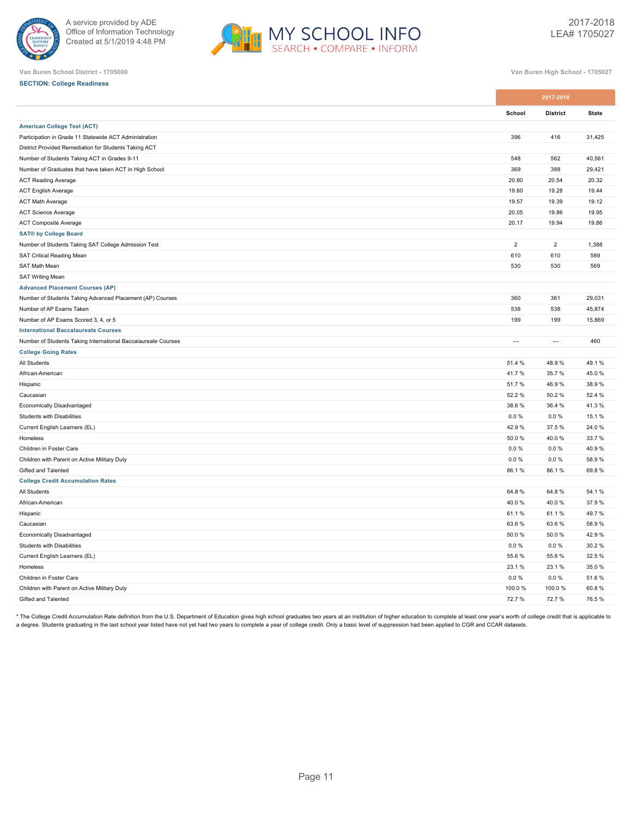![](_page_10_Picture_0.jpeg)

**SECTION: College Readiness**

![](_page_10_Picture_2.jpeg)

**Van Buren School District - 1705000 Van Buren High School - 1705027**

|                                                               | 2017-2018         |                 |                |  |
|---------------------------------------------------------------|-------------------|-----------------|----------------|--|
|                                                               | School            | <b>District</b> | <b>State</b>   |  |
| <b>American College Test (ACT)</b>                            |                   |                 |                |  |
| Participation in Grade 11 Statewide ACT Administration        | 396               | 416             | 31,425         |  |
| District Provided Remediation for Students Taking ACT         |                   |                 |                |  |
| Number of Students Taking ACT in Grades 9-11                  | 548               | 562             | 40,561         |  |
| Number of Graduates that have taken ACT in High School        | 369               | 388             | 29,421         |  |
| <b>ACT Reading Average</b>                                    | 20.80             | 20.54           | 20.32          |  |
| <b>ACT English Average</b>                                    | 19.60             | 19.28           | 19.44          |  |
| <b>ACT Math Average</b>                                       | 19.57             | 19.39           | 19.12          |  |
| <b>ACT Science Average</b>                                    | 20.05             | 19.86           | 19.95          |  |
| <b>ACT Composite Average</b>                                  | 20.17             | 19.94           | 19.86          |  |
| <b>SAT® by College Board</b>                                  |                   |                 |                |  |
| Number of Students Taking SAT College Admission Test          | $\overline{2}$    | $\overline{2}$  | 1,388          |  |
| SAT Critical Reading Mean                                     | 610               | 610             | 589            |  |
| SAT Math Mean                                                 | 530               | 530             | 569            |  |
| <b>SAT Writing Mean</b>                                       |                   |                 |                |  |
| <b>Advanced Placement Courses (AP)</b>                        |                   |                 |                |  |
| Number of Students Taking Advanced Placement (AP) Courses     | 360               | 361             | 29,031         |  |
| Number of AP Exams Taken                                      | 538               | 538             | 45,874         |  |
| Number of AP Exams Scored 3, 4, or 5                          | 199               | 199             | 15,869         |  |
| <b>International Baccalaureate Courses</b>                    |                   |                 |                |  |
| Number of Students Taking International Baccalaureate Courses | $\overline{a}$    | $\overline{a}$  | 460            |  |
| <b>College Going Rates</b>                                    |                   |                 |                |  |
| All Students                                                  | 51.4 %            | 48.9%           | 49.1%          |  |
| African-American                                              | 41.7%             | 35.7%           | 45.0%          |  |
| Hispanic                                                      | 51.7%             | 46.9%           | 38.9%          |  |
| Caucasian                                                     | 52.2%             | 50.2%           | 52.4 %         |  |
| Economically Disadvantaged                                    | 38.6%             | 36.4%<br>0.0 %  | 41.3%          |  |
| Students with Disabilities                                    | $0.0 \%$<br>42.9% | 37.5%           | 15.1%<br>24.0% |  |
| Current English Learners (EL)<br>Homeless                     | 50.0%             | 40.0%           | 33.7%          |  |
| Children in Foster Care                                       | 0.0 %             | $0.0 \%$        | 40.9%          |  |
| Children with Parent on Active Military Duty                  | 0.0%              | $0.0 \%$        | 58.9%          |  |
| Gifted and Talented                                           | 86.1%             | 86.1%           | 69.8%          |  |
| <b>College Credit Accumulation Rates</b>                      |                   |                 |                |  |
| All Students                                                  | 64.8%             | 64.8%           | 54.1%          |  |
| African-American                                              | 40.0%             | 40.0%           | 37.9%          |  |
| Hispanic                                                      | 61.1%             | 61.1%           | 49.7%          |  |
| Caucasian                                                     | 63.6%             | 63.6%           | 58.9%          |  |
| Economically Disadvantaged                                    | 50.0%             | 50.0%           | 42.9%          |  |
| Students with Disabilities                                    | 0.0%              | 0.0%            | 30.2%          |  |
| Current English Learners (EL)                                 | 55.6 %            | 55.6%           | 32.5 %         |  |
| Homeless                                                      | 23.1 %            | 23.1%           | 35.0%          |  |
| Children in Foster Care                                       | $0.0 \%$          | $0.0 \%$        | 51.6%          |  |
| Children with Parent on Active Military Duty                  | 100.0%            | 100.0%          | 60.8%          |  |
| Gifted and Talented                                           | 72.7%             | 72.7%           | 76.5%          |  |

\* The College Credit Accumulation Rate definition from the U.S. Department of Education gives high school graduates two years at an institution of higher education to complete at least one year's worth of college credit th a degree. Students graduating in the last school year listed have not yet had two years to complete a year of college credit. Only a basic level of suppression had been applied to CGR and CCAR datasets.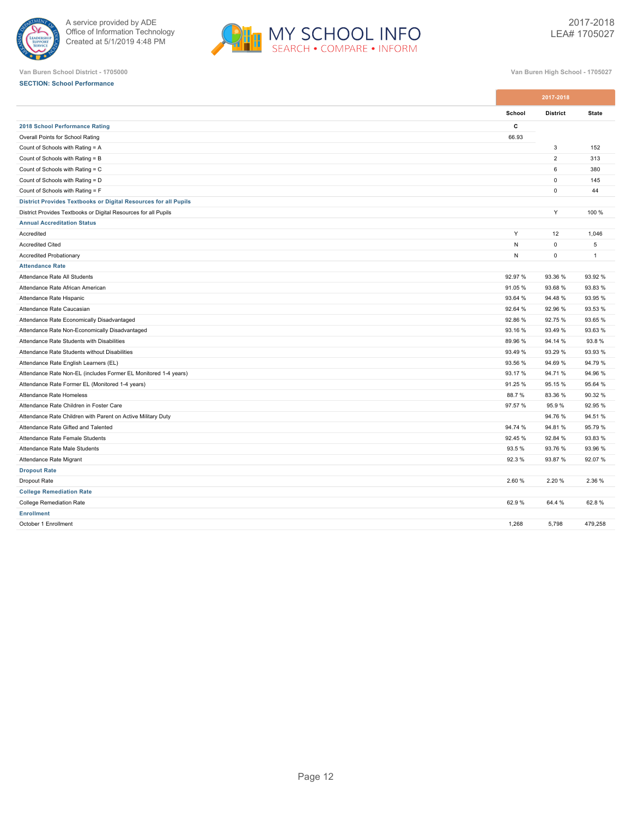![](_page_11_Picture_0.jpeg)

![](_page_11_Picture_2.jpeg)

### **Van Buren School District - 1705000 Van Buren High School - 1705027 SECTION: School Performance School District State 2018 School Performance Rating C** Overall Points for School Rating 66.93 Count of Schools with Rating = A 3 152 Count of Schools with Rating = B 2 313 Count of Schools with Rating = C 6 380 Count of Schools with Rating = D 0 145 Count of Schools with Rating = F 0 44 **District Provides Textbooks or Digital Resources for all Pupils** District Provides Textbooks or Digital Resources for all Pupils Y 100 % **Annual Accreditation Status** Accredited Y 12 1,046 Accredited Cited N 0 5 5 5 6 5 6 7 7 8 7 7 8 7 7 8 7 7 8 7 7 8 7 7 8 7 7 8 7 7 8 7 7 8 7 7 8 7 7 8 7 7 8 7 7 8 7 7 8 7 7 8 7 7 8 7 7 8 7 7 8 7 7 8 7 7 8 7 7 8 7 7 8 7 7 8 7 7 8 7 7 8 7 7 8 7 7 8 7 7 8 7 7 8 7 7 8 7 8 7 8 7 Accredited Probationary N 0 1 **Attendance Rate** Attendance Rate All Students and Students and Students and Students and Students and Students and Students and Students and Students and Students and Students and Students and Students and Students and Students and Student Attendance Rate African American and the state of the state of the state of the state of the state of the state of the state of the state of the state of the state of the state of the state of the state of the state of the Attendance Rate Hispanic 93.64 % 94.48 % 93.95 % Attendance Rate Caucasian 92.64 % 92.96 % 93.53 % Attendance Rate Economically Disadvantaged 83.65 % 92.75 % 93.65 % 93.65 % 93.65 % 93.65 % 93.65 % 93.65 % 93.65 % 93.65 % 93.65 % 93.65 % 93.65 % 93.65 % 93.65 % 93.65 % 93.65 % 93.65 % 93.65 % 93.65 % 93.65 % 93.65 % 93. Attendance Rate Non-Economically Disadvantaged 93.16 % 93.49 % 93.63 % Attendance Rate Students with Disabilities 89.96 % 94.14 % 93.8 % 94.14 % 93.8 % 94.14 % 93.8 % 95.96 % 94.14 % 93.8 % 95.96 % 95.8 % 95.8 % 95.96 % 95.8 % 95.96 % 95.96 % 95.96 % 95.96 % 95.96 % 95.96 % 95.96 % 95.96 % 95 Attendance Rate Students without Disabilities 80.39 % 93.93 % 93.93 % 93.93 % 93.93 % 93.93 % 93.93 % 93.93 % 93.93 % 93.93 % 93.93 % 93.93 % 93.93 % 93.93 % 93.93 % 93.93 % 93.93 % 93.93 % 93.93 % 93.93 % 93.93 % 93.93 % Attendance Rate English Learners (EL) 84.79 % 94.69 % 94.99 % 94.79 % 95.56 % 94.69 % 94.79 % 95.56 % 95.56 % 95.56 % 95.56 % 95.56 % 95.56 % 95.56 % 95.56 % 95.56 % 95.56 % 95.56 % 95.56 % 95.56 % 95.56 % 95.56 % 95.56 % Attendance Rate Non-EL (includes Former EL Monitored 1-4 years) 93.17 % 94.71 % 94.96 % Attendance Rate Former EL (Monitored 1-4 years) 95.64 % 95.94 % 95.94 % 95.94 % 95.94 % 95.94 % 95.94 % 95.94 % 95.94 % 95.94 % 95.94 % 95.95 % 95.95 % 95.95 % 95.95 % 95.95 % 95.95 % 95.95 % 95.95 % 95.95 % 95.95 % 95.95 Attendance Rate Homeless 88.7 % 83.36 % 90.32 % 88.7 % 83.36 % 90.32 % Attendance Rate Children in Foster Care 97.97 % 95.9 % 92.95 % 92.95 % 92.95 % 92.95 % 92.95 % 92.95 % 93.9 % 93.9 % 92.95 % 93.9 % 92.95 % 95.9 % 95.9 % 92.95 % 95.9 % 92.95 % 95.9 % 95.9 % 92.95 % 95.9 % 95.9 % 95.9 % 95 Attendance Rate Children with Parent on Active Military Duty 94.51 % 94.51 % 94.51 % 94.51 % 94.51 % 94.51 % 94.51 % Attendance Rate Gifted and Talented **94.74 %** 94.81 % 94.81 % 95.79 % Attendance Rate Female Students **92.84 %** 93.83 % 92.84 % 93.83 % 92.84 % 93.83 % 92.84 % 93.83 % 93.84 % 93.83 % 93.84 % 93.83 % 93.84 % 93.83 % 93.84 % 93.83 % 93.84 % 93.83 % 93.84 % 93.83 % 93.84 % 93.84 % 93.83 % 95.8 Attendance Rate Male Students 93.5 % 93.76 % 93.96 % Attendance Rate Migrant 92.3 % 93.87 % 92.07 % **Dropout Rate** Dropout Rate 2.60 % 2.20 % 2.36 % **College Remediation Rate** College Remediation Rate 62.9 % 64.4 % 62.8 % **Enrollment**

October 1 Enrollment 1,268 5,798 479,258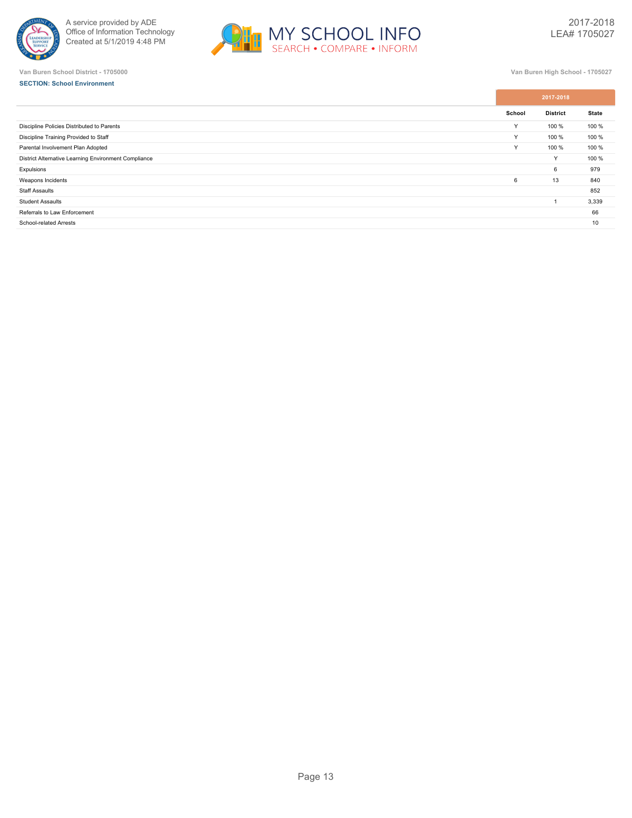![](_page_12_Picture_0.jpeg)

![](_page_12_Picture_2.jpeg)

# **SECTION: School Environment**

|                                                      | School | <b>District</b> | <b>State</b> |
|------------------------------------------------------|--------|-----------------|--------------|
| Discipline Policies Distributed to Parents           | Y      | 100 %           | 100 %        |
| Discipline Training Provided to Staff                | Y      | 100 %           | 100 %        |
| Parental Involvement Plan Adopted                    | Υ      | 100 %           | 100 %        |
| District Alternative Learning Environment Compliance |        | Υ               | 100 %        |
| Expulsions                                           |        | 6               | 979          |
| Weapons Incidents                                    | 6      | 13              | 840          |
| <b>Staff Assaults</b>                                |        |                 | 852          |
| <b>Student Assaults</b>                              |        |                 | 3,339        |
| Referrals to Law Enforcement                         |        |                 | 66           |
| School-related Arrests                               |        |                 | 10           |
|                                                      |        |                 |              |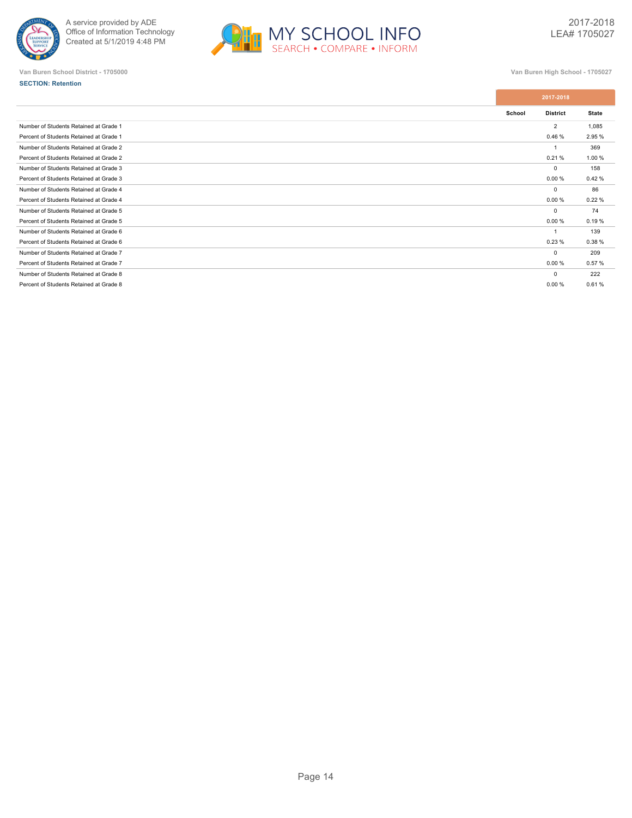![](_page_13_Picture_0.jpeg)

![](_page_13_Picture_2.jpeg)

## **SECTION: Retention**

|                                         |        | 2017-2018       |        |
|-----------------------------------------|--------|-----------------|--------|
|                                         | School | <b>District</b> | State  |
| Number of Students Retained at Grade 1  |        | 2               | 1,085  |
| Percent of Students Retained at Grade 1 |        | 0.46%           | 2.95 % |
| Number of Students Retained at Grade 2  |        | 1               | 369    |
| Percent of Students Retained at Grade 2 |        | 0.21%           | 1.00 % |
| Number of Students Retained at Grade 3  |        | 0               | 158    |
| Percent of Students Retained at Grade 3 |        | 0.00%           | 0.42%  |
| Number of Students Retained at Grade 4  |        | 0               | 86     |
| Percent of Students Retained at Grade 4 |        | 0.00%           | 0.22%  |
| Number of Students Retained at Grade 5  |        | 0               | 74     |
| Percent of Students Retained at Grade 5 |        | 0.00%           | 0.19%  |
| Number of Students Retained at Grade 6  |        | 1               | 139    |
| Percent of Students Retained at Grade 6 |        | 0.23%           | 0.38%  |
| Number of Students Retained at Grade 7  |        | 0               | 209    |
| Percent of Students Retained at Grade 7 |        | 0.00%           | 0.57%  |
| Number of Students Retained at Grade 8  |        | 0               | 222    |
| Percent of Students Retained at Grade 8 |        | 0.00%           | 0.61%  |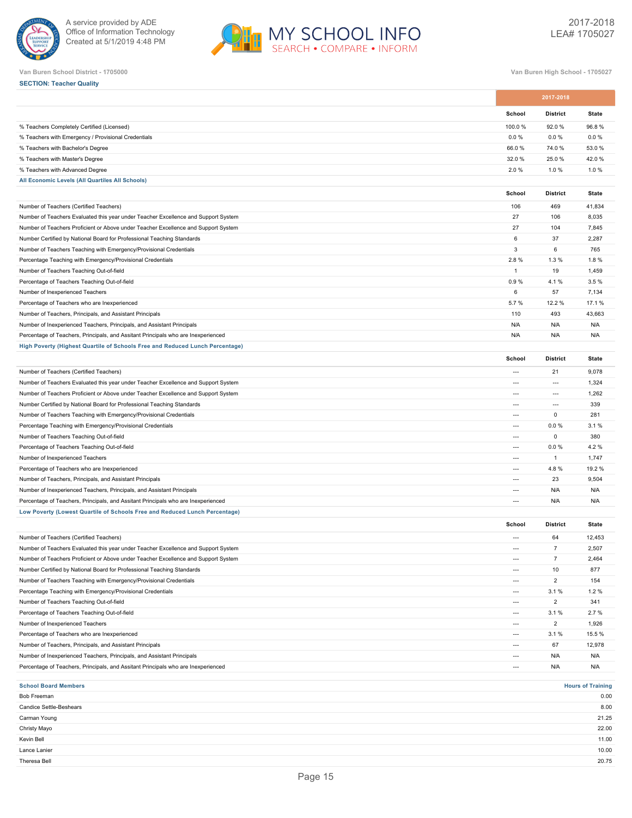![](_page_14_Picture_0.jpeg)

![](_page_14_Picture_2.jpeg)

# **SECTION: Teacher Quality**

|                                                                                    | 2017-2018                |                          |                          |
|------------------------------------------------------------------------------------|--------------------------|--------------------------|--------------------------|
|                                                                                    | School                   | <b>District</b>          | <b>State</b>             |
| % Teachers Completely Certified (Licensed)                                         | 100.0%                   | 92.0%                    | 96.8%                    |
| % Teachers with Emergency / Provisional Credentials                                | 0.0%                     | 0.0%                     | 0.0%                     |
| % Teachers with Bachelor's Degree                                                  | 66.0%                    | 74.0%                    | 53.0%                    |
| % Teachers with Master's Degree                                                    | 32.0 %                   | 25.0%                    | 42.0%                    |
| % Teachers with Advanced Degree                                                    | 2.0%                     | 1.0%                     | 1.0%                     |
| All Economic Levels (All Quartiles All Schools)                                    |                          |                          |                          |
|                                                                                    | School                   | <b>District</b>          | <b>State</b>             |
| Number of Teachers (Certified Teachers)                                            | 106                      | 469                      | 41,834                   |
| Number of Teachers Evaluated this year under Teacher Excellence and Support System | 27                       | 106                      | 8,035                    |
| Number of Teachers Proficient or Above under Teacher Excellence and Support System | 27                       | 104                      | 7,845                    |
| Number Certified by National Board for Professional Teaching Standards             | 6                        | 37                       | 2,287                    |
| Number of Teachers Teaching with Emergency/Provisional Credentials                 | 3                        | 6                        | 765                      |
| Percentage Teaching with Emergency/Provisional Credentials                         | 2.8%                     | 1.3%                     | 1.8%                     |
| Number of Teachers Teaching Out-of-field                                           | $\mathbf{1}$             | 19                       | 1,459                    |
| Percentage of Teachers Teaching Out-of-field                                       | 0.9%                     | 4.1%                     | 3.5%                     |
| Number of Inexperienced Teachers                                                   | 6                        | 57                       | 7,134                    |
| Percentage of Teachers who are Inexperienced                                       | 5.7%                     | 12.2 %                   | 17.1 %                   |
| Number of Teachers, Principals, and Assistant Principals                           | 110                      | 493                      | 43,663                   |
| Number of Inexperienced Teachers, Principals, and Assistant Principals             | N/A                      | N/A                      | N/A                      |
| Percentage of Teachers, Principals, and Assitant Principals who are Inexperienced  | N/A                      | N/A                      | N/A                      |
| High Poverty (Highest Quartile of Schools Free and Reduced Lunch Percentage)       |                          |                          |                          |
|                                                                                    | School                   | <b>District</b>          | <b>State</b>             |
| Number of Teachers (Certified Teachers)                                            | $\overline{a}$           | 21                       | 9,078                    |
| Number of Teachers Evaluated this year under Teacher Excellence and Support System | $\overline{\phantom{a}}$ | $\overline{\phantom{a}}$ | 1,324                    |
| Number of Teachers Proficient or Above under Teacher Excellence and Support System | $---$                    | $---$                    | 1,262                    |
| Number Certified by National Board for Professional Teaching Standards             | $\hspace{0.05cm} \ldots$ | $\overline{\phantom{a}}$ | 339                      |
| Number of Teachers Teaching with Emergency/Provisional Credentials                 | ---                      | $\mathsf 0$              | 281                      |
| Percentage Teaching with Emergency/Provisional Credentials                         | $\hspace{0.05cm} \ldots$ | 0.0%                     | 3.1%                     |
| Number of Teachers Teaching Out-of-field                                           | $\hspace{0.05cm} \ldots$ | $\mathsf 0$              | 380                      |
| Percentage of Teachers Teaching Out-of-field                                       | $---$                    | 0.0%                     | 4.2%                     |
| Number of Inexperienced Teachers                                                   | $---$                    | $\mathbf{1}$             | 1,747                    |
| Percentage of Teachers who are Inexperienced                                       | $\overline{\phantom{a}}$ | 4.8%                     | 19.2 %                   |
| Number of Teachers, Principals, and Assistant Principals                           | $\hspace{0.05cm} \ldots$ | 23                       | 9,504                    |
| Number of Inexperienced Teachers, Principals, and Assistant Principals             | ---                      | N/A                      | N/A                      |
| Percentage of Teachers, Principals, and Assitant Principals who are Inexperienced  | $\cdots$                 | N/A                      | N/A                      |
| Low Poverty (Lowest Quartile of Schools Free and Reduced Lunch Percentage)         |                          |                          |                          |
|                                                                                    | School                   | <b>District</b>          | <b>State</b>             |
| Number of Teachers (Certified Teachers)                                            | $\overline{a}$           | 64                       | 12,453                   |
| Number of Teachers Evaluated this year under Teacher Excellence and Support System | $---$                    | $\overline{7}$           | 2,507                    |
| Number of Teachers Proficient or Above under Teacher Excellence and Support System |                          | $\overline{7}$           | 2,464                    |
| Number Certified by National Board for Professional Teaching Standards             | ---                      | 10                       | 877                      |
| Number of Teachers Teaching with Emergency/Provisional Credentials                 | $\hspace{0.05cm} \ldots$ | $\overline{2}$           | 154                      |
| Percentage Teaching with Emergency/Provisional Credentials                         | $---$                    | 3.1%                     | 1.2%                     |
| Number of Teachers Teaching Out-of-field                                           | $---$                    | $\overline{\mathbf{c}}$  | 341                      |
| Percentage of Teachers Teaching Out-of-field                                       | $---$                    | 3.1%                     | 2.7%                     |
| Number of Inexperienced Teachers                                                   | ---                      | $\overline{\mathbf{c}}$  | 1,926                    |
| Percentage of Teachers who are Inexperienced                                       | $\hspace{0.05cm} \ldots$ | 3.1%                     | 15.5 %                   |
| Number of Teachers, Principals, and Assistant Principals                           | ---                      | 67                       | 12,978                   |
| Number of Inexperienced Teachers, Principals, and Assistant Principals             | $\overline{\phantom{a}}$ | N/A                      | N/A                      |
| Percentage of Teachers, Principals, and Assitant Principals who are Inexperienced  | ---                      | N/A                      | N/A                      |
| <b>School Board Members</b>                                                        |                          |                          | <b>Hours of Training</b> |
| Bob Freeman                                                                        |                          |                          | 0.00                     |
| Candice Settle-Beshears                                                            |                          |                          | 8.00                     |
| Carman Young                                                                       |                          |                          | 21.25                    |
|                                                                                    |                          |                          |                          |

Lance Lanier 10.00 Theresa Bell 20.75

Christy Mayo 22.00 Kevin Bell 11.00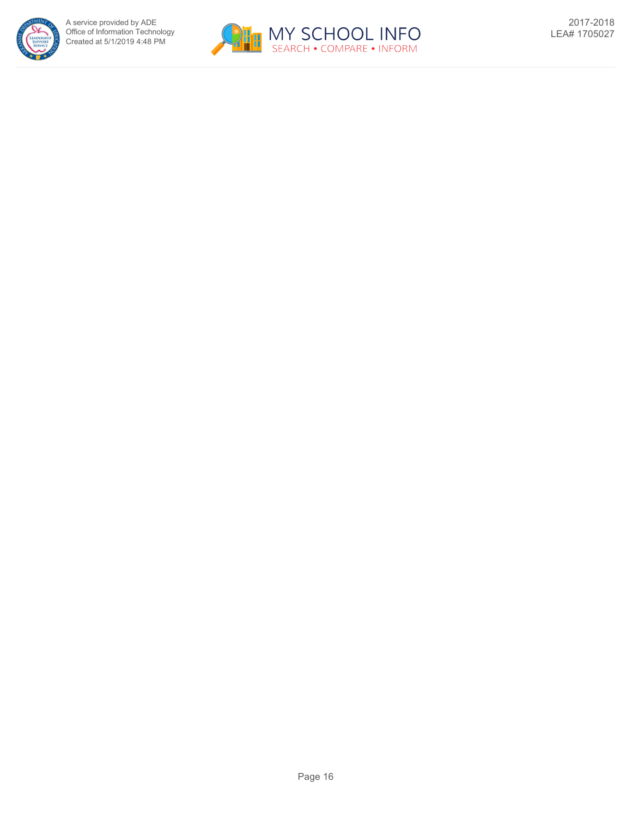![](_page_15_Picture_0.jpeg)

![](_page_15_Picture_2.jpeg)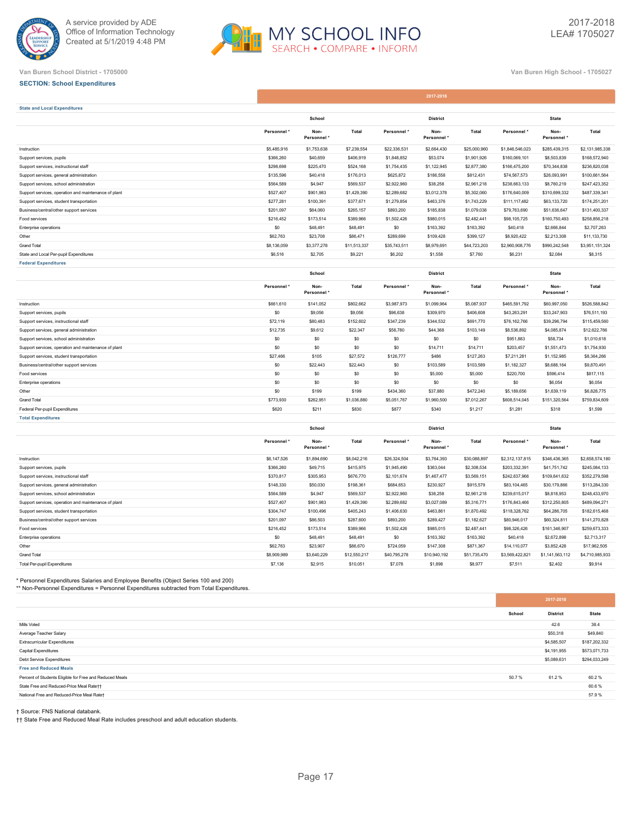![](_page_16_Picture_0.jpeg)

![](_page_16_Picture_2.jpeg)

# **SECTION: School Expenditures**

|                                                      |             |                     |              |              | 2017-2018           |              |                 |                                |                 |
|------------------------------------------------------|-------------|---------------------|--------------|--------------|---------------------|--------------|-----------------|--------------------------------|-----------------|
| <b>State and Local Expenditures</b>                  |             |                     |              |              |                     |              |                 |                                |                 |
|                                                      |             | School              |              |              | <b>District</b>     |              |                 | <b>State</b>                   |                 |
|                                                      | Personnel*  | Non-<br>Personnel * | Total        | Personnel *  | Non-<br>Personnel * | Total        | Personnel *     | Non-<br>Personnel <sup>*</sup> | Total           |
| Instruction                                          | \$5,485,916 | \$1,753,638         | \$7,239,554  | \$22,336,531 | \$2,664,430         | \$25,000,960 | \$1,846,546,023 | \$285,439,315                  | \$2,131,985,338 |
| Support services, pupils                             | \$366,260   | \$40,659            | \$406,919    | \$1,848,852  | \$53,074            | \$1,901,926  | \$160,069,101   | \$8,503,839                    | \$168,572,940   |
| Support services, instructional staff                | \$298,698   | \$225,470           | \$524,168    | \$1,754,435  | \$1,122,945         | \$2,877,380  | \$166,475,200   | \$70,344,838                   | \$236,820,038   |
| Support services, general administration             | \$135,596   | \$40,418            | \$176,013    | \$625,872    | \$186,558           | \$812,431    | \$74,567,573    | \$26,093,991                   | \$100,661,564   |
| Support services, school administration              | \$564,589   | \$4,947             | \$569,537    | \$2,922,960  | \$38,258            | \$2,961,218  | \$238,663,133   | \$8,760,219                    | \$247,423,352   |
| Support services, operation and maintenance of plant | \$527,407   | \$901,983           | \$1,429,390  | \$2,289,682  | \$3,012,378         | \$5,302,060  | \$176,640,009   | \$310,699,332                  | \$487,339,341   |
| Support services, student transportation             | \$277,281   | \$100,391           | \$377,671    | \$1,279,854  | \$463,376           | \$1,743,229  | \$111,117,482   | \$63,133,720                   | \$174,251,201   |
| Business/central/other support services              | \$201,097   | \$64,060            | \$265,157    | \$893,200    | \$185,838           | \$1,079,038  | \$79,763,690    | \$51,636,647                   | \$131,400,337   |
| Food services                                        | \$216,452   | \$173,514           | \$389,966    | \$1,502,426  | \$980,015           | \$2,482,441  | \$98,105,725    | \$160,750,493                  | \$258,856,218   |
| Enterprise operations                                | $\$0$       | \$48,491            | \$48,491     | $\$0$        | \$163,392           | \$163,392    | \$40,418        | \$2,666,844                    | \$2,707,263     |
| Other                                                | \$62,763    | \$23,708            | \$86,471     | \$289,699    | \$109,428           | \$399,127    | \$8,920,422     | \$2,213,308                    | \$11,133,730    |
| <b>Grand Total</b>                                   | \$8,136,059 | \$3,377,278         | \$11,513,337 | \$35,743,511 | \$8,979,691         | \$44,723,203 | \$2,960,908,776 | \$990,242,548                  | \$3,951,151,324 |
| State and Local Per-pupil Expenditures               | \$6,516     | \$2,705             | \$9,221      | \$6,202      | \$1,558             | \$7,760      | \$6,231         | \$2.084                        | \$8,315         |
| <b>Federal Expenditures</b>                          |             |                     |              |              |                     |              |                 |                                |                 |
|                                                      |             | School              |              |              | <b>District</b>     |              |                 | <b>State</b>                   |                 |
|                                                      | Personnel * | Non-<br>Personnel * | Total        | Personnel *  | Non-<br>Personnel * | Total        | Personnel *     | Non-<br>Personnel <sup>*</sup> | Total           |
| Instruction                                          | \$661,610   | \$141,052           | \$802,662    | \$3,987,973  | \$1,099,964         | \$5,087,937  | \$465,591,792   | \$60,997,050                   | \$526,588,842   |
| Support services, pupils                             | \$0         | \$9,056             | \$9,056      | \$96,638     | \$309,970           | \$406,608    | \$43,263,291    | \$33,247,903                   | \$76,511,193    |
| Support services, instructional staff                | \$72,119    | \$80,483            | \$152,602    | \$347,239    | \$344,532           | \$691,770    | \$76,162,766    | \$39,296,794                   | \$115,459,560   |
| Support services, general administration             | \$12,735    | \$9,612             | \$22,347     | \$58,780     | \$44,368            | \$103,149    | \$8,536,892     | \$4,085,874                    | \$12,622,766    |
| Support services, school administration              | \$0         | \$0                 | \$0          | \$0          | \$0                 | \$0          | \$951,883       | \$58,734                       | \$1,010,618     |
| Support services, operation and maintenance of plant | \$0         | \$0                 | \$0          | \$0          | \$14,711            | \$14,711     | \$203,457       | \$1,551,473                    | \$1,754,930     |
| Support services, student transportation             | \$27,466    | \$105               | \$27,572     | \$126,777    | \$486               | \$127,263    | \$7,211,281     | \$1,152,985                    | \$8,364,266     |
| Business/central/other support services              | \$0         | \$22,443            | \$22,443     | \$0          | \$103,589           | \$103,589    | \$1,182,327     | \$8,688,164                    | \$9,870,491     |
| Food services                                        | \$0         | \$0                 | \$0          | \$0          | \$5,000             | \$5,000      | \$220,700       | \$596,414                      | \$817,115       |
| Enterprise operations                                | \$0         | \$0                 | \$0          | \$0          | \$0                 | \$0          | \$0             | \$6,054                        | \$6,054         |
| Other                                                | \$0         | \$199               | \$199        | \$434,360    | \$37,880            | \$472,240    | \$5,189,656     | \$1,639,119                    | \$6,828,775     |
| <b>Grand Total</b>                                   | \$773,930   | \$262,951           | \$1,036,880  | \$5,051,767  | \$1,960,500         | \$7,012,267  | \$608,514,045   | \$151,320,564                  | \$759,834,609   |
| Federal Per-pupil Expenditures                       | \$620       | \$211               | \$830        | \$877        | \$340               | \$1,217      | \$1,281         | \$318                          | \$1,599         |
| <b>Total Expenditures</b>                            |             |                     |              |              |                     |              |                 |                                |                 |
|                                                      |             | School              |              |              | <b>District</b>     |              |                 | <b>State</b>                   |                 |
|                                                      | Personnel * | Non-<br>Personnel * | Total        | Personnel *  | Non-<br>Personnel   | Total        | Personnel *     | Non-<br>Personnel              | Total           |
| Instruction                                          | \$6,147,526 | \$1,894,690         | \$8,042,216  | \$26,324,504 | \$3,764,393         | \$30,088,897 | \$2,312,137,815 | \$346,436,365                  | \$2,658,574,180 |
| Support services, pupils                             | \$366,260   | \$49,715            | \$415,975    | \$1,945,490  | \$363,044           | \$2,308,534  | \$203,332,391   | \$41,751,742                   | \$245,084,133   |
| Support services, instructional staff                | \$370,817   | \$305,953           | \$676,770    | \$2,101,674  | \$1,467,477         | \$3,569,151  | \$242,637,966   | \$109,641,632                  | \$352,279,598   |
| Support services, general administration             | \$148,330   | \$50,030            | \$198,361    | \$684,653    | \$230,927           | \$915,579    | \$83,104,465    | \$30,179,866                   | \$113,284,330   |
| Support services, school administration              | \$564,589   | \$4,947             | \$569,537    | \$2,922,960  | \$38,258            | \$2,961,218  | \$239,615,017   | \$8,818,953                    | \$248,433,970   |
| Support services, operation and maintenance of plant | \$527,407   | \$901,983           | \$1,429,390  | \$2,289,682  | \$3,027,089         | \$5,316,771  | \$176,843,466   | \$312,250,805                  | \$489,094,271   |

\* Personnel Expenditures Salaries and Employee Benefits (Object Series 100 and 200)

\*\* Non-Personnel Expenditures = Personnel Expenditures subtracted from Total Expenditures.

|                                                         |        | 2017-2018       |               |
|---------------------------------------------------------|--------|-----------------|---------------|
|                                                         | School | <b>District</b> | State         |
| Mills Voted                                             |        | 42.6            | 38.4          |
| Average Teacher Salary                                  |        | \$50,318        | \$49,840      |
| <b>Extracurricular Expenditures</b>                     |        | \$4,585,507     | \$187,202,332 |
| Capital Expenditures                                    |        | \$4,191,955     | \$573,071,733 |
| Debt Service Expenditures                               |        | \$5,089,631     | \$294,033,249 |
| <b>Free and Reduced Meals</b>                           |        |                 |               |
| Percent of Students Eligible for Free and Reduced Meals | 50.7%  | 61.2%           | 60.2%         |
| State Free and Reduced-Price Meal Rate††                |        |                 | 60.6%         |
| National Free and Reduced-Price Meal Rate+              |        |                 | 57.9%         |
|                                                         |        |                 |               |

Support services, student transportation \$304,747 \$100,496 \$405,243 \$1,406,630 \$463,861 \$1,870,492 \$118,328,762 \$64,286,705 \$182,615,468 Business/central/other support services \$201,097 \$86,503 \$287,600 \$893,200 \$289,427 \$1,182,627 \$80,946,017 \$60,324,811 \$141,270,828 Food services \$216,452 \$173,514 \$389,966 \$1,502,426 \$985,015 \$2,487,441 \$98,326,426 \$161,346,907 \$259,673,333 Enterprise operations \$0 \$48,491 \$48,491 \$0 \$163,392 \$163,392 \$40,418 \$2,672,898 \$2,713,317 Other \$62,763 \$23,907 \$86,670 \$724,059 \$147,308 \$871,367 \$14,110,077 \$3,852,428 \$17,962,505 Grand Total \$8,909,989 \$3,640,229 \$12,550,217 \$40,795,278 \$10,940,192 \$51,735,470 \$3,569,422,821 \$1,141,563,112 \$4,710,985,933 Total Per-pupil Expenditures \$7,136 \$2,915 \$10,051 \$7,078 \$1,898 \$8,977 \$7,511 \$2,402 \$9,914

† Source: FNS National databank.

†† State Free and Reduced Meal Rate includes preschool and adult education students.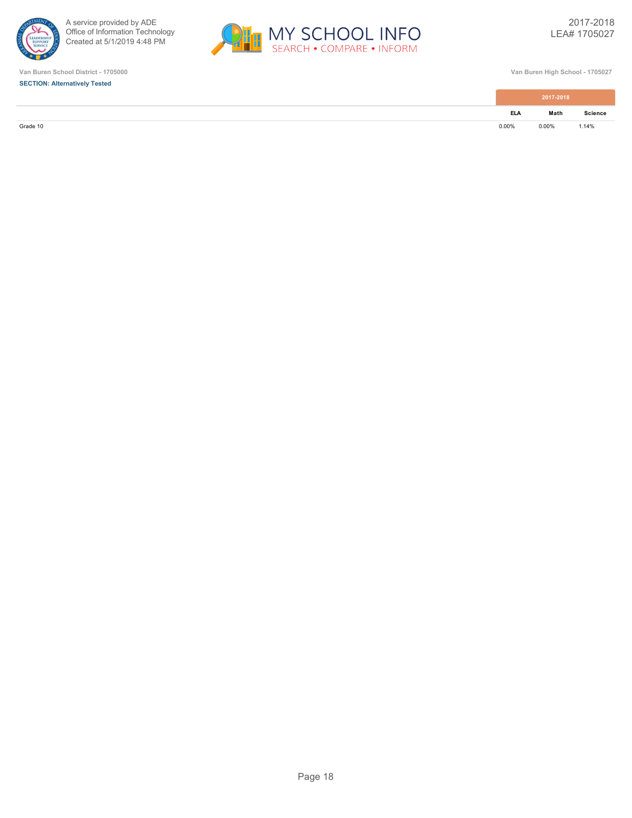![](_page_17_Picture_0.jpeg)

A service provided by ADE Office of Information Technology Created at 5/1/2019 4:48 PM

**Van Buren School District - 1705000 Van Buren High School - 1705027**

![](_page_17_Picture_3.jpeg)

![](_page_17_Picture_4.jpeg)

**ELA Math Science** Grade 10 0.00% 0.00% 1.14%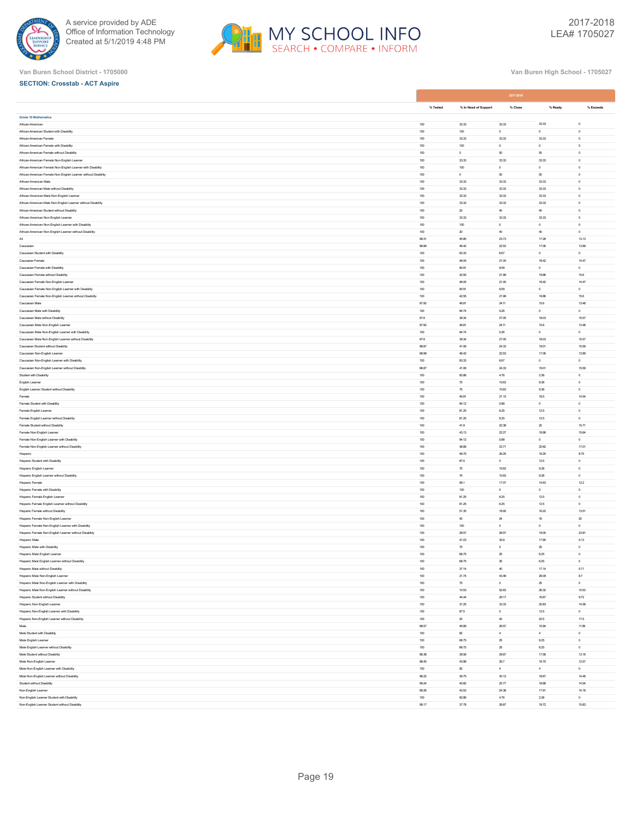![](_page_18_Picture_0.jpeg)

![](_page_18_Picture_2.jpeg)

|                                                                                         |                |                      | 2017-2018                  |                        |                           |
|-----------------------------------------------------------------------------------------|----------------|----------------------|----------------------------|------------------------|---------------------------|
|                                                                                         | $%$ Tested     | % In Need of Support | % Close                    | % Ready                | % Exceeds                 |
| Grade 10 Mathematics                                                                    |                |                      |                            |                        |                           |
| African-American                                                                        | 100            | 33.33                | 33.33                      | 33.33                  | $\circ$                   |
| African-American Student with Disability                                                | 100            | 100                  | $\mathbf 0$                | $\,$ 0                 | $\circ$                   |
| African-American Female                                                                 | 100            | 33.33                | 33.33                      | 33.33                  | $\circ$                   |
| African-American Female with Disability                                                 | 100            | 100                  | $\circ$                    | $\circ$                | $\,$ 0                    |
| African-American Female without Disability                                              | $100\,$        | $\,$ 0 $\,$          | $_{\rm 50}$                | $_{50}$                | $\circ$                   |
| African-American Female Non-English Learner                                             | 100            | 33.33                | 33.33                      | 33.33                  | $\,$ 0                    |
| African-American Female Non-English Learner with Disability                             | 100<br>$100\,$ | 100<br>$\,$ 0 $\,$   | $\mathbf 0$<br>$_{\rm 50}$ | $\mathbb O$<br>$_{50}$ | $\circ$<br>$\circ$        |
| African-American Female Non-English Learner without Disability<br>African-American Male | 100            | 33.33                | 33.33                      | 33.33                  | $\circ$                   |
| African-American Male without Disability                                                | 100            | 33.33                | 33.33                      | 33.33                  | $\circ$                   |
| African-American Male Non-English Learner                                               | 100            | 33.33                | 33.33                      | 33.33                  | $\,$ 0                    |
| African-American Male Non-English Learner without Disability                            | 100            | 33.33                | 33.33                      | 33.33                  | $\circ$                   |
| African-American Student without Disability                                             | $100\,$        | $\rm{20}$            | $40\,$                     | $40\,$                 | $\circ$                   |
| African-American Non-English Learner                                                    | 100            | 33.33                | 33.33                      | 33.33                  | $\,$ 0                    |
| African-American Non-English Learner with Disability                                    | 100            | 100                  | $\mathbf 0$                | $\,$ 0 $\,$            | $\circ$                   |
| African-American Non-English Learner without Disability                                 | $100\,$        | $\rm{20}$            | $40\,$                     | $40\,$                 | $\mathbf 0$               |
| All<br>Caucasian                                                                        | 99.31<br>98.99 | 45.85<br>46.42       | 23.73<br>22.53             | 17.28<br>17.06         | 13.13<br>13.99            |
| Caucasian Student with Disability                                                       | 100            | 93.33                | 6.67                       | $\circ$                | $\circ$                   |
| Caucasian Female                                                                        | 100            | 46.05                | 21.05                      | 18.42                  | 14.47                     |
| Caucasian Female with Disability                                                        | $100\,$        | 90.91                | $9.09$                     | $\,$ 0                 | $\circ$                   |
| Caucasian Female without Disability                                                     | 100            | 42.55                | 21.99                      | 19.86                  | 15.6                      |
| Caucasian Female Non-English Learner                                                    | 100            | 46.05                | 21.05                      | 18.42                  | 14.47                     |
| Caucasian Female Non-English Learner with Disability                                    | $100\,$        | 90.91                | 9.09                       | $\mathbb O$            | $\mathbf 0$               |
| Caucasian Female Non-English Learner without Disability                                 | 100            | 42.55                | 21.99                      | 19.86                  | 15.6                      |
| Caucasian Male                                                                          | 97.92          | 46.81                | 24.11                      | 15.6                   | 13.48                     |
| Caucasian Male with Disability                                                          | 100<br>97.6    | 94.74                | 5.26                       | $\,$ 0                 | $\,0\,$<br>15.57          |
| Caucasian Male without Disability<br>Caucasian Male Non-English Learner                 | 97.92          | 39.34<br>46.81       | 27.05<br>24.11             | 18.03<br>15.6          | 13.48                     |
| Caucasian Male Non-English Learner with Disability                                      | 100            | 94.74                | 5.26                       | $\circ$                | $\,$ 0                    |
| Caucasian Male Non-English Learner without Disability                                   | 97.6           | 39.34                | 27.05                      | 18.03                  | 15.57                     |
| Caucasian Student without Disability                                                    | 98.87          | 41.06                | 24.33                      | 19.01                  | 15.59                     |
| Caucasian Non-English Learner                                                           | 98.99          | 46.42                | 22.53                      | 17.06                  | 13.99                     |
| Caucasian Non-English Learner with Disability                                           | 100            | 93.33                | 6.67                       | $\,$ 0 $\,$            | $\,$ 0 $\,$               |
| Caucasian Non-English Learner without Disability                                        | 98.87          | 41.06                | 24.33                      | 19.01                  | 15.59                     |
| Student with Disability                                                                 | 100            | 92.86                | 4.76                       | 2.38                   | $\circ$                   |
| English Learner                                                                         | $100\,$        | $7\!$                | 15.63                      | 9.38                   | $\circ$                   |
| English Learner Student without Disability                                              | 100            | $75\,$               | 15.63                      | 9.38                   | $\circ$                   |
| Female<br>Female Student with Disability                                                | 100<br>$100\,$ | 45.81<br>94.12       | 21.15<br>5.88              | 18.5<br>$\mathbb O$    | 14.54<br>$\circ$          |
| Female English Learner                                                                  | 100            | 81.25                | 6.25                       | 12.5                   | $\circ$                   |
| Female English Learner without Disability                                               | 100            | 81.25                | 6.25                       | 12.5                   | $\,$ 0 $\,$               |
| Female Student without Disability                                                       | 100            | 41.9                 | 22.38                      | $20\,$                 | 15.71                     |
| Female Non-English Learner                                                              | 100            | 43.13                | 22.27                      | 18.96                  | 15.64                     |
| Female Non-English Learner with Disability                                              | $100\,$        | 94.12                | 5.88                       | $\mathsf{O}\xspace$    | $\mathbb O$               |
| Female Non-English Learner without Disability                                           | 100            | 38.66                | 23.71                      | 20.62                  | 17.01                     |
| Hispanic                                                                                | 100            | 48.75                | 26.25                      | 16.25                  | 8.75                      |
| Hispanic Student with Disability                                                        | $100\,$<br>100 | $87.5\,$             | $\mathbf 0$<br>15.63       | 12.5<br>9.38           | $\mathbf 0$               |
| Hispanic English Learner                                                                | 100            | 75<br>$7\!$          | 15.63                      | 9.38                   | $^{\circ}$<br>$\,$ 0 $\,$ |
| Hispanic English Learner without Disability<br>Hispanic Female                          | 100            | 56.1                 | 17.07                      | 14.63                  | 12.2                      |
| Hispanic Female with Disability                                                         | 100            | 100                  | $\circ$                    | $\,$ 0                 | $\,$ 0                    |
| Hispanic Female English Learner                                                         | $100\,$        | 81.25                | $_{\rm 6.25}$              | 12.5                   | $\circ$                   |
| Hispanic Female English Learner without Disability                                      | 100            | 81.25                | 6.25                       | 12.5                   | $\circ$                   |
| Hispanic Female without Disability                                                      | 100            | 51.35                | 18.92                      | 16.22                  | 13.51                     |
| Hispanic Female Non-English Learner                                                     | $100\,$        | $40\,$               | $24\,$                     | $16\,$                 | $\rm 20$                  |
| Hispanic Female Non-English Learner with Disability                                     | 100            | 100                  | $\mathbf{0}$               | $\circ$                | $\circ$                   |
| Hispanic Female Non-English Learner without Disability                                  | 100            | 28.57                | 28.57                      | 19.05                  | 23.81                     |
| Hispanic Male<br>Hispanic Male with Disability                                          | 100<br>100     | 41.03<br>75          | 35.9<br>$\mathbf 0$        | 17.95<br>$\rm{25}$     | 5.13<br>$\circ$           |
| Hispanic Male English Learner                                                           | 100            | 68.75                | $\rm{2S}$                  | 6.25                   | $\mathsf{o}$              |
| Hispanic Male English Learner without Disability                                        | 100            | 68.75                | $2\!$                      | 6.25                   | $\,$ 0                    |
| Hispanic Male without Disability                                                        | 100            | 37.14                | $40\,$                     | 17.14                  | 5.71                      |
| Hispanic Male Non-English Learner                                                       | $100\,$        | 21.74                | 43.48                      | 26.09                  | 8.7                       |
| Hispanic Male Non-English Learner with Disability                                       | 100            | 75                   | $\circ$                    | 25                     | $\circ$                   |
| Hispanic Male Non-English Learner without Disability                                    | 100            | 10.53                | 52.63                      | 26.32                  | 10.53                     |
| Hispanic Student without Disability                                                     | 100            | 44.44                | 29.17                      | 16.67                  | 9.72                      |
| Hispanic Non-English Learner                                                            | 100            | 31.25                | 33.33                      | 20.83                  | 14.58                     |
| Hispanic Non-English Learner with Disability                                            | $100\,$        | $87.5\,$             | $\mathbf 0$<br>40          | 12.5                   | $\mathbb O$               |
| Hispanic Non-English Learner without Disability<br>Male                                 | 100<br>98.57   | $\rm{20}$<br>45.89   | 26.57                      | 22.5<br>15.94          | 17.5<br>11.59             |
| Male Student with Disability                                                            | $100\,$        | $_{\rm 92}$          | $\boldsymbol{4}$           | $\,$ 4 $\,$            | $\mathbf 0$               |
| Male English Learner                                                                    | 100            | 68.75                | $\mathbf{z}$               | 6.25                   | $\circ$                   |
| Male English Learner without Disability                                                 | 100            | 68.75                | $\rm{z}\rm{s}$             | 6.25                   | $\circ$                   |
| Male Student without Disability                                                         | 98.38          | 39.56                | 29.67                      | 17.58                  | 13.19                     |
| Male Non-English Learner                                                                | 98.45          | 43.98                | 26.7                       | 16.75                  | 12.57                     |
| Male Non-English Learner with Disability                                                | $100\,$        | $_{\rm 92}$          | 4                          | $\boldsymbol{4}$       | $\mathbb O$               |
| Male Non-English Learner without Disability                                             | 98.22          | 36.75                | 30.12                      | 18.67                  | 14.46                     |
| Student without Disability                                                              | 99.24          | 40.82                | 25.77                      | 18.88                  | 14.54                     |
| Non-English Learner<br>Non-English Learner Student with Disability                      | 99.26<br>100   | 43.53<br>92.86       | 24.38<br>4.76              | 17.91<br>2.38          | 14.18<br>$\,$ 0           |
| Non-English Learner Student without Disability                                          | 99.17          | 37.78                | 26.67                      | 19.72                  | 15.83                     |
|                                                                                         |                |                      |                            |                        |                           |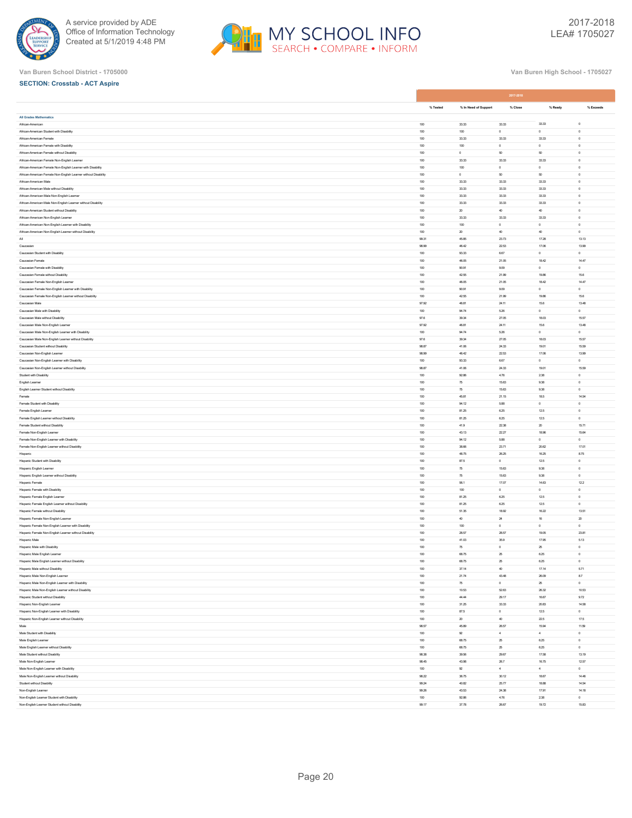![](_page_19_Picture_0.jpeg)

![](_page_19_Picture_2.jpeg)

|                                                                                                                               | 2017-2018      |                      |                          |                    |                    |
|-------------------------------------------------------------------------------------------------------------------------------|----------------|----------------------|--------------------------|--------------------|--------------------|
|                                                                                                                               | $\%$ Tested    | % In Need of Support | % Close                  | % Ready            | % Exceeds          |
| <b>All Grades Mathematics</b>                                                                                                 |                |                      |                          |                    |                    |
| African-American                                                                                                              | 100            | 33.33                | 33.33                    | 33.33              | $\circ$            |
| African-American Student with Disability                                                                                      | 100            | 100                  | $\circ$                  | $\circ$            | $\circ$            |
| African-American Female                                                                                                       | $100\,$        | 33.33                | 33.33                    | 33.33              | $\,$ 0             |
| African-American Female with Disability                                                                                       | 100            | 100                  | $\,$ 0                   | $\,$ 0             | $\circ$            |
| African-American Female without Disability                                                                                    | 100            | $\,$ 0 $\,$          | $_{50}$                  | $_{50}$            | $\,$ 0 $\,$        |
| African-American Female Non-English Learner                                                                                   | $100\,$<br>100 | 33.33<br>100         | 33.33                    | 33.33              | $\,$ 0<br>$\circ$  |
| African-American Female Non-English Learner with Disability<br>African-American Female Non-English Learner without Disability | 100            | $\,$ 0 $\,$          | $\circ$<br>$_{50}$       | $\circ$<br>$_{50}$ | $\,$ 0             |
| African-American Male                                                                                                         | 100            | 33.33                | 33.33                    | 33.33              | $\,$ 0             |
| African-American Male without Disability                                                                                      | 100            | 33.33                | 33.33                    | 33.33              | $\circ$            |
| African-American Male Non-English Learner                                                                                     | $100\,$        | 33.33                | 33.33                    | 33.33              | $\,$ 0             |
| African-American Male Non-English Learner without Disability                                                                  | 100            | 33.33                | 33.33                    | 33.33              | $\circ$            |
| African-American Student without Disability                                                                                   | 100            | $\rm{20}$            | $40\,$                   | 40                 | $\,$ 0             |
| African-American Non-English Learner                                                                                          | $100\,$        | 33.33                | 33.33                    | 33.33              | $\,$ 0             |
| African-American Non-English Learner with Disability                                                                          | 100<br>100     | 100<br>$\mathbf{z}$  | $\overline{0}$<br>$40\,$ | $\circ$<br>$40\,$  | $\circ$<br>$\,$ 0  |
| African-American Non-English Learner without Disability<br>All                                                                | 99.31          | 45.85                | 23.73                    | 17.28              | 13.13              |
| Caucasian                                                                                                                     | 98.99          | 46.42                | 22.53                    | 17.06              | 13.99              |
| Caucasian Student with Disability                                                                                             | $100\,$        | 93.33                | 6.67                     | $\circ$            | $\circ$            |
| Caucasian Female                                                                                                              | 100            | 46.05                | 21.05                    | 18.42              | 14.47              |
| Caucasian Female with Disability                                                                                              | 100            | 90.91                | 9.09                     | $\,$ 0             | $\,$ 0             |
| Caucasian Female without Disability                                                                                           | $100\,$        | 42.55                | 21.99                    | 19.86              | 15.6               |
| Caucasian Female Non-English Learner                                                                                          | 100            | 46.05                | 21.05                    | 18.42              | 14.47              |
| Caucasian Female Non-English Learner with Disability                                                                          | 100<br>100     | 90.91<br>42.55       | 9.09<br>21.99            | $\,$ 0<br>19.86    | $\,$ 0<br>15.6     |
| Caucasian Female Non-English Learner without Disability<br>Caucasian Male                                                     | 97.92          | 46.81                | 24.11                    | 15.6               | 13.48              |
| Caucasian Male with Disability                                                                                                | $100\,$        | 94.74                | $_{\rm 5.26}$            | $\,$ 0             | $\,$ 0             |
| Caucasian Male without Disability                                                                                             | 97.6           | 39.34                | 27.05                    | 18.03              | 15.57              |
| Caucasian Male Non-English Learner                                                                                            | 97.92          | 46.81                | 24.11                    | 15.6               | 13.48              |
| Caucasian Male Non-English Learner with Disability                                                                            | $100\,$        | 94.74                | $_{\rm 5.26}$            | $\,$ 0             | $\,$ 0             |
| Caucasian Male Non-English Learner without Disability                                                                         | 97.6           | 39.34                | 27.05                    | 18.03              | 15.57              |
| Caucasian Student without Disability                                                                                          | 98.87          | 41.06                | 24.33                    | 19.01              | 15.59              |
| Caucasian Non-English Learner                                                                                                 | 98.99<br>100   | 46.42<br>93.33       | 22.53<br>6.67            | 17.06<br>$\circ$   | 13.99<br>$\circ$   |
| Caucasian Non-English Learner with Disability<br>Caucasian Non-English Learner without Disability                             | 98.87          | 41.06                | 24.33                    | 19.01              | 15.59              |
| Student with Disability                                                                                                       | 100            | 92.86                | 4.76                     | 2.38               | $\circ$            |
| English Learner                                                                                                               | 100            | $7\!$                | 15.63                    | 9.38               | $\,$ 0 $\,$        |
| English Learner Student without Disability                                                                                    | $100\,$        | $7\!$                | 15.63                    | 9.38               | $\,$ 0 $\,$        |
| Female                                                                                                                        | 100            | 45.81                | 21.15                    | 18.5               | 14.54              |
| Female Student with Disability                                                                                                | 100            | 94.12                | 5.88                     | $\,$ 0 $\,$        | $\,$ 0             |
| Female English Learner                                                                                                        | 100<br>100     | 81.25<br>81.25       | 6.25<br>6.25             | 12.5<br>12.5       | $\circ$<br>$\circ$ |
| Female English Learner without Disability<br>Female Student without Disability                                                | $100\,$        | 41.9                 | 22.38                    | $20\,$             | 15.71              |
| Female Non-English Learner                                                                                                    | 100            | 43.13                | 22.27                    | 18.96              | 15.64              |
| Female Non-English Learner with Disability                                                                                    | 100            | 94.12                | 5.88                     | $\circ$            | $\circ$            |
| Female Non-English Learner without Disability                                                                                 | $100\,$        | 38.66                | 23.71                    | 20.62              | 17.01              |
| Hispanic                                                                                                                      | 100            | 48.75                | 26.25                    | 16.25              | 8.75               |
| Hispanic Student with Disability                                                                                              | 100            | 87.5                 | $\,$ 0 $\,$              | 12.5               | $\,$ 0             |
| Hispanic English Learner                                                                                                      | 100            | 75                   | 15.63                    | 9.38               | $\circ$<br>$\circ$ |
| Hispanic English Learner without Disability<br>Hispanic Female                                                                | 100<br>$100\,$ | 75<br>56.1           | 15.63<br>17.07           | 9.38<br>14.63      | $12.2$             |
| Hispanic Female with Disability                                                                                               | 100            | 100                  | $\,$ 0                   | $\,$ 0             | $\circ$            |
| Hispanic Female English Learner                                                                                               | 100            | 81.25                | 6.25                     | 12.5               | $\,$ 0             |
| Hispanic Female English Learner without Disability                                                                            | $100\,$        | 81.25                | $_{\rm 6.25}$            | 12.5               | $\,$ 0 $\,$        |
| Hispanic Female without Disability                                                                                            | 100            | 51.35                | 18.92                    | 16.22              | 13.51              |
| Hispanic Female Non-English Learner                                                                                           | 100            | $40\,$               | $24\,$                   | 16                 | $20\,$             |
| Hispanic Female Non-English Learner with Disability                                                                           | 100<br>100     | 100                  | $\circ$                  | $\circ$            | $\circ$            |
| Hispanic Female Non-English Learner without Disability<br>Hispanic Male                                                       | $100\,$        | 28.57<br>41.03       | 28.57<br>35.9            | 19.05<br>17.96     | 23.81<br>5.13      |
| Hispanic Male with Disability                                                                                                 | 100            | 75                   | $\,0\,$                  | $2\mathrm{s}$      | $\,$ 0             |
| Hispanic Male English Learner                                                                                                 | 100            | 68.75                | $\rm{z}\rm{s}$           | 6.25               | $\circ$            |
| Hispanic Male English Learner without Disability                                                                              | $100\,$        | 68.75                | $\rm{2S}$                | $6.25\,$           | $\,$ 0             |
| Hispanic Male without Disability                                                                                              | 100            | 37.14                | 40                       | 17.14              | 5.71               |
| Hispanic Male Non-English Learner                                                                                             | 100            | 21.74                | 43.48                    | 26.09              | 8.7                |
| Hispanic Male Non-English Learner with Disability                                                                             | 100            | 75                   | $\,$ 0 $\,$              | $25\,$             | $\circ$            |
| Hispanic Male Non-English Learner without Disability<br>Hispanic Student without Disability                                   | 100<br>$100\,$ | 10.53<br>44.44       | 52.63<br>29.17           | 26.32<br>16.67     | 10.53<br>$9.72\,$  |
| Hispanic Non-English Learner                                                                                                  | 100            | 31.25                | 33.33                    | 20.83              | 14.58              |
| Hispanic Non-English Learner with Disability                                                                                  | 100            | 87.5                 | $\,$ 0 $\,$              | 12.5               | $\,$ 0 $\,$        |
| Hispanic Non-English Learner without Disability                                                                               | $100\,$        | $\rm{20}$            | $40\,$                   | $22.5\,$           | 17.5               |
| Male                                                                                                                          | 98.57          | 45.89                | 26.57                    | 15.94              | 11.59              |
| Male Student with Disability                                                                                                  | 100            | $92\,$               | $\,$ 4 $\,$              | $\,$ 4 $\,$        | $\,$ 0 $\,$        |
| Male English Learner                                                                                                          | 100            | 68.75                | $\rm{2S}$                | 6.25               | $\circ$            |
| Male English Learner without Disability<br>Male Student without Disability                                                    | 100<br>98.38   | 68.75<br>39.56       | $\rm{2S}$<br>29.67       | 6.25<br>17.58      | $\circ$<br>13.19   |
| Male Non-English Learner                                                                                                      | 98.45          | 43.98                | 26.7                     | 16.75              | 12.57              |
| Male Non-English Learner with Disability                                                                                      | 100            | $\mathfrak{A}$       | $\boldsymbol{4}$         | $\overline{4}$     | $\,$ 0 $\,$        |
| Male Non-English Learner without Disability                                                                                   | 98.22          | 36.75                | 30.12                    | 18.67              | 14.46              |
| Student without Disability                                                                                                    | 99.24          | 40.82                | 25.77                    | 18.88              | 14.54              |
| Non-English Learner                                                                                                           | 99.26          | 43.53                | 24.38                    | 17.91              | 14.18              |
| Non-English Learner Student with Disability                                                                                   | 100            | 92.86                | 4.76                     | 2.38               | $\circ$            |
| Non-English Learner Student without Disability                                                                                | 99.17          | 37.78                | 26.67                    | 19.72              | 15.83              |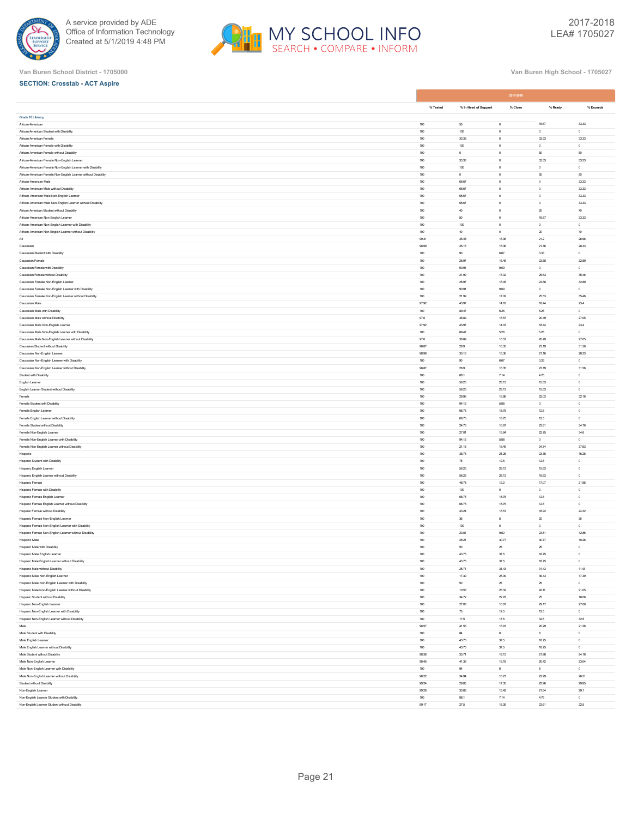![](_page_20_Picture_0.jpeg)

![](_page_20_Picture_2.jpeg)

|                                                                            | 2017-2018      |                      |                          |                     |                        |
|----------------------------------------------------------------------------|----------------|----------------------|--------------------------|---------------------|------------------------|
|                                                                            | $%$ Tested     | % In Need of Support | % Close                  | % Ready             | % Exceeds              |
|                                                                            |                |                      |                          |                     |                        |
| Grade 10 Literacy                                                          |                |                      | $\bf{0}$                 | 16.67               | 33.33                  |
| African-American<br>African-American Student with Disability               | $100\,$<br>100 | $_{50}$<br>100       | $\,0\,$                  | $\,$ 0              | $\,$ 0                 |
| African-American Female                                                    | 100            | 33.33                | $\circ$                  | 33.33               | 33.33                  |
| African-American Female with Disability                                    | $100\,$        | $100\,$              | $\bf{0}$                 | $\mathbf 0$         | $\mathbb O$            |
| African-American Female without Disability                                 | 100            | $\circ$              | $\circ$                  | 50                  | 50                     |
| African-American Female Non-English Learner                                | 100            | 33.33                | $\,$ 0                   | 33.33               | 33.33                  |
| African-American Female Non-English Learner with Disability                | 100            | 100                  | $\,$ 0                   | $\,0\,$             | $\circ$                |
| African-American Female Non-English Learner without Disability             | 100            | $\circ$              | $\,$ 0                   | $_{50}$             | 50                     |
| African-American Male                                                      | $100\,$        | 66.67                | $\bf{0}$                 | $\mathbb O$         | 33.33                  |
| African-American Male without Disability                                   | 100            | 66.67                | $\,$ 0                   | $\circ$             | 33.33                  |
| African-American Male Non-English Learner                                  | 100            | 66.67                | $\circ$                  | $\circ$             | 33.33                  |
| African-American Male Non-English Learner without Disability               | $100\,$        | 66.67                | $\,$ 0                   | $\circ$             | 33.33                  |
| African-American Student without Disability                                | 100            | 40                   | $\overline{0}$           | 20                  | 40                     |
| African-American Non-English Learner                                       | 100            | $_{50}$              | $\circ$                  | 16.67               | 33.33                  |
| African-American Non-English Learner with Disability                       | 100<br>100     | 100<br>40            | $\,$ 0<br>$\overline{0}$ | $\,$ 0<br>$_{20}$   | $\,0\,$<br>40          |
| African-American Non-English Learner without Disability<br>All             | 99.31          | 35.48                | 16.36                    | 21.2                | 26.96                  |
| Caucasian                                                                  | 98.99          | 35.15                | 15.36                    | 21.16               | 28.33                  |
| Caucasian Student with Disability                                          | 100            | $90\,$               | 6.67                     | 3.33                | $\circ$                |
| Caucasian Female                                                           | $100\,$        | 26.97                | 16.45                    | 23.68               | 32.89                  |
| Caucasian Female with Disability                                           | 100            | 90.91                | 9.09                     | $\circ$             | $\circ$                |
| Caucasian Female without Disability                                        | 100            | 21.99                | 17.02                    | 25.53               | 35.46                  |
| Caucasian Female Non-English Learner                                       | 100            | 26.97                | 16.45                    | 23.68               | 32.89                  |
| Caucasian Female Non-English Learner with Disability                       | 100            | 90.91                | 9.09                     | $^{\circ}$          | $^{\circ}$             |
| Caucasian Female Non-English Learner without Disability                    | $100\,$        | 21.99                | 17.02                    | 25.53               | 35.46                  |
| Caucasian Male                                                             | 97.92          | 43.97                | 14.18                    | 18.44               | 23.4                   |
| Caucasian Male with Disability                                             | 100            | 89.47                | 5.26                     | 5.26                | $\circ$                |
| Caucasian Male without Disability                                          | 97.6           | 36.89                | 15.57                    | 20.49               | 27.05                  |
| Caucasian Male Non-English Learner                                         | 97.92          | 43.97                | 14.18                    | 18.44               | 23.4                   |
| Caucasian Male Non-English Learner with Disability                         | 100            | 89.47                | 5.26                     | 5.26                | $\circ$                |
| Caucasian Male Non-English Learner without Disability                      | 97.6<br>98.87  | 36.89<br>28.9        | 15.57<br>16.35           | 20.49<br>23.19      | 27.05<br>31.56         |
| Caucasian Student without Disability<br>Caucasian Non-English Learner      | 98.99          | 35.15                | 15.36                    | 21.16               | 28.33                  |
| Caucasian Non-English Learner with Disability                              | 100            | $90\,$               | 6.67                     | 3.33                | $\,$ 0                 |
| Caucasian Non-English Learner without Disability                           | 98.87          | 28.9                 | 16.35                    | 23.19               | 31.56                  |
| Student with Disability                                                    | $100\,$        | 88.1                 | 7.14                     | 4.76                | $\mathbb O$            |
| English Learner                                                            | 100            | 56.25                | 28.13                    | 15.63               | $^{\circ}$             |
| English Learner Student without Disability                                 | 100            | 56.25                | 28.13                    | 15.63               | $\circ$                |
| Female                                                                     | 100            | 29.96                | 15.86                    | 22.03               | 32.16                  |
| Female Student with Disability                                             | 100            | 94.12                | 5.88                     | $\circ$             | $\,$ 0                 |
| Female English Learner                                                     | $100\,$        | 68.75                | 18.75                    | 12.5                | $\mathbb O$            |
| Female English Learner without Disability                                  | 100            | 68.75                | 18.75                    | 12.5                | $\,$ 0                 |
| Female Student without Disability                                          | 100            | 24.76                | 16.67                    | 23.81               | 34.76                  |
| Female Non-English Learner                                                 | $100\,$<br>100 | 27.01                | 15.64<br>5.88            | 22.75               | 34.6<br>$\circ$        |
| Female Non-English Learner with Disability                                 | 100            | 94.12<br>21.13       | 16.49                    | $^{\circ}$<br>24.74 | 37.63                  |
| Female Non-English Learner without Disability<br>Hispanic                  | 100            | 38.75                | 21.25                    | 23.75               | 16.25                  |
| Hispanic Student with Disability                                           | 100            | 75                   | 12.5                     | 12.5                | $\circ$                |
| Hispanic English Learner                                                   | $100\,$        | 56.25                | 28.13                    | 15.63               | $\mathbb O$            |
| Hispanic English Learner without Disability                                | 100            | 56.25                | 28.13                    | 15.63               | $\,$ 0                 |
| Hispanic Female                                                            | 100            | 48.78                | 12.2                     | 17.07               | 21.95                  |
| Hispanic Female with Disability                                            | $100\,$        | $100\,$              | $\mathbf 0$              | $\mathbb O$         | $\mathbb O$            |
| Hispanic Female English Learner                                            | 100            | 68.75                | 18.75                    | 12.5                | $\,$ 0                 |
| Hispanic Female English Learner without Disability                         | 100            | 68.75                | 18.75                    | 12.5                | $\circ$                |
| Hispanic Female without Disability                                         | 100            | 43.24                | 13.51                    | 18.92               | 24.32                  |
| Hispanic Female Non-English Learner                                        | 100            | 36                   | 8                        | $20\,$              | 36                     |
| Hispanic Female Non-English Learner with Disability                        | $100\,$        | $100\,$              | $\,$ 0 $\,$              | $\mathbf 0$         | $\mathbb O$            |
| Hispanic Female Non-English Learner without Disability<br>Hispanic Male    | 100<br>100     | 23.81<br>28.21       | 9.52<br>30.77            | 23.81<br>30.77      | 42.86<br>10.26         |
| Hispanic Male with Disability                                              | $100\,$        | $_{50}$              | $\rm{2S}$                | $\rm{25}$           | $\mathbf 0$            |
| Hispanic Male English Learner                                              | 100            | 43.75                | 37.5                     | 18.75               | $\circ$                |
| Hispanic Male English Learner without Disability                           | 100            | 43.75                | 37.5                     | 18.75               | $\circ$                |
| Hispanic Male without Disability                                           | 100            | 25.71                | 31.43                    | 31.43               | 11.43                  |
| Hispanic Male Non-English Learner                                          | 100            | 17.39                | 26.09                    | 39.13               | 17.39                  |
| Hispanic Male Non-English Learner with Disability                          | $100\,$        | $_{50}$              | $\rm{2S}$                | $2\!$               | $\mathbb O$            |
| Hispanic Male Non-English Learner without Disability                       | 100            | 10.53                | 26.32                    | 42.11               | 21.05                  |
| Hispanic Student without Disability                                        | 100            | 34.72                | 22.22                    | $\mathbf{25}$       | 18.06                  |
| Hispanic Non-English Learner                                               | $100\,$        | 27.08                | 16.67                    | 29.17               | 27.08                  |
| Hispanic Non-English Learner with Disability                               | 100            | 75                   | 12.5                     | 12.5                | $\circ$                |
| Hispanic Non-English Learner without Disability                            | 100            | 17.5                 | 17.5                     | 32.5                | 32.5                   |
| Male                                                                       | 98.57          | 41.55                | 16.91                    | 20.29               | 21.26                  |
| Male Student with Disability                                               | 100            | 84                   | 8                        | 8                   | $\circ$<br>$\mathbb O$ |
| Male English Learner                                                       | $100\,$        | 43.75                | $37.5\,$                 | 18.75               | $\circ$                |
| Male English Learner without Disability<br>Male Student without Disability | 100<br>98.38   | 43.75<br>35.71       | 37.5<br>18.13            | 18.75<br>21.98      | 24.18                  |
| Male Non-English Learner                                                   | 98.45          | 41.36                | 15.18                    | 20.42               | 23.04                  |
| Male Non-English Learner with Disability                                   | 100            | 84                   | 8                        | 8                   | $\circ$                |
| Male Non-English Learner without Disability                                | 98.22          | 34.94                | 16.27                    | 22.29               | 26.51                  |
| Student without Disability                                                 | 99.24          | 29.85                | 17.35                    | 22.96               | 29.85                  |
| Non-English Learner                                                        | 99.26          | 33.83                | 15.42                    | 21.64               | 29.1                   |
| Non-English Learner Student with Disability                                | $100\,$        | 88.1                 | 7.14                     | 4.76                | $\mathbb O$            |
| Non-English Learner Student without Disability                             | 99.17          | $27.5\,$             | 16.39                    | 23.61               | 32.5                   |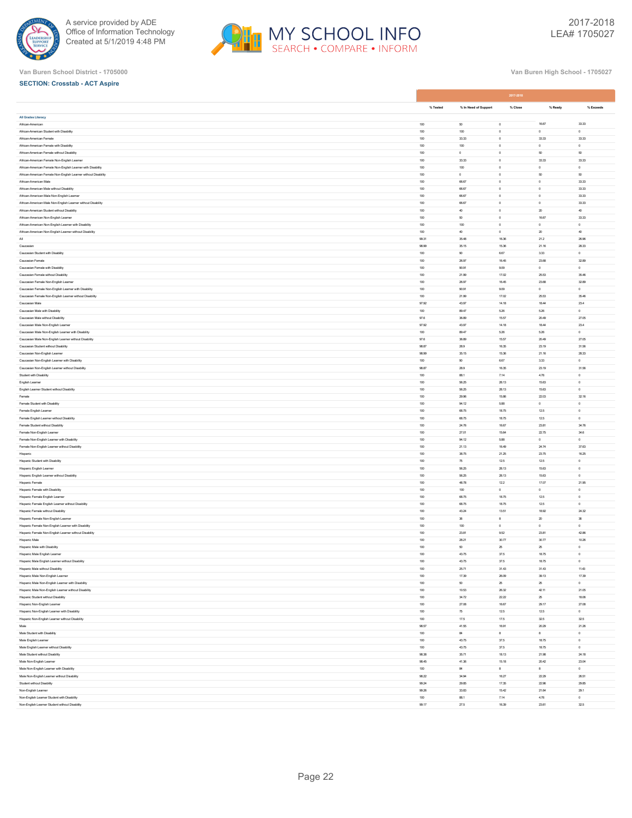![](_page_21_Picture_0.jpeg)

![](_page_21_Picture_2.jpeg)

|                                                                                                             |                  | 2017-2018            |                            |                            |                            |  |  |
|-------------------------------------------------------------------------------------------------------------|------------------|----------------------|----------------------------|----------------------------|----------------------------|--|--|
|                                                                                                             | % Tested         | % In Need of Support | % Close                    | % Ready                    | % Exceeds                  |  |  |
| All Grades Literacy                                                                                         |                  |                      |                            |                            |                            |  |  |
| African-American                                                                                            | 100              | 60                   | $\circ$                    | 16.67                      | 33.33                      |  |  |
| African-American Student with Disability                                                                    | 100              | 100                  | $\circ$                    | $\mathbb O$                | $\mathbb O$                |  |  |
| African-American Female                                                                                     | 100              | 33.33                | $\,$ 0 $\,$                | 33.33                      | 33.33                      |  |  |
| African-American Female with Disability                                                                     | 100              | 100<br>$\circ$       | $\circ$                    | $^{\circ}$                 | $^{\circ}$                 |  |  |
| African-American Female without Disability<br>African-American Female Non-English Learner                   | $100\,$<br>100   | 33.33                | $\,$ 0 $\,$<br>$\,$ 0 $\,$ | $_{\rm 50}$<br>33.33       | $_{\rm 50}$<br>33.33       |  |  |
| African-American Female Non-English Learner with Disability                                                 | 100              | 100                  | $\mathbf 0$                | $\circ$                    | $\mathsf{O}$               |  |  |
| African-American Female Non-English Learner without Disability                                              | $100\,$          | $\circ$              | $\,$ 0 $\,$                | $_{\rm 50}$                | $_{\rm 50}$                |  |  |
| African-American Male                                                                                       | 100              | 66.67                | $\circ$                    | $\circ$                    | 33.33                      |  |  |
| African-American Male without Disability                                                                    | 100              | 66.67                | $\,$ 0 $\,$                | $\,$ 0 $\,$                | 33.33                      |  |  |
| African-American Male Non-English Learner<br>African-American Male Non-English Learner without Disability   | 100<br>100       | 66.67<br>66.67       | $\,$ 0 $\,$<br>$\mathbf 0$ | $\,$ 0 $\,$<br>$\mathbb O$ | 33.33<br>33.33             |  |  |
| African-American Student without Disability                                                                 | $100\,$          | $40$                 | $\,$ 0 $\,$                | $\rm{20}$                  | $40\,$                     |  |  |
| African-American Non-English Learner                                                                        | 100              | 60                   | $\,$ 0 $\,$                | 16.67                      | 33.33                      |  |  |
| African-American Non-English Learner with Disability                                                        | 100              | 100                  | $\mathbf 0$                | $\mathbb O$                | $\circ$                    |  |  |
| African-American Non-English Learner without Disability<br>All                                              | $100\,$<br>99.31 | $40$<br>35.48        | $\,$ 0 $\,$<br>16.36       | $\rm{20}$                  | $40\,$<br>26.96            |  |  |
| Caucasian                                                                                                   | 98.99            | 35.15                | 15.36                      | 21.2<br>21.16              | 28.33                      |  |  |
| Caucasian Student with Disability                                                                           | 100              | 90                   | 6.67                       | 3.33                       | $\mathsf{O}$               |  |  |
| Caucasian Female                                                                                            | 100              | 26.97                | 16.45                      | 23.68                      | 32.89                      |  |  |
| Caucasian Female with Disability                                                                            | $100\,$          | 90.91                | 9.09                       | $\,0\,$                    | $\,$ 0                     |  |  |
| Caucasian Female without Disability                                                                         | 100              | 21.99                | 17.02                      | 25.53                      | 35.46                      |  |  |
| Caucasian Female Non-English Learner<br>Caucasian Female Non-English Learner with Disability                | 100<br>$100\,$   | 26.97<br>90.91       | 16.45<br>9.09              | 23.68<br>$\mathbb O$       | 32.89<br>$\circ$           |  |  |
| Caucasian Female Non-English Learner without Disability                                                     | 100              | 21.99                | 17.02                      | 25.53                      | 35.46                      |  |  |
| Caucasian Male                                                                                              | 97.92            | 43.97                | 14.18                      | 18.44                      | 23.4                       |  |  |
| Caucasian Male with Disability                                                                              | 100              | 89.47                | 5.26                       | 5.26                       | $\mathbb O$                |  |  |
| Caucasian Male without Disability                                                                           | 97.6             | 36.89                | 15.57                      | 20.49                      | 27.05                      |  |  |
| Caucasian Male Non-English Learner                                                                          | 97.92            | 43.97<br>89.47       | 14.18<br>5.26              | 18.44<br>5.26              | $23.4\,$<br>$^{\circ}$     |  |  |
| Caucasian Male Non-English Learner with Disability<br>Caucasian Male Non-English Learner without Disability | 100<br>97.6      | 36.89                | 15.57                      | 20.49                      | 27.05                      |  |  |
| Caucasian Student without Disability                                                                        | 98.87            | 28.9                 | 16.35                      | 23.19                      | 31.56                      |  |  |
| Caucasian Non-English Learner                                                                               | 98.99            | 35.15                | 15.36                      | 21.16                      | 28.33                      |  |  |
| Caucasian Non-English Learner with Disability                                                               | 100              | 90                   | 6.67                       | 3.33                       | $\mathbb O$                |  |  |
| Caucasian Non-English Learner without Disability                                                            | 98.87            | 28.9                 | 16.35                      | 23.19                      | 31.56                      |  |  |
| Student with Disability<br>English Learner                                                                  | 100<br>$100\,$   | 88.1<br>56.25        | 7.14<br>28.13              | 4.76<br>15.63              | $^{\circ}$<br>$\,$ 0 $\,$  |  |  |
| English Learner Student without Disability                                                                  | 100              | 56.25                | 28.13                      | 15.63                      | $\mathsf{O}$               |  |  |
| Female                                                                                                      | 100              | 29.96                | 15.86                      | 22.03                      | 32.16                      |  |  |
| Female Student with Disability                                                                              | $100\,$          | 94.12                | 5.88                       | $\,0\,$                    | $\,$ 0                     |  |  |
| Female English Learner                                                                                      | 100              | 68.75                | 18.75                      | 12.5                       | $\circ$                    |  |  |
| Female English Learner without Disability<br>Female Student without Disability                              | 100<br>100       | 68.75<br>24.76       | 18.75<br>16.67             | 12.5<br>23.81              | $\,$ 0 $\,$<br>34.76       |  |  |
| Female Non-English Learner                                                                                  | 100              | 27.01                | 15.64                      | 22.75                      | 34.6                       |  |  |
| Female Non-English Learner with Disability                                                                  | $100\,$          | 94.12                | 5.88                       | $\,$ 0 $\,$                | $\mathbb O$                |  |  |
| Female Non-English Learner without Disability                                                               | 100              | 21.13                | 16.49                      | 24.74                      | 37.63                      |  |  |
| Hispanic                                                                                                    | 100              | 38.75                | 21.25                      | 23.75                      | 16.25                      |  |  |
| Hispanic Student with Disability                                                                            | $100\,$<br>100   | $75\,$<br>56.25      | $12.5\,$<br>28.13          | 12.5<br>15.63              | $\,$ 0 $\,$<br>$^{\circ}$  |  |  |
| Hispanic English Learner<br>Hispanic English Learner without Disability                                     | 100              | 56.25                | 28.13                      | 15.63                      | $\,$ 0 $\,$                |  |  |
| Hispanic Female                                                                                             | 100              | 48.78                | 12.2                       | 17.07                      | 21.95                      |  |  |
| Hispanic Female with Disability                                                                             | 100              | 100                  | $\circ$                    | $\circ$                    | $^{\circ}$                 |  |  |
| Hispanic Female English Learner                                                                             | $100\,$          | 68.75                | 18.75                      | 12.5                       | $\,$ 0 $\,$                |  |  |
| Hispanic Female English Learner without Disability<br>Hispanic Female without Disability                    | 100<br>100       | 68.75<br>43.24       | 18.75<br>13.51             | 12.5<br>18.92              | $\,$ 0 $\,$<br>24.32       |  |  |
| Hispanic Female Non-English Learner                                                                         | $100\,$          | $36\,$               | 8                          | $\rm{20}$                  | $36\,$                     |  |  |
| Hispanic Female Non-English Learner with Disability                                                         | 100              | 100                  | $\mathbf 0$                | $\circ$                    | $\mathbb O$                |  |  |
| Hispanic Female Non-English Learner without Disability                                                      | 100              | 23.81                | 9.52                       | 23.81                      | 42.86                      |  |  |
| Hispanic Male                                                                                               | 100              | 28.21                | 30.77                      | 30.77                      | 10.26                      |  |  |
| Hispanic Male with Disability<br>Hispanic Male English Learner                                              | 100<br>100       | 60<br>43.75          | 25<br>37.5                 | 25<br>18.75                | $^{\circ}$<br>$\mathbf 0$  |  |  |
| Hispanic Male English Learner without Disability                                                            | 100              | 43.75                | 37.5                       | 18.75                      | $^{\circ}$                 |  |  |
| Hispanic Male without Disability                                                                            | 100              | 25.71                | 31.43                      | 31.43                      | 11.43                      |  |  |
| Hispanic Male Non-English Learner                                                                           | 100              | 17.39                | 26.09                      | 39.13                      | 17.39                      |  |  |
| Hispanic Male Non-English Learner with Disability                                                           | 100              | 60                   | $\rm{2S}$                  | 25                         | $\circ$                    |  |  |
| Hispanic Male Non-English Learner without Disability                                                        | 100<br>100       | 10.53                | 26.32                      | 42.11                      | 21.05<br>18.06             |  |  |
| Hispanic Student without Disability<br>Hispanic Non-English Learner                                         | 100              | 34.72<br>27.08       | 22.22<br>16.67             | $\rm 25$<br>29.17          | 27.08                      |  |  |
| Hispanic Non-English Learner with Disability                                                                | $100\,$          | $7\!$                | $12.5\,$                   | $12.5\,$                   | $\,$ 0 $\,$                |  |  |
| Hispanic Non-English Learner without Disability                                                             | 100              | 17.5                 | 17.5                       | 32.5                       | 32.5                       |  |  |
| Male                                                                                                        | 98.57            | 41.55                | 16.91                      | 20.29                      | 21.26                      |  |  |
| Male Student with Disability                                                                                | $100\,$          | 84                   | 8                          | 8                          | $\,$ 0                     |  |  |
| Male English Learner<br>Male English Learner without Disability                                             | 100<br>100       | 43.75<br>43.75       | 37.5<br>37.5               | 18.75<br>18.75             | $^{\circ}$<br>$\mathsf{O}$ |  |  |
| Male Student without Disability                                                                             | 98.38            | 35.71                | 18.13                      | 21.98                      | 24.18                      |  |  |
| Male Non-English Learner                                                                                    | 98.45            | 41.36                | 15.18                      | 20.42                      | 23.04                      |  |  |
| Male Non-English Learner with Disability                                                                    | $100\,$          | 84                   | $\bf8$                     | $\bf8$                     | $\mathbb O$                |  |  |
| Male Non-English Learner without Disability                                                                 | 98.22            | 34.94                | 16.27                      | 22.29                      | 26.51                      |  |  |
| Student without Disability                                                                                  | 99.24            | 29.85                | 17.35                      | 22.96                      | 29.85                      |  |  |
| Non-English Learner<br>Non-English Learner Student with Disability                                          | 99.26<br>100     | 33.83<br>88.1        | 15.42<br>7.14              | 21.64<br>4.76              | 29.1<br>$\circ$            |  |  |
| Non-English Learner Student without Disability                                                              | 99.17            | 27.5                 | 16.39                      | 23.61                      | 32.5                       |  |  |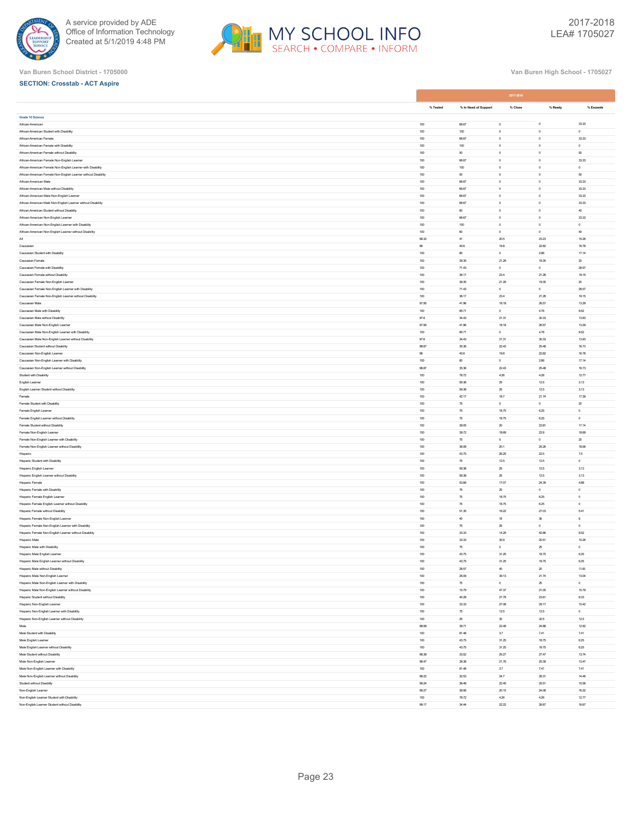![](_page_22_Picture_0.jpeg)

![](_page_22_Picture_2.jpeg)

|                                                                                                                 | 2017-2018        |                      |                       |                             |                       |
|-----------------------------------------------------------------------------------------------------------------|------------------|----------------------|-----------------------|-----------------------------|-----------------------|
|                                                                                                                 | % Tested         | % In Need of Support | % Close               | % Ready                     | % Exceeds             |
|                                                                                                                 |                  |                      |                       |                             |                       |
| Grade 10 Science<br>African-American                                                                            | $100\,$          | 66.67                | $\bf{0}$              | $\,0\,$                     | 33.33                 |
| African-American Student with Disability                                                                        | 100              | 100                  | $\,0\,$               | $\circ$                     | $\circ$               |
| African-American Female                                                                                         | 100              | 66.67                | $\mathbf 0$           | $\mathbb O$                 | 33.33                 |
| African-American Female with Disability                                                                         | $100\,$          | $100\,$              | $\bf{0}$              | $\mathbb O$                 | $\mathbb O$           |
| African-American Female without Disability                                                                      | 100              | 60                   | $\,0\,$               | $\circ$                     | 50                    |
| African-American Female Non-English Learner                                                                     | 100              | 66.67                | $\,$ 0 $\,$           | $\mathbb O$                 | 33.33                 |
| African-American Female Non-English Learner with Disability                                                     | 100              | 100                  | $\mathbf 0$           | $\mathbb O$                 | $\circ$               |
| African-American Female Non-English Learner without Disability                                                  | 100              | 60                   | $\mathbf 0$           | $\circ$                     | 50                    |
| African-American Male                                                                                           | $100\,$          | 66.67                | $\bf{0}$              | $\mathbb O$                 | 33.33                 |
| African-American Male without Disability<br>African-American Male Non-English Learner                           | 100<br>100       | 66.67<br>66.67       | $\,$ 0<br>$\,$ 0 $\,$ | $\mathbb O$<br>$\mathbf 0$  | 33.33<br>33.33        |
| African-American Male Non-English Learner without Disability                                                    | $100\,$          | 66.67                | $\bf{0}$              | $\mathbf 0$                 | 33.33                 |
| African-American Student without Disability                                                                     | 100              | 60                   | $\circ$               | $\circ$                     | 40                    |
| African-American Non-English Learner                                                                            | 100              | 66.67                | $\,$ 0 $\,$           | $\circ$                     | 33.33                 |
| African-American Non-English Learner with Disability                                                            | 100              | 100                  | $\,$ 0 $\,$           | $\,0\,$                     | $\,0\,$               |
| African-American Non-English Learner without Disability                                                         | 100              | 60                   | $\circ$               | $\circ$                     | 40                    |
| $\mathsf{All}$                                                                                                  | 99.32            | $41\,$               | $20.6\,$              | 23.23                       | 15.26                 |
| Caucasian                                                                                                       | $99$             | 40.6                 | 19.8                  | 22.82                       | 16.78                 |
| Caucasian Student with Disability                                                                               | 100              | $_{80}$              | $\,$ 0 $\,$           | 2.86                        | 17.14                 |
| Caucasian Female                                                                                                | $100\,$          | 39.35                | 21.29                 | 19.35                       | $\rm 20$              |
| Caucasian Female with Disability                                                                                | 100              | 71.43                | $\,0\,$               | $\circ$                     | 28.57                 |
| Caucasian Female without Disability                                                                             | 100              | 36.17                | 23.4                  | 21.28                       | 19.15<br>20           |
| Caucasian Female Non-English Learner                                                                            | 100              | 39.35                | 21.29                 | 19.35                       |                       |
| Caucasian Female Non-English Learner with Disability<br>Caucasian Female Non-English Learner without Disability | 100<br>$100\,$   | 71.43<br>36.17       | $\circ$<br>23.4       | $\circ$<br>21.28            | 28.57<br>19.15        |
| Caucasian Male                                                                                                  | 97.95            | 41.96                | 18.18                 | 26.57                       | 13.29                 |
| Caucasian Male with Disability                                                                                  | 100              | 85.71                | $\mathbf 0$           | 4.76                        | 9.52                  |
| Caucasian Male without Disability                                                                               | 97.6             | 34.43                | 21.31                 | 30.33                       | 13.93                 |
| Caucasian Male Non-English Learner                                                                              | 97.95            | 41.96                | 18.18                 | 26.57                       | 13.29                 |
| Caucasian Male Non-English Learner with Disability                                                              | 100              | 85.71                | $\mathbf 0$           | 4.76                        | 9.52                  |
| Caucasian Male Non-English Learner without Disability                                                           | 97.6             | 34.43                | 21.31                 | 30.33                       | 13.93                 |
| Caucasian Student without Disability                                                                            | 98.87            | 35.36                | 22.43                 | 25.48                       | 16.73                 |
| Caucasian Non-English Learner                                                                                   | $99\,$           | 40.6                 | 19.8                  | 22.82                       | 16.78                 |
| Caucasian Non-English Learner with Disability                                                                   | 100              | $_{80}$              | $\,$ 0 $\,$           | 2.86                        | 17.14                 |
| Caucasian Non-English Learner without Disability                                                                | 98.87            | 35.36                | 22.43                 | 25.48                       | 16.73                 |
| Student with Disability                                                                                         | $100\,$          | 78.72                | $4.26\,$              | $4.26\,$                    | 12.77                 |
| English Learner                                                                                                 | 100              | 59.38                | $2\!$                 | 12.5                        | 3.13                  |
| English Learner Student without Disability                                                                      | 100              | 59.38                | $\rm{z}\rm{s}$        | 12.5                        | 3.13                  |
| Female                                                                                                          | 100              | 42.17                | 18.7                  | 21.74                       | 17.39                 |
| Female Student with Disability                                                                                  | 100<br>$100\,$   | 75<br>$7\!$          | 5<br>18.75            | $^{\circ}$<br>$_{\rm 6.25}$ | 20<br>$\mathbb O$     |
| Female English Learner<br>Female English Learner without Disability                                             | 100              | $75\,$               | 18.75                 | 6.25                        | $\circ$               |
| Female Student without Disability                                                                               | 100              | 39.05                | $\rm{20}$             | 23.81                       | 17.14                 |
| Female Non-English Learner                                                                                      | $100\,$          | 39.72                | 18.69                 | 22.9                        | 18.69                 |
| Female Non-English Learner with Disability                                                                      | 100              | 75                   | 5                     | $\circ$                     | 20                    |
| Female Non-English Learner without Disability                                                                   | 100              | 36.08                | 20.1                  | 25.26                       | 18.56                 |
| Hispanic                                                                                                        | 100              | 43.75                | 26.25                 | 22.5                        | $7.5\,$               |
| Hispanic Student with Disability                                                                                | 100              | $7\!$                | 125                   | 12.5                        | $\circ$               |
| Hispanic English Learner                                                                                        | $100\,$          | 59.38                | $\rm{2S}$             | 12.5                        | 3.13                  |
| Hispanic English Learner without Disability                                                                     | 100              | 59.38                | $\rm{2S}$             | 12.5                        | 3.13                  |
| Hispanic Female                                                                                                 | 100              | 53.66                | 17.07                 | 24.39                       | 4.88                  |
| Hispanic Female with Disability                                                                                 | $100\,$<br>100   | $7\!$                | $\rm{2S}$             | $\mathbf 0$                 | $\mathsf{o}$          |
| Hispanic Female English Learner<br>Hispanic Female English Learner without Disability                           | 100              | $7\!$<br>$7\!$       | 18.75<br>18.75        | 6.25<br>6.25                | $^{\circ}$<br>$\circ$ |
| Hispanic Female without Disability                                                                              | 100              | 51.35                | 16.22                 | 27.03                       | 5.41                  |
| Hispanic Female Non-English Learner                                                                             | 100              | 40                   | 16                    | 36                          | 8                     |
| Hispanic Female Non-English Learner with Disability                                                             | $100\,$          | $7\!$                | $\rm{2S}$             | $\mathbf 0$                 | $\mathbf 0$           |
| Hispanic Female Non-English Learner without Disability                                                          | 100              | 33.33                | 14.29                 | 42.86                       | 9.52                  |
| Hispanic Male                                                                                                   | 100              | 33.33                | 35.9                  | 20.51                       | 10.26                 |
| Hispanic Male with Disability                                                                                   | $100\,$          | $7\!$                | $\,$ 0 $\,$           | $\rm{25}$                   | $\mathsf{o}$          |
| Hispanic Male English Learne                                                                                    | 100              | 43.75                | 31.25                 | 18.75                       | 6.25                  |
| Hispanic Male English Learner without Disability                                                                | 100              | 43.75                | 31.25                 | 18.75                       | 6.25                  |
| Hispanic Male without Disability                                                                                | 100              | 28.57                | 40                    | $20\,$                      | 11.43                 |
| Hispanic Male Non-English Learner                                                                               | 100              | 26.09                | 39.13                 | 21.74                       | 13.04                 |
| Hispanic Male Non-English Learner with Disability                                                               | $100\,$          | $7\!$<br>15.79       | $\bf{0}$<br>47.37     | $2\!$<br>21.05              | $\mathbf 0$           |
| Hispanic Male Non-English Learner without Disability<br>Hispanic Student without Disability                     | 100<br>100       | 40.28                | 27.78                 | 23.61                       | 15.79<br>8.33         |
| Hispanic Non-English Learner                                                                                    | $100\,$          | 33.33                | 27.08                 | 29.17                       | 10.42                 |
| Hispanic Non-English Learner with Disability                                                                    | 100              | 75                   | 125                   | 12.5                        | $^{\circ}$            |
| Hispanic Non-English Learner without Disability                                                                 | 100              | $\rm{25}$            | $_{30}$               | 32.5                        | 12.5                  |
| Male                                                                                                            | 98.58            | 39.71                | 22.49                 | 24.88                       | 12.92                 |
| Male Student with Disability                                                                                    | 100              | 81.48                | 3.7                   | 7.41                        | 7.41                  |
| Male English Learner                                                                                            | $100\,$          | 43.75                | 31.25                 | 18.75                       | $_{\rm 6.25}$         |
| Male English Learner without Disability                                                                         | 100              | 43.75                | 31.25                 | 18.75                       | 6.25                  |
| Male Student without Disability                                                                                 | 98.38            | 33.52                | 25.27                 | 27.47                       | 13.74                 |
| Male Non-English Learner                                                                                        | 98.47            | 39.38                | 21.76                 | 25.39                       | 13.47                 |
| Male Non-English Learner with Disability                                                                        | 100              | 81.48                | 37                    | 7.41                        | 7.41                  |
| Male Non-English Learner without Disability                                                                     | 98.22            | 32.53                | 24.7                  | 28.31                       | 14.46                 |
| Student without Disability                                                                                      | 99.24            | 36.48                | 22.45                 | 25.51                       | 15.56                 |
| Non-English Learner                                                                                             | 99.27            | 39.56                | 20.15                 | 24.08                       | 16.22                 |
| Non-English Learner Student with Disability<br>Non-English Learner Student without Disability                   | $100\,$<br>99.17 | 78.72<br>34.44       | $4.26\,$<br>22.22     | $4.26\,$<br>26.67           | 12.77<br>16.67        |
|                                                                                                                 |                  |                      |                       |                             |                       |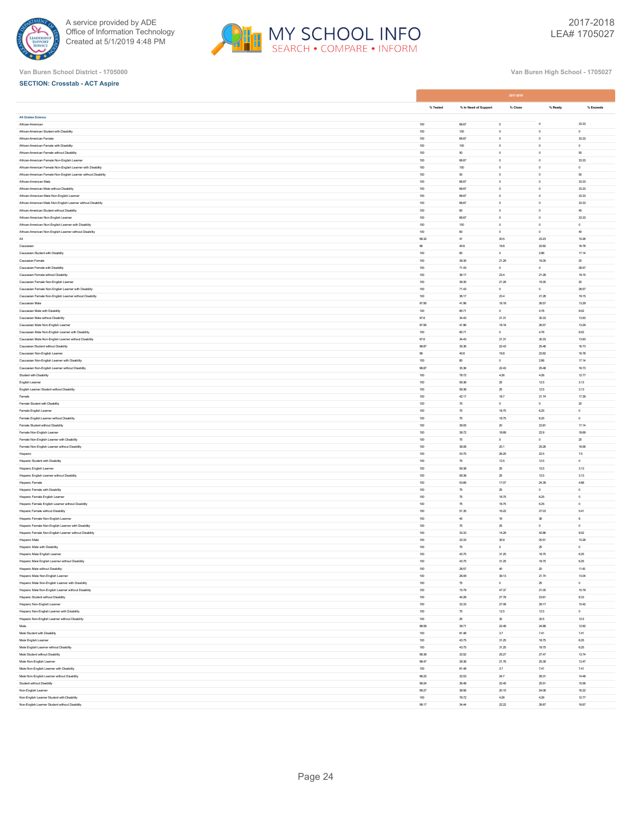![](_page_23_Picture_0.jpeg)

![](_page_23_Picture_2.jpeg)

|                                                                                         | 2017-2018         |                      |                            |                            |                      |  |  |
|-----------------------------------------------------------------------------------------|-------------------|----------------------|----------------------------|----------------------------|----------------------|--|--|
|                                                                                         | % Tested          | % In Need of Support | % Close                    | % Ready                    | % Exceeds            |  |  |
|                                                                                         |                   |                      |                            |                            |                      |  |  |
| <b>All Grades Science</b>                                                               |                   |                      |                            |                            |                      |  |  |
| African-American                                                                        | $100\,$           | 66.67<br>100         | $\,$ 0                     | $\,0\,$                    | 33.33                |  |  |
| African-American Student with Disability<br>African-American Female                     | 100<br>100        | 66.67                | $\,$ 0 $\,$<br>$\,$ 0 $\,$ | $\,$ 0 $\,$<br>$\,$ 0 $\,$ | $\,$ 0 $\,$<br>33.33 |  |  |
| African-American Female with Disability                                                 | $100\,$           | $100\,$              | $\,$ 0                     | $\,$ 0 $\,$                | $\,$ 0               |  |  |
| African-American Female without Disability                                              | 100               | 50                   | $\circ$                    | $\circ$                    | 50                   |  |  |
| African-American Female Non-English Learner                                             | 100               | 66.67                | $\,$ 0 $\,$                | $\,$ 0 $\,$                | 33.33                |  |  |
| African-American Female Non-English Learner with Disability                             | 100               | 100                  | $\,$ 0                     | $\,0\,$                    | $\,$ 0               |  |  |
| African-American Female Non-English Learner without Disability                          | 100               | 50                   | $\circ$                    | $\circ$                    | $_{50}$              |  |  |
| African-American Male                                                                   | $100\,$           | 66.67                | $\,$ 0 $\,$                | $\,$ 0 $\,$                | 33.33                |  |  |
| African-American Male without Disability                                                | 100               | 66.67                | $\,$ 0                     | $\,0\,$                    | 33.33                |  |  |
| African-American Male Non-English Learner                                               | 100               | 66.67                | $\circ$                    | $\,$ 0                     | 33.33                |  |  |
| African-American Male Non-English Learner without Disability                            | 100               | 66.67                | $\,$ 0                     | $\,$ 0 $\,$                | 33.33                |  |  |
| African-American Student without Disability                                             | 100               | 60                   | $\circ$                    | $\circ$                    | 40                   |  |  |
| African-American Non-English Learner                                                    | 100               | 66.67                | $\circ$                    | $\,$ 0 $\,$                | 33.33                |  |  |
| African-American Non-English Learner with Disability                                    | 100               | 100                  | $\,$ 0 $\,$                | $\,$ 0 $\,$                | $\,$ 0 $\,$          |  |  |
| African-American Non-English Learner without Disability                                 | 100               | 60                   | $\circ$                    | $^{\circ}$                 | 40                   |  |  |
| All                                                                                     | 99.32             | $41\,$               | $20.5\,$                   | 23.23                      | 15.26                |  |  |
| Caucasian                                                                               | $99$              | 40.6                 | 19.8                       | 22.82                      | 16.78                |  |  |
| Caucasian Student with Disability                                                       | 100               | $_{80}$              | $\,$ 0 $\,$                | 2.86                       | 17.14                |  |  |
| Caucasian Female                                                                        | $100\,$           | 39.35                | 21.29                      | 19.35                      | $\rm 20$             |  |  |
| Caucasian Female with Disability                                                        | 100               | 71.43                | $\circ$                    | $^{\circ}$                 | 28.57                |  |  |
| Caucasian Female without Disability                                                     | 100               | 36.17                | 23.4                       | 21.28                      | 19.15                |  |  |
| Caucasian Female Non-English Learner                                                    | 100               | 39.35                | 21.29                      | 19.35                      | 20                   |  |  |
| Caucasian Female Non-English Learner with Disability                                    | 100               | 71.43                | $\circ$                    | $^{\circ}$                 | 28.57                |  |  |
| Caucasian Female Non-English Learner without Disability                                 | $100\,$           | 36.17                | 23.4                       | 21.28                      | 19.15                |  |  |
| Caucasian Male<br>Caucasian Male with Disability                                        | 97.95<br>100      | 41.96<br>85.71       | 18.18                      | 26.57<br>4.76              | 13.29<br>9.52        |  |  |
|                                                                                         |                   |                      | $\circ$                    |                            |                      |  |  |
| Caucasian Male without Disability<br>Caucasian Male Non-English Learner                 | $97.6\,$<br>97.95 | 34.43<br>41.96       | 21.31<br>18.18             | 30.33<br>26.57             | 13.93<br>13.29       |  |  |
| Caucasian Male Non-English Learner with Disability                                      | 100               | 85.71                | $\circ$                    | 4.76                       | 9.52                 |  |  |
| Caucasian Male Non-English Learner without Disability                                   | 97.6              | 34.43                | 21.31                      | 30.33                      | 13.93                |  |  |
| Caucasian Student without Disability                                                    | 98.87             | 35.36                | 22.43                      | 25.48                      | 16.73                |  |  |
| Caucasian Non-English Learner                                                           | $99$              | $40.6\,$             | 19.8                       | 22.82                      | 16.78                |  |  |
| Caucasian Non-English Learner with Disability                                           | 100               | 80                   | $\,$ 0 $\,$                | 2.86                       | 17.14                |  |  |
| Caucasian Non-English Learner without Disability                                        | 98.87             | 35.36                | 22.43                      | 25.48                      | 16.73                |  |  |
| Student with Disability                                                                 | $100\,$           | 78.72                | 4.26                       | 4.26                       | 12.77                |  |  |
| English Learner                                                                         | 100               | 59.38                | 25                         | 12.5                       | 3.13                 |  |  |
| English Learner Student without Disability                                              | 100               | 59.38                | $\rm{2S}$                  | 12.5                       | 3.13                 |  |  |
| Female                                                                                  | 100               | 42.17                | 18.7                       | 21.74                      | 17.39                |  |  |
| Female Student with Disability                                                          | 100               | $75\,$               | 5                          | $^{\circ}$                 | 20                   |  |  |
| Female English Learner                                                                  | $100\,$           | $75\,$               | 18.75                      | 6.25                       | $\,$ 0 $\,$          |  |  |
| Female English Learner without Disability                                               | 100               | $75\,$               | 18.75                      | 6.25                       | $\circ$              |  |  |
| Female Student without Disability                                                       | 100               | 39.05                | $\rm{20}$                  | 23.81                      | 17.14                |  |  |
| Female Non-English Learner                                                              | $100\,$           | 39.72                | 18.69                      | 22.9                       | 18.69                |  |  |
| Female Non-English Learner with Disability                                              | 100               | $75\,$               | 5                          | $\circ$                    | 20                   |  |  |
| Female Non-English Learner without Disability                                           | 100               | 36.08                | 20.1                       | 25.26                      | 18.56                |  |  |
| Hispanic                                                                                | 100               | 43.75                | 26.25                      | 22.5                       | 7.5                  |  |  |
| Hispanic Student with Disability                                                        | 100               | 75                   | 12.5                       | 12.5                       | $\circ$              |  |  |
| Hispanic English Learner                                                                | $100\,$           | 59.38                | $\rm{2S}$                  | $12.5\,$                   | 3.13                 |  |  |
| Hispanic English Learner without Disability<br>Hispanic Female                          | 100<br>100        | 59.38<br>53.66       | $\rm{2S}$<br>17.07         | 12.5<br>24.39              | 3.13<br>4.88         |  |  |
|                                                                                         | $100\,$           | $75\,$               | $\rm{2S}$                  |                            |                      |  |  |
| Hispanic Female with Disability<br>Hispanic Female English Learner                      | 100               | $75\,$               | 18.75                      | $\,0\,$<br>6.25            | $\,0\,$<br>$\circ$   |  |  |
| Hispanic Female English Learner without Disability                                      | 100               | $75\,$               | 18.75                      | 6.25                       | $\,$ 0 $\,$          |  |  |
| Hispanic Female without Disability                                                      | 100               | 51.35                | 16.22                      | 27.03                      | 5.41                 |  |  |
| Hispanic Female Non-English Learner                                                     | 100               | 40                   | 16                         | 36                         | 8                    |  |  |
| Hispanic Female Non-English Learner with Disability                                     | $100\,$           | $75\,$               | $\rm{2S}$                  | $\,$ 0 $\,$                | $\,$ 0 $\,$          |  |  |
| Hispanic Female Non-English Learner without Disability                                  | 100               | 33.33                | 14.29                      | 42.86                      | 9.52                 |  |  |
| Hispanic Male                                                                           | 100               | 33.33                | 35.9                       | 20.51                      | 10.26                |  |  |
| Hispanic Male with Disability                                                           | 100               | $75\,$               | $\,$ 0 $\,$                | $\rm 25$                   | $\,$ 0 $\,$          |  |  |
| Hispanic Male English Learner                                                           | 100               | 43.75                | 31.25                      | 18.75                      | 6.25                 |  |  |
| Hispanic Male English Learner without Disability                                        | 100               | 43.75                | 31.25                      | 18.75                      | 6.25                 |  |  |
| Hispanic Male without Disability                                                        | 100               | 28.57                | 40                         | 20                         | 11.43                |  |  |
| Hispanic Male Non-English Learner                                                       | 100               | 26.09                | 39.13                      | 21.74                      | 13.04                |  |  |
| Hispanic Male Non-English Learner with Disability                                       | $100\,$           | $7\!$                | $\,$ 0 $\,$                | $\rm{25}$                  | $\,$ 0               |  |  |
| Hispanic Male Non-English Learner without Disability                                    | 100               | 15.79                | 47.37                      | 21.05                      | 15.79                |  |  |
| Hispanic Student without Disability                                                     | 100               | 40.28                | 27.78                      | 23.61                      | 8.33                 |  |  |
| Hispanic Non-English Learner                                                            | $100\,$           | 33.33                | 27.08                      | 29.17                      | 10.42                |  |  |
| Hispanic Non-English Learner with Disability                                            | 100               | 75                   | 12.5                       | 12.5                       | $\circ$              |  |  |
| Hispanic Non-English Learner without Disability                                         | 100               | $\rm{2S}$            | 30                         | 32.5                       | 12.5                 |  |  |
| Male                                                                                    | 98.58             | 39.71                | 22.49                      | 24.88                      | 12.92                |  |  |
| Male Student with Disability                                                            | 100               | 81.48                | 37                         | 7.41                       | 7.41                 |  |  |
| Male English Learner                                                                    | 100               | 43.75                | 31.25                      | 18.75                      | 6.25                 |  |  |
| Male English Learner without Disability<br>Male Student without Disability              | 100<br>98.38      | 43.75<br>33.52       | 31.25<br>25.27             | 18.75<br>27.47             | 6.25<br>13.74        |  |  |
| Male Non-English Learner                                                                |                   |                      |                            |                            |                      |  |  |
|                                                                                         | 98.47<br>100      | 39.38<br>81.48       | 21.76<br>3.7               | 25.39<br>7.41              | 13.47<br>7.41        |  |  |
| Male Non-English Learner with Disability<br>Male Non-English Learner without Disability | 98.22             | 32.53                | 24.7                       | 28.31                      | 14.46                |  |  |
| Student without Disability                                                              | 99.24             | 36.48                | 22.45                      | 25.51                      | 15.56                |  |  |
| Non-English Learner                                                                     | 99.27             | 39.56                | 20.15                      | 24.08                      | 16.22                |  |  |
| Non-English Learner Student with Disability                                             | $100\,$           | 78.72                | $4.26\,$                   | 4.26                       | 12.77                |  |  |
| Non-English Learner Student without Disability                                          | 99.17             | 34.44                | 22.22                      | 26.67                      | 16.67                |  |  |
|                                                                                         |                   |                      |                            |                            |                      |  |  |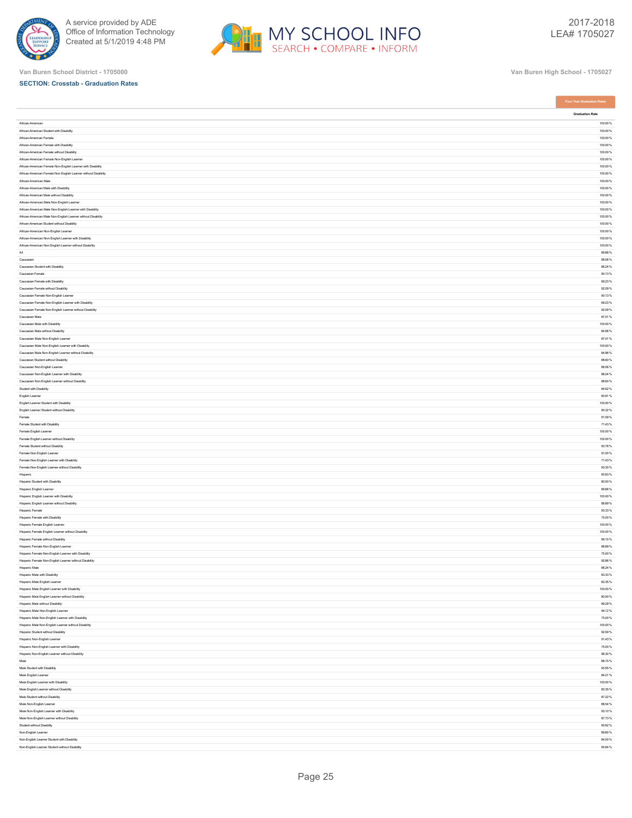![](_page_24_Picture_0.jpeg)

![](_page_24_Picture_2.jpeg)

**Four Year Graduation Rates**

**Van Buren School District - 1705000 Van Buren High School - 1705027**

## **SECTION: Crosstab - Graduation Rates**

|                                                                                                                               | <b>Graduation Rate</b> |
|-------------------------------------------------------------------------------------------------------------------------------|------------------------|
| African-American                                                                                                              | 100.00%                |
| African-American Student with Disability                                                                                      | 100.00%                |
| African-American Female                                                                                                       | 100.00%                |
| African-American Female with Disability                                                                                       | 100.00%                |
| African-American Female without Disability                                                                                    | 100.00%                |
| African-American Female Non-English Learner                                                                                   | 100.00%<br>100.00%     |
| African-American Female Non-English Learner with Disability<br>African-American Female Non-English Learner without Disability | 100.00%                |
| African-American Male                                                                                                         | 100.00%                |
| African-American Male with Disability                                                                                         | 100.00%                |
| African-American Male without Disability                                                                                      | 100.00%                |
| African-American Male Non-English Learner                                                                                     | 100.00%                |
| African-American Male Non-English Learner with Disability                                                                     | 100.00%                |
| African-American Male Non-English Learner without Disability                                                                  | 100.00%                |
| African-American Student without Disability                                                                                   | 100.00%                |
| African-American Non-English Learner                                                                                          | 100.00%                |
| African-American Non-English Learner with Disability                                                                          | 100.00%                |
| African-American Non-English Learner without Disability                                                                       | 100.00%                |
| $\mathsf{All}$                                                                                                                | 89.88%                 |
| Caucasian                                                                                                                     | 88.56%                 |
| Caucasian Student with Disability                                                                                             | 88.24%                 |
| Caucasian Female                                                                                                              | 90.13%                 |
| Caucasian Female with Disability                                                                                              | 69.23%                 |
| Caucasian Female without Disability                                                                                           | 92.09%                 |
| Caucasian Female Non-English Learner                                                                                          | 90.13%<br>69.23%       |
| Caucasian Female Non-English Learner with Disability<br>Caucasian Female Non-English Learner without Disability               | 92.09%                 |
| Caucasian Male                                                                                                                | 87.01%                 |
| Caucasian Male with Disability                                                                                                | 100.00%                |
| Caucasian Male without Disability                                                                                             | 84.96%                 |
| Caucasian Male Non-English Learner                                                                                            | 87.01%                 |
| Caucasian Male Non-English Learner with Disability                                                                            | 100.00%                |
| Caucasian Male Non-English Learner without Disability                                                                         | 84.96%                 |
| Caucasian Student without Disability                                                                                          | 88.60%                 |
| Caucasian Non-English Learner                                                                                                 | 88.56%                 |
| Caucasian Non-English Learner with Disability                                                                                 | 88.24%                 |
| Caucasian Non-English Learner without Disability                                                                              | 88.60%                 |
| Student with Disability                                                                                                       | 84.62%                 |
| English Learner                                                                                                               | 90.91%                 |
| English Learner Student with Disability                                                                                       | 100.00%                |
| English Learner Student without Disability                                                                                    | 90.32%                 |
| Female<br>Female Student with Disability                                                                                      | 91.59%<br>71.43%       |
| Female English Learner                                                                                                        | 100.00%                |
| Female English Learner without Disability                                                                                     | 100.00%                |
| Female Student without Disability                                                                                             | 93.78%                 |
| Female Non-English Learner                                                                                                    | 91.00%                 |
| Female Non-English Learner with Disability                                                                                    | 71.43%                 |
| Female Non-English Learner without Disability                                                                                 | 93.30%                 |
| Hispanic                                                                                                                      | 90.63%                 |
| Hispanic Student with Disability                                                                                              | 80.00%                 |
| Hispanic English Learner                                                                                                      | 89.66%                 |
| Hispanic English Learner with Disability                                                                                      | 100.00%                |
| Hispanic English Learner without Disability                                                                                   | 88.89%                 |
| Hispanic Female                                                                                                               | 93.33%                 |
| Hispanic Female with Disability                                                                                               | 75.00%                 |
| Hispanic Female English Learner                                                                                               | 100.00%                |
| Hispanic Female English Learner without Disability                                                                            | 100.00%                |
| Hispanic Female without Disability                                                                                            | 96.15%                 |
| Hispanic Female Non-English Learner<br>Hispanic Female Non-English Learner with Disability                                    | 88.89%<br>75.00%       |
| Hispanic Female Non-English Learner without Disability                                                                        | 92.86%                 |
| Hispanic Male                                                                                                                 | 88.24%                 |
| Hispanic Male with Disability                                                                                                 | 83.33%                 |
| Hispanic Male English Learner                                                                                                 | 82.35%                 |
| Hispanic Male English Learner with Disability                                                                                 | 100.00%                |
| Hispanic Male English Learner without Disability                                                                              | 80.00%                 |
| Hispanic Male without Disability                                                                                              | 89.29%                 |
| Hispanic Male Non-English Learner                                                                                             | 94.12%                 |
| Hispanic Male Non-English Learner with Disability                                                                             | 75.00%                 |
| Hispanic Male Non-English Learner without Disability                                                                          | 100.00%                |
| Hispanic Student without Disability                                                                                           | 92.59%                 |
| Hispanic Non-English Learner                                                                                                  | 91.43%                 |
| Hispanic Non-English Learner with Disability                                                                                  | 75.00%                 |
| Hispanic Non-English Learner without Disability                                                                               | 96.30%                 |
| Male                                                                                                                          | 88.15%                 |
| Male Student with Disability                                                                                                  | 93.55%                 |
| Male English Learner                                                                                                          | 84.21%<br>100.00%      |
| Male English Learner with Disability<br>Male English Learner without Disability                                               | 82.35%                 |
| Male Student without Disability                                                                                               | 87.22%                 |
| Male Non-English Learner                                                                                                      | 88.54%                 |
| Male Non-English Learner with Disability                                                                                      | 93.10%                 |
| Male Non-English Learner without Disability                                                                                   | 87.73%                 |
| Student without Disability                                                                                                    | 90.62%                 |
| Non-English Learner                                                                                                           | 89.80%                 |
| Non-English Learner Student with Disability                                                                                   | 84.00%                 |
| Non-English Learner Student without Disability                                                                                | 90.64%                 |
|                                                                                                                               |                        |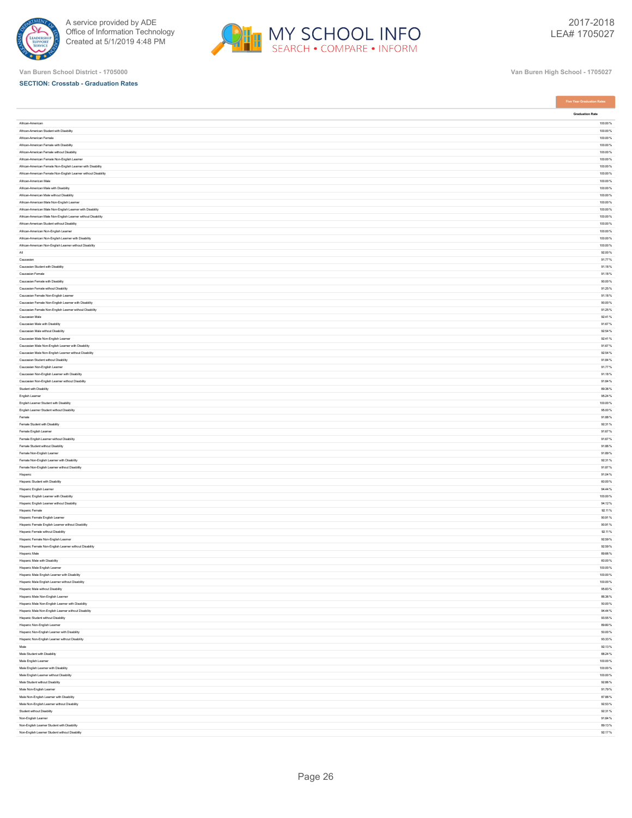![](_page_25_Picture_0.jpeg)

![](_page_25_Picture_2.jpeg)

**Five Year Graduation Rates**

**Van Buren School District - 1705000 Van Buren High School - 1705027**

## **SECTION: Crosstab - Graduation Rates**

|                                                                                              | <b>Graduation Rate</b> |
|----------------------------------------------------------------------------------------------|------------------------|
|                                                                                              |                        |
| African-American                                                                             | 100.00%                |
| African-American Student with Disability<br>African-American Female                          | 100.00%<br>100.00%     |
| African-American Female with Disability                                                      | 100.00%                |
| African-American Female without Disability                                                   | 100.00%                |
| African-American Female Non-English Learner                                                  | 100.00%                |
| African-American Female Non-English Learner with Disability                                  | 100.00%                |
| African-American Female Non-English Learner without Disability                               | 100.00%                |
| African-American Male                                                                        | 100.00%                |
| African-American Male with Disability                                                        | 100.00%                |
| African-American Male without Disability                                                     | 100.00%                |
| African-American Male Non-English Learner                                                    | 100.00%                |
| African-American Male Non-English Learner with Disability                                    | 100.00%                |
| African-American Male Non-English Learner without Disability                                 | 100.00%                |
| African-American Student without Disability                                                  | 100.00%                |
| African-American Non-English Learner<br>African-American Non-English Learner with Disability | 100.00%<br>100.00%     |
| African-American Non-English Learner without Disability                                      | 100.00%                |
| All                                                                                          | 92.00%                 |
| Caucasian                                                                                    | 91.77%                 |
| Caucasian Student with Disability                                                            | 91.18%                 |
| Caucasian Female                                                                             | 91.18%                 |
| Caucasian Female with Disability                                                             | 90.00%                 |
| Caucasian Female without Disability                                                          | 91.25%                 |
| Caucasian Female Non-English Learner                                                         | 91.18%                 |
| Caucasian Female Non-English Learner with Disability                                         | 90.00%                 |
| Caucasian Female Non-English Learner without Disability                                      | 91.25%                 |
| Caucasian Male                                                                               | 92.41%                 |
| Caucasian Male with Disability<br>Caucasian Male without Disability                          | 91.67%                 |
| Caucasian Male Non-English Learner                                                           | 92.54%<br>92.41%       |
| Caucasian Male Non-English Learner with Disability                                           | 91.67%                 |
| Caucasian Male Non-English Learner without Disability                                        | 92.54%                 |
| Caucasian Student without Disability                                                         | 91.84%                 |
| Caucasian Non-English Learner                                                                | 91.77%                 |
| Caucasian Non-English Learner with Disability                                                | 91.18%                 |
| Caucasian Non-English Learner without Disability                                             | 91.84%                 |
| Student with Disability                                                                      | 89.36%                 |
| English Learner                                                                              | 95.24%                 |
| English Learner Student with Disability                                                      | 100.00%                |
| English Learner Student without Disability                                                   | 95.00%                 |
| Female                                                                                       | 91.88%                 |
| Female Student with Disability                                                               | 92.31%                 |
| Female English Learner<br>Female English Learner without Disability                          | 91.67%<br>91.67%       |
| Female Student without Disability                                                            | 91.86%                 |
| Female Non-English Learner                                                                   | 91.89%                 |
| Female Non-English Learner with Disability                                                   | 92.31%                 |
| Female Non-English Learner without Disability                                                | 91.87%                 |
| Hispanic                                                                                     | 91.04%                 |
| Hispanic Student with Disability                                                             | 60.00%                 |
| Hispanic English Learner                                                                     | 94.44%                 |
| Hispanic English Learner with Disability                                                     | 100.00%                |
| Hispanic English Learner without Disability                                                  | 94.12%                 |
| Hispanic Female                                                                              | 92.11%                 |
| Hispanic Female English Learner                                                              | 90.91%                 |
| Hispanic Female English Learner without Disability<br>Hispanic Female without Disability     | 90.91%<br>92.11%       |
| Hispanic Female Non-English Learner                                                          | 92.59%                 |
| Hispanic Female Non-English Learner without Disability                                       | 92.59%                 |
| Hispanic Male                                                                                | 89.66%                 |
| Hispanic Male with Disability                                                                | 60.00%                 |
| Hispanic Male English Learner                                                                | 100.00%                |
| Hispanic Male English Learner with Disability                                                | 100.00%                |
| Hispanic Male English Learner without Disability                                             | 100.00%                |
| Hispanic Male without Disability                                                             | 95.83%                 |
| Hispanic Male Non-English Learner                                                            | 86.36%                 |
| Hispanic Male Non-English Learner with Disability                                            | 50.00%                 |
| Hispanic Male Non-English Learner without Disability                                         | 94.44%                 |
| Hispanic Student without Disability<br>Hispanic Non-English Learner                          | 93.55%<br>89.80%       |
| Hispanic Non-English Learner with Disability                                                 | 50.00%                 |
| Hispanic Non-English Learner without Disability                                              | 93.33%                 |
| Male                                                                                         | 92.13%                 |
| Male Student with Disability                                                                 | 88.24%                 |
| Male English Learner                                                                         | 100.00%                |
| Male English Learner with Disability                                                         | 100.00%                |
| Male English Learner without Disability                                                      | 100.00%                |
| Male Student without Disability                                                              | 92.86%                 |
| Male Non-English Learner                                                                     | 91.79%                 |
| Male Non-English Learner with Disability                                                     | 87.88%                 |
| Male Non-English Learner without Disability                                                  | 92.53%                 |
| Student without Disability                                                                   | 92.31%                 |
| Non-English Learner<br>Non-English Learner Student with Disability                           | 91.84%<br>89.13%       |
| Non-English Learner Student without Disability                                               | 92.17%                 |
|                                                                                              |                        |